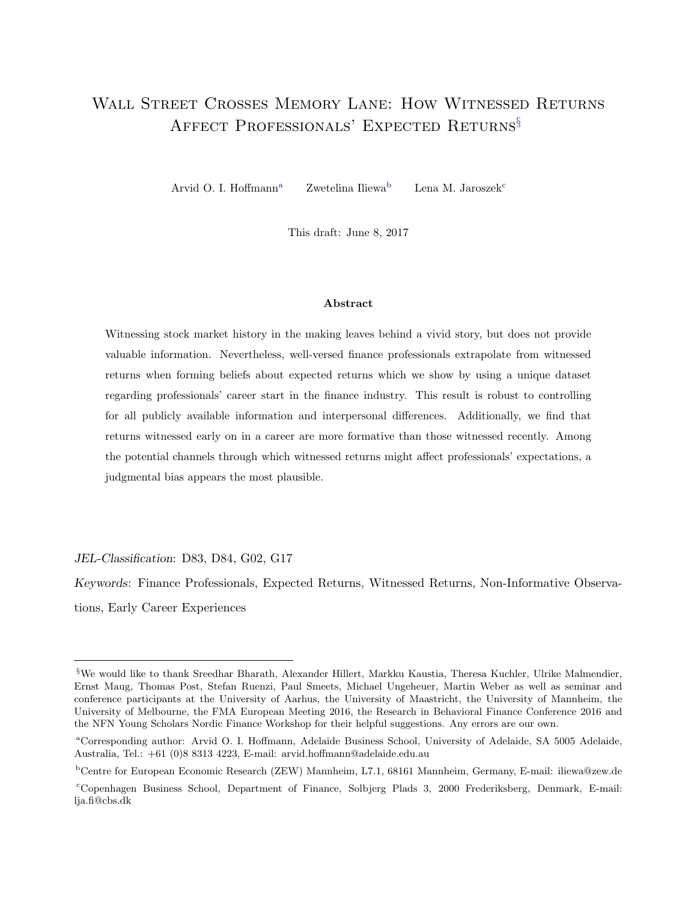# <span id="page-0-0"></span>Wall Street Crosses Memory Lane: How Witnessed Returns Affect Professionals' Expected Returns§

Arvid O. I. Hoffmann<sup>a</sup> Zwetelina Iliewa<sup>b</sup> Lena M. Jaroszek<sup>c</sup>

This draft: June 8, 2017

#### Abstract

Witnessing stock market history in the making leaves behind a vivid story, but does not provide valuable information. Nevertheless, well-versed finance professionals extrapolate from witnessed returns when forming beliefs about expected returns which we show by using a unique dataset regarding professionals' career start in the finance industry. This result is robust to controlling for all publicly available information and interpersonal differences. Additionally, we find that returns witnessed early on in a career are more formative than those witnessed recently. Among the potential channels through which witnessed returns might affect professionals' expectations, a judgmental bias appears the most plausible.

JEL-Classification: D83, D84, G02, G17

Keywords: Finance Professionals, Expected Returns, Witnessed Returns, Non-Informative Observations, Early Career Experiences

<sup>§</sup>We would like to thank Sreedhar Bharath, Alexander Hillert, Markku Kaustia, Theresa Kuchler, Ulrike Malmendier, Ernst Maug, Thomas Post, Stefan Ruenzi, Paul Smeets, Michael Ungeheuer, Martin Weber as well as seminar and conference participants at the University of Aarhus, the University of Maastricht, the University of Mannheim, the University of Melbourne, the FMA European Meeting 2016, the Research in Behavioral Finance Conference 2016 and the NFN Young Scholars Nordic Finance Workshop for their helpful suggestions. Any errors are our own.

<sup>a</sup>Corresponding author: Arvid O. I. Hoffmann, Adelaide Business School, University of Adelaide, SA 5005 Adelaide, Australia, Tel.: +61 (0)8 8313 4223, E-mail: arvid.hoffmann@adelaide.edu.au

<sup>b</sup>Centre for European Economic Research (ZEW) Mannheim, L7.1, 68161 Mannheim, Germany, E-mail: iliewa@zew.de

<sup>c</sup>Copenhagen Business School, Department of Finance, Solbjerg Plads 3, 2000 Frederiksberg, Denmark, E-mail: lja.fi@cbs.dk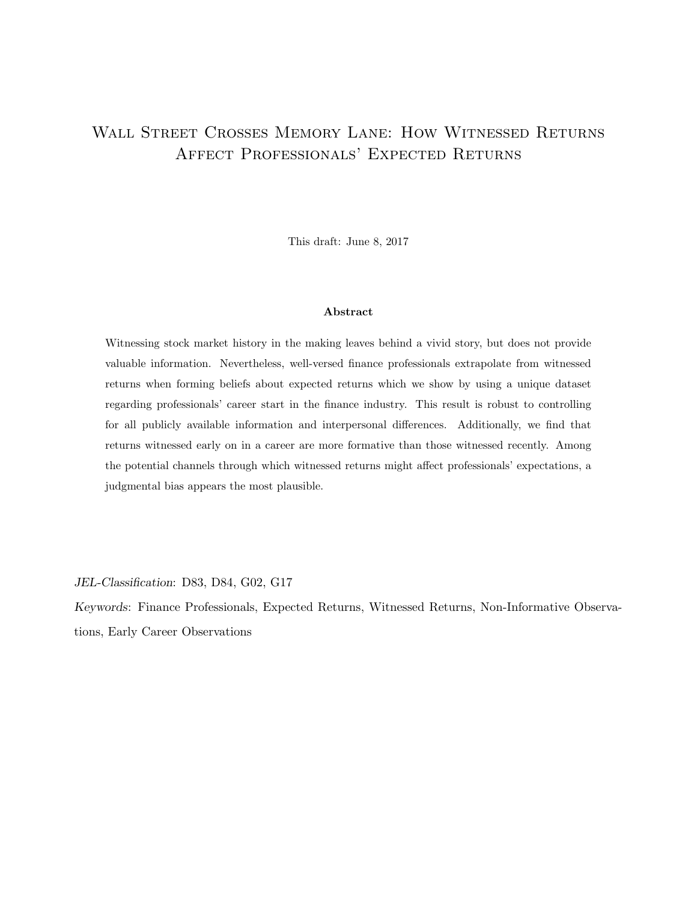# Wall Street Crosses Memory Lane: How Witnessed Returns Affect Professionals' Expected Returns

This draft: June 8, 2017

#### Abstract

Witnessing stock market history in the making leaves behind a vivid story, but does not provide valuable information. Nevertheless, well-versed finance professionals extrapolate from witnessed returns when forming beliefs about expected returns which we show by using a unique dataset regarding professionals' career start in the finance industry. This result is robust to controlling for all publicly available information and interpersonal differences. Additionally, we find that returns witnessed early on in a career are more formative than those witnessed recently. Among the potential channels through which witnessed returns might affect professionals' expectations, a judgmental bias appears the most plausible.

JEL-Classification: D83, D84, G02, G17

Keywords: Finance Professionals, Expected Returns, Witnessed Returns, Non-Informative Observations, Early Career Observations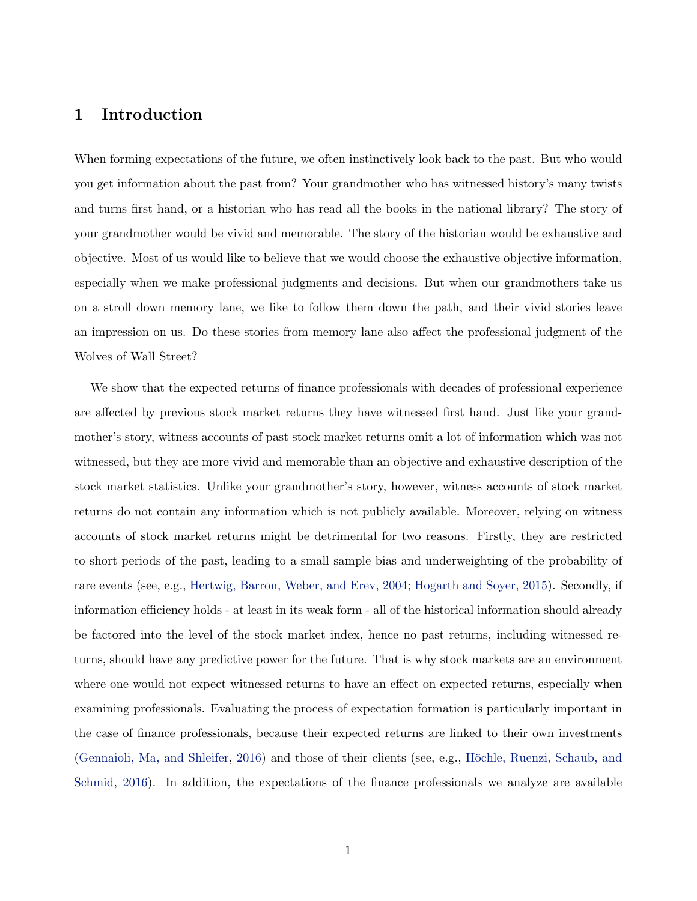## 1 Introduction

When forming expectations of the future, we often instinctively look back to the past. But who would you get information about the past from? Your grandmother who has witnessed history's many twists and turns first hand, or a historian who has read all the books in the national library? The story of your grandmother would be vivid and memorable. The story of the historian would be exhaustive and objective. Most of us would like to believe that we would choose the exhaustive objective information, especially when we make professional judgments and decisions. But when our grandmothers take us on a stroll down memory lane, we like to follow them down the path, and their vivid stories leave an impression on us. Do these stories from memory lane also affect the professional judgment of the Wolves of Wall Street?

We show that the expected returns of finance professionals with decades of professional experience are affected by previous stock market returns they have witnessed first hand. Just like your grandmother's story, witness accounts of past stock market returns omit a lot of information which was not witnessed, but they are more vivid and memorable than an objective and exhaustive description of the stock market statistics. Unlike your grandmother's story, however, witness accounts of stock market returns do not contain any information which is not publicly available. Moreover, relying on witness accounts of stock market returns might be detrimental for two reasons. Firstly, they are restricted to short periods of the past, leading to a small sample bias and underweighting of the probability of rare events (see, e.g., [Hertwig, Barron, Weber, and Erev,](#page-29-0) [2004;](#page-29-0) [Hogarth and Soyer,](#page-30-0) [2015\)](#page-30-0). Secondly, if information efficiency holds - at least in its weak form - all of the historical information should already be factored into the level of the stock market index, hence no past returns, including witnessed returns, should have any predictive power for the future. That is why stock markets are an environment where one would not expect witnessed returns to have an effect on expected returns, especially when examining professionals. Evaluating the process of expectation formation is particularly important in the case of finance professionals, because their expected returns are linked to their own investments [\(Gennaioli, Ma, and Shleifer,](#page-29-1) [2016\)](#page-29-1) and those of their clients (see, e.g., Höchle, Ruenzi, Schaub, and [Schmid,](#page-30-1) [2016\)](#page-30-1). In addition, the expectations of the finance professionals we analyze are available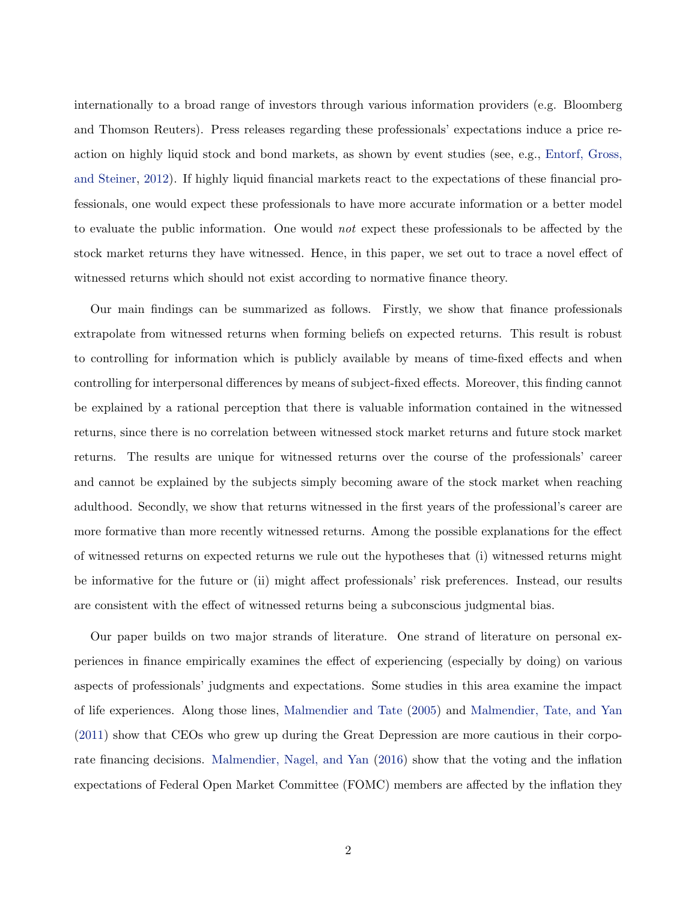internationally to a broad range of investors through various information providers (e.g. Bloomberg and Thomson Reuters). Press releases regarding these professionals' expectations induce a price reaction on highly liquid stock and bond markets, as shown by event studies (see, e.g., [Entorf, Gross,](#page-29-2) [and Steiner,](#page-29-2) [2012\)](#page-29-2). If highly liquid financial markets react to the expectations of these financial professionals, one would expect these professionals to have more accurate information or a better model to evaluate the public information. One would not expect these professionals to be affected by the stock market returns they have witnessed. Hence, in this paper, we set out to trace a novel effect of witnessed returns which should not exist according to normative finance theory.

Our main findings can be summarized as follows. Firstly, we show that finance professionals extrapolate from witnessed returns when forming beliefs on expected returns. This result is robust to controlling for information which is publicly available by means of time-fixed effects and when controlling for interpersonal differences by means of subject-fixed effects. Moreover, this finding cannot be explained by a rational perception that there is valuable information contained in the witnessed returns, since there is no correlation between witnessed stock market returns and future stock market returns. The results are unique for witnessed returns over the course of the professionals' career and cannot be explained by the subjects simply becoming aware of the stock market when reaching adulthood. Secondly, we show that returns witnessed in the first years of the professional's career are more formative than more recently witnessed returns. Among the possible explanations for the effect of witnessed returns on expected returns we rule out the hypotheses that (i) witnessed returns might be informative for the future or (ii) might affect professionals' risk preferences. Instead, our results are consistent with the effect of witnessed returns being a subconscious judgmental bias.

Our paper builds on two major strands of literature. One strand of literature on personal experiences in finance empirically examines the effect of experiencing (especially by doing) on various aspects of professionals' judgments and expectations. Some studies in this area examine the impact of life experiences. Along those lines, [Malmendier and Tate](#page-31-0) [\(2005\)](#page-31-0) and [Malmendier, Tate, and Yan](#page-31-1) [\(2011\)](#page-31-1) show that CEOs who grew up during the Great Depression are more cautious in their corporate financing decisions. [Malmendier, Nagel, and Yan](#page-31-2) [\(2016\)](#page-31-2) show that the voting and the inflation expectations of Federal Open Market Committee (FOMC) members are affected by the inflation they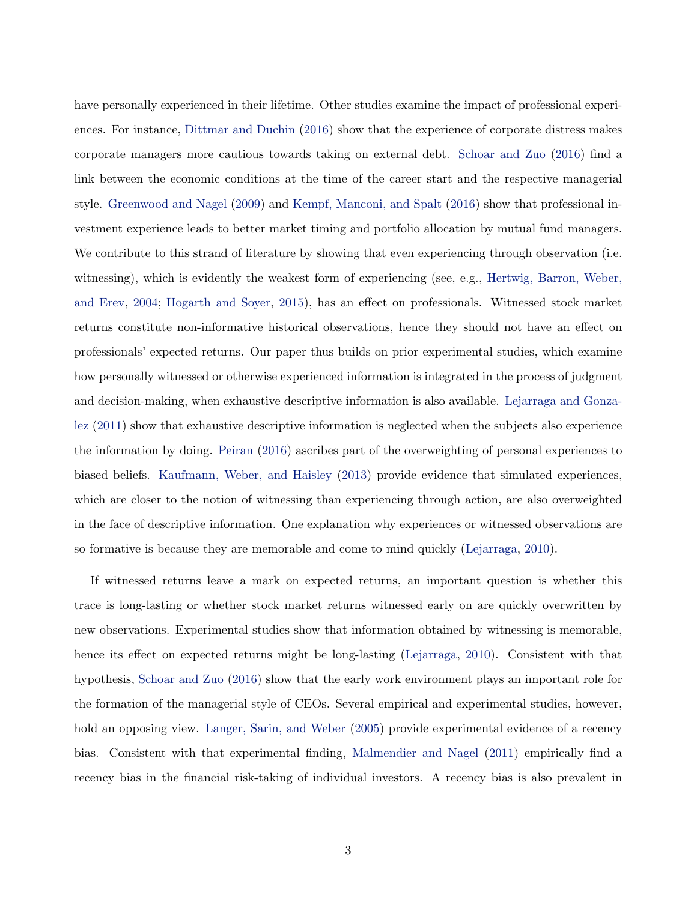have personally experienced in their lifetime. Other studies examine the impact of professional experiences. For instance, [Dittmar and Duchin](#page-29-3) [\(2016\)](#page-29-3) show that the experience of corporate distress makes corporate managers more cautious towards taking on external debt. [Schoar and Zuo](#page-31-3) [\(2016\)](#page-31-3) find a link between the economic conditions at the time of the career start and the respective managerial style. [Greenwood and Nagel](#page-29-4) [\(2009\)](#page-29-4) and [Kempf, Manconi, and Spalt](#page-30-2) [\(2016\)](#page-30-2) show that professional investment experience leads to better market timing and portfolio allocation by mutual fund managers. We contribute to this strand of literature by showing that even experiencing through observation (i.e. witnessing), which is evidently the weakest form of experiencing (see, e.g., [Hertwig, Barron, Weber,](#page-29-0) [and Erev,](#page-29-0) [2004;](#page-29-0) [Hogarth and Soyer,](#page-30-0) [2015\)](#page-30-0), has an effect on professionals. Witnessed stock market returns constitute non-informative historical observations, hence they should not have an effect on professionals' expected returns. Our paper thus builds on prior experimental studies, which examine how personally witnessed or otherwise experienced information is integrated in the process of judgment and decision-making, when exhaustive descriptive information is also available. [Lejarraga and Gonza](#page-30-3)[lez](#page-30-3) [\(2011\)](#page-30-3) show that exhaustive descriptive information is neglected when the subjects also experience the information by doing. [Peiran](#page-31-4) [\(2016\)](#page-31-4) ascribes part of the overweighting of personal experiences to biased beliefs. [Kaufmann, Weber, and Haisley](#page-30-4) [\(2013\)](#page-30-4) provide evidence that simulated experiences, which are closer to the notion of witnessing than experiencing through action, are also overweighted in the face of descriptive information. One explanation why experiences or witnessed observations are so formative is because they are memorable and come to mind quickly [\(Lejarraga,](#page-30-5) [2010\)](#page-30-5).

If witnessed returns leave a mark on expected returns, an important question is whether this trace is long-lasting or whether stock market returns witnessed early on are quickly overwritten by new observations. Experimental studies show that information obtained by witnessing is memorable, hence its effect on expected returns might be long-lasting [\(Lejarraga,](#page-30-5) [2010\)](#page-30-5). Consistent with that hypothesis, [Schoar and Zuo](#page-31-3) [\(2016\)](#page-31-3) show that the early work environment plays an important role for the formation of the managerial style of CEOs. Several empirical and experimental studies, however, hold an opposing view. [Langer, Sarin, and Weber](#page-30-6) [\(2005\)](#page-30-6) provide experimental evidence of a recency bias. Consistent with that experimental finding, [Malmendier and Nagel](#page-30-7) [\(2011\)](#page-30-7) empirically find a recency bias in the financial risk-taking of individual investors. A recency bias is also prevalent in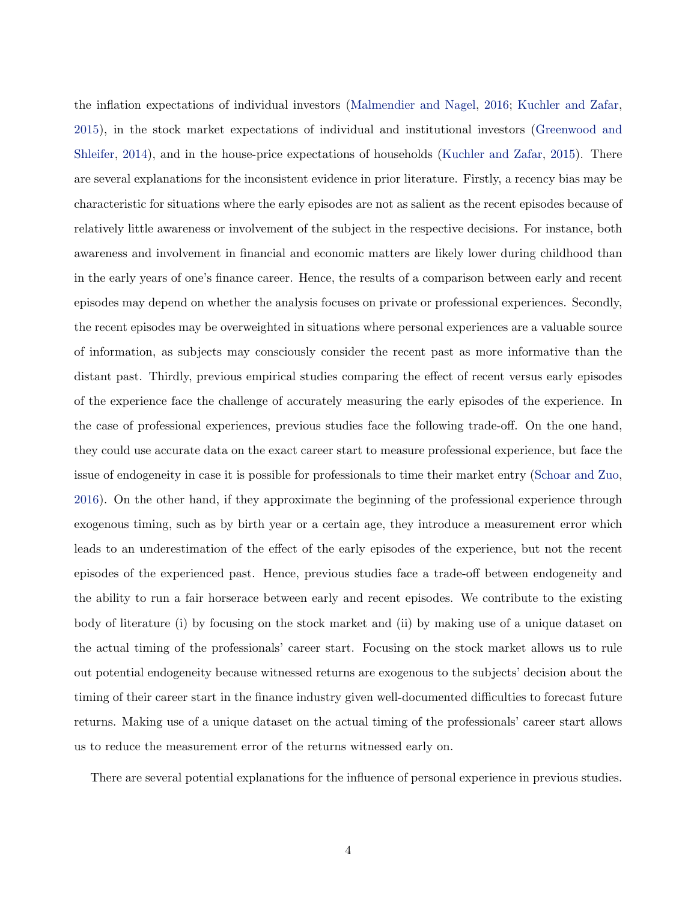the inflation expectations of individual investors [\(Malmendier and Nagel,](#page-30-8) [2016;](#page-30-8) [Kuchler and Zafar,](#page-30-9) [2015\)](#page-30-9), in the stock market expectations of individual and institutional investors [\(Greenwood and](#page-29-5) [Shleifer,](#page-29-5) [2014\)](#page-29-5), and in the house-price expectations of households [\(Kuchler and Zafar,](#page-30-9) [2015\)](#page-30-9). There are several explanations for the inconsistent evidence in prior literature. Firstly, a recency bias may be characteristic for situations where the early episodes are not as salient as the recent episodes because of relatively little awareness or involvement of the subject in the respective decisions. For instance, both awareness and involvement in financial and economic matters are likely lower during childhood than in the early years of one's finance career. Hence, the results of a comparison between early and recent episodes may depend on whether the analysis focuses on private or professional experiences. Secondly, the recent episodes may be overweighted in situations where personal experiences are a valuable source of information, as subjects may consciously consider the recent past as more informative than the distant past. Thirdly, previous empirical studies comparing the effect of recent versus early episodes of the experience face the challenge of accurately measuring the early episodes of the experience. In the case of professional experiences, previous studies face the following trade-off. On the one hand, they could use accurate data on the exact career start to measure professional experience, but face the issue of endogeneity in case it is possible for professionals to time their market entry [\(Schoar and Zuo,](#page-31-3) [2016\)](#page-31-3). On the other hand, if they approximate the beginning of the professional experience through exogenous timing, such as by birth year or a certain age, they introduce a measurement error which leads to an underestimation of the effect of the early episodes of the experience, but not the recent episodes of the experienced past. Hence, previous studies face a trade-off between endogeneity and the ability to run a fair horserace between early and recent episodes. We contribute to the existing body of literature (i) by focusing on the stock market and (ii) by making use of a unique dataset on the actual timing of the professionals' career start. Focusing on the stock market allows us to rule out potential endogeneity because witnessed returns are exogenous to the subjects' decision about the timing of their career start in the finance industry given well-documented difficulties to forecast future returns. Making use of a unique dataset on the actual timing of the professionals' career start allows us to reduce the measurement error of the returns witnessed early on.

There are several potential explanations for the influence of personal experience in previous studies.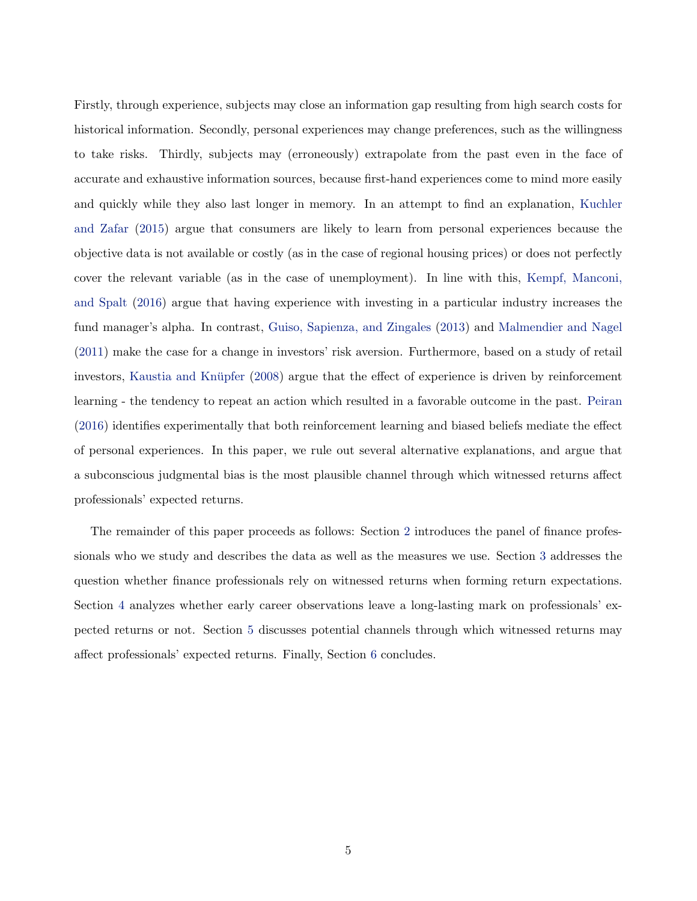Firstly, through experience, subjects may close an information gap resulting from high search costs for historical information. Secondly, personal experiences may change preferences, such as the willingness to take risks. Thirdly, subjects may (erroneously) extrapolate from the past even in the face of accurate and exhaustive information sources, because first-hand experiences come to mind more easily and quickly while they also last longer in memory. In an attempt to find an explanation, [Kuchler](#page-30-9) [and Zafar](#page-30-9) [\(2015\)](#page-30-9) argue that consumers are likely to learn from personal experiences because the objective data is not available or costly (as in the case of regional housing prices) or does not perfectly cover the relevant variable (as in the case of unemployment). In line with this, [Kempf, Manconi,](#page-30-2) [and Spalt](#page-30-2) [\(2016\)](#page-30-2) argue that having experience with investing in a particular industry increases the fund manager's alpha. In contrast, [Guiso, Sapienza, and Zingales](#page-29-6) [\(2013\)](#page-29-6) and [Malmendier and Nagel](#page-30-7) [\(2011\)](#page-30-7) make the case for a change in investors' risk aversion. Furthermore, based on a study of retail investors, Kaustia and Knüpfer [\(2008\)](#page-30-10) argue that the effect of experience is driven by reinforcement learning - the tendency to repeat an action which resulted in a favorable outcome in the past. [Peiran](#page-31-4) [\(2016\)](#page-31-4) identifies experimentally that both reinforcement learning and biased beliefs mediate the effect of personal experiences. In this paper, we rule out several alternative explanations, and argue that a subconscious judgmental bias is the most plausible channel through which witnessed returns affect professionals' expected returns.

The remainder of this paper proceeds as follows: Section [2](#page-7-0) introduces the panel of finance professionals who we study and describes the data as well as the measures we use. Section [3](#page-13-0) addresses the question whether finance professionals rely on witnessed returns when forming return expectations. Section [4](#page-17-0) analyzes whether early career observations leave a long-lasting mark on professionals' expected returns or not. Section [5](#page-23-0) discusses potential channels through which witnessed returns may affect professionals' expected returns. Finally, Section [6](#page-27-0) concludes.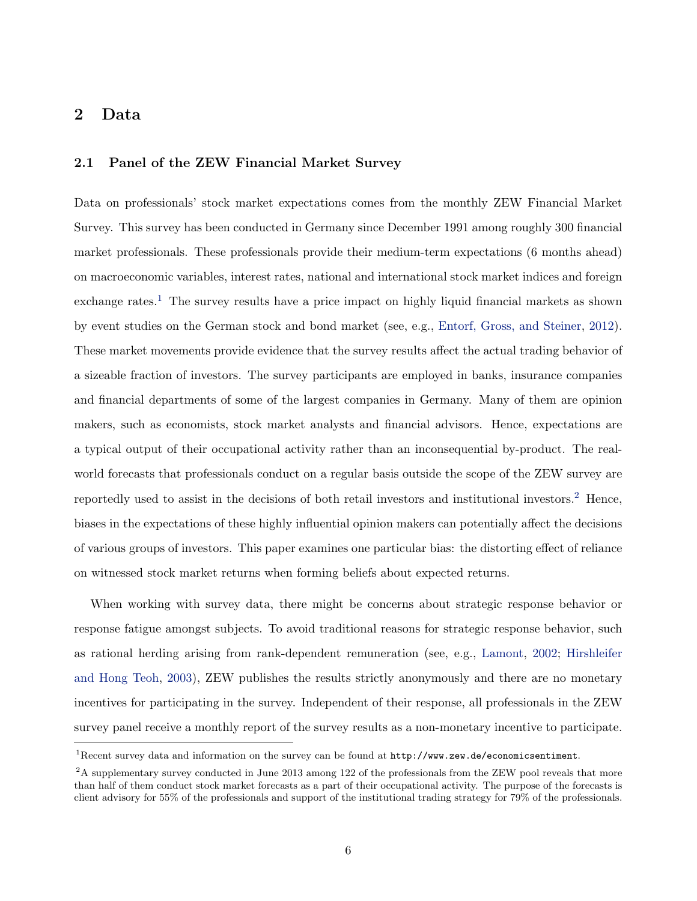## <span id="page-7-0"></span>2 Data

## 2.1 Panel of the ZEW Financial Market Survey

Data on professionals' stock market expectations comes from the monthly ZEW Financial Market Survey. This survey has been conducted in Germany since December 1991 among roughly 300 financial market professionals. These professionals provide their medium-term expectations (6 months ahead) on macroeconomic variables, interest rates, national and international stock market indices and foreign exchange rates.<sup>[1](#page-0-0)</sup> The survey results have a price impact on highly liquid financial markets as shown by event studies on the German stock and bond market (see, e.g., [Entorf, Gross, and Steiner,](#page-29-2) [2012\)](#page-29-2). These market movements provide evidence that the survey results affect the actual trading behavior of a sizeable fraction of investors. The survey participants are employed in banks, insurance companies and financial departments of some of the largest companies in Germany. Many of them are opinion makers, such as economists, stock market analysts and financial advisors. Hence, expectations are a typical output of their occupational activity rather than an inconsequential by-product. The realworld forecasts that professionals conduct on a regular basis outside the scope of the ZEW survey are reportedly used to assist in the decisions of both retail investors and institutional investors.<sup>[2](#page-0-0)</sup> Hence, biases in the expectations of these highly influential opinion makers can potentially affect the decisions of various groups of investors. This paper examines one particular bias: the distorting effect of reliance on witnessed stock market returns when forming beliefs about expected returns.

When working with survey data, there might be concerns about strategic response behavior or response fatigue amongst subjects. To avoid traditional reasons for strategic response behavior, such as rational herding arising from rank-dependent remuneration (see, e.g., [Lamont,](#page-30-11) [2002;](#page-30-11) [Hirshleifer](#page-30-12) [and Hong Teoh,](#page-30-12) [2003\)](#page-30-12), ZEW publishes the results strictly anonymously and there are no monetary incentives for participating in the survey. Independent of their response, all professionals in the ZEW survey panel receive a monthly report of the survey results as a non-monetary incentive to participate.

<sup>1</sup>Recent survey data and information on the survey can be found at <http://www.zew.de/economicsentiment>.

<sup>&</sup>lt;sup>2</sup>A supplementary survey conducted in June 2013 among 122 of the professionals from the ZEW pool reveals that more than half of them conduct stock market forecasts as a part of their occupational activity. The purpose of the forecasts is client advisory for 55% of the professionals and support of the institutional trading strategy for 79% of the professionals.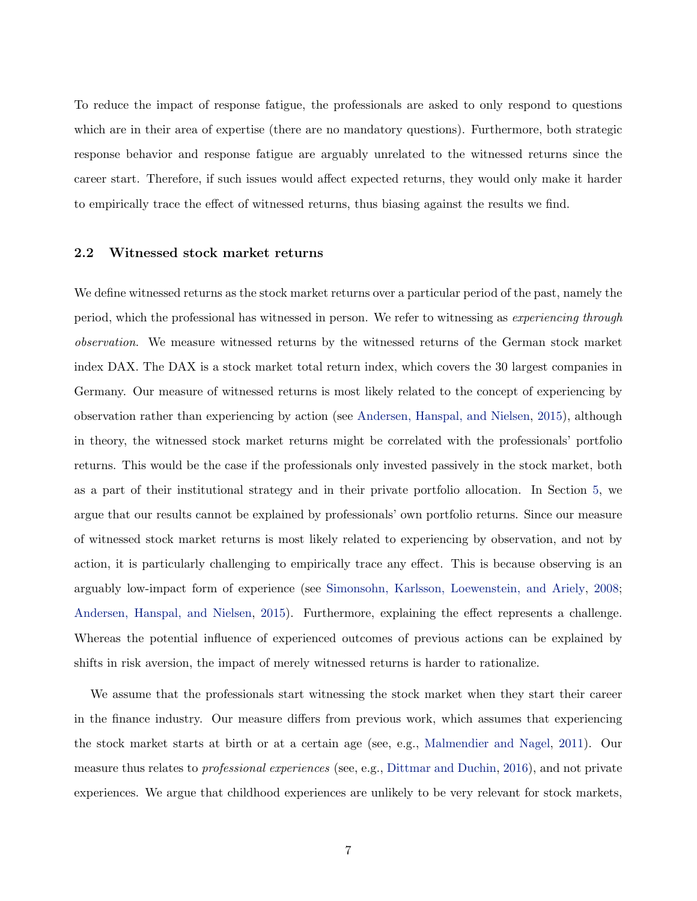To reduce the impact of response fatigue, the professionals are asked to only respond to questions which are in their area of expertise (there are no mandatory questions). Furthermore, both strategic response behavior and response fatigue are arguably unrelated to the witnessed returns since the career start. Therefore, if such issues would affect expected returns, they would only make it harder to empirically trace the effect of witnessed returns, thus biasing against the results we find.

### 2.2 Witnessed stock market returns

We define witnessed returns as the stock market returns over a particular period of the past, namely the period, which the professional has witnessed in person. We refer to witnessing as experiencing through observation. We measure witnessed returns by the witnessed returns of the German stock market index DAX. The DAX is a stock market total return index, which covers the 30 largest companies in Germany. Our measure of witnessed returns is most likely related to the concept of experiencing by observation rather than experiencing by action (see [Andersen, Hanspal, and Nielsen,](#page-29-7) [2015\)](#page-29-7), although in theory, the witnessed stock market returns might be correlated with the professionals' portfolio returns. This would be the case if the professionals only invested passively in the stock market, both as a part of their institutional strategy and in their private portfolio allocation. In Section [5,](#page-23-0) we argue that our results cannot be explained by professionals' own portfolio returns. Since our measure of witnessed stock market returns is most likely related to experiencing by observation, and not by action, it is particularly challenging to empirically trace any effect. This is because observing is an arguably low-impact form of experience (see [Simonsohn, Karlsson, Loewenstein, and Ariely,](#page-31-5) [2008;](#page-31-5) [Andersen, Hanspal, and Nielsen,](#page-29-7) [2015\)](#page-29-7). Furthermore, explaining the effect represents a challenge. Whereas the potential influence of experienced outcomes of previous actions can be explained by shifts in risk aversion, the impact of merely witnessed returns is harder to rationalize.

We assume that the professionals start witnessing the stock market when they start their career in the finance industry. Our measure differs from previous work, which assumes that experiencing the stock market starts at birth or at a certain age (see, e.g., [Malmendier and Nagel,](#page-30-7) [2011\)](#page-30-7). Our measure thus relates to *professional experiences* (see, e.g., [Dittmar and Duchin,](#page-29-3) [2016\)](#page-29-3), and not private experiences. We argue that childhood experiences are unlikely to be very relevant for stock markets,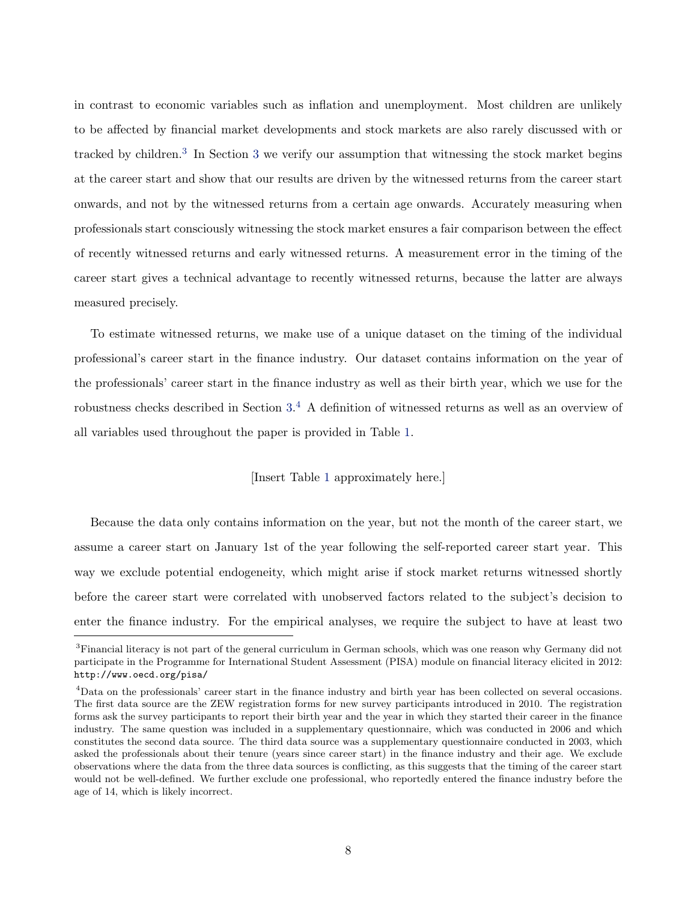in contrast to economic variables such as inflation and unemployment. Most children are unlikely to be affected by financial market developments and stock markets are also rarely discussed with or tracked by children.<sup>[3](#page-13-0)</sup> In Section 3 we verify our assumption that witnessing the stock market begins at the career start and show that our results are driven by the witnessed returns from the career start onwards, and not by the witnessed returns from a certain age onwards. Accurately measuring when professionals start consciously witnessing the stock market ensures a fair comparison between the effect of recently witnessed returns and early witnessed returns. A measurement error in the timing of the career start gives a technical advantage to recently witnessed returns, because the latter are always measured precisely.

To estimate witnessed returns, we make use of a unique dataset on the timing of the individual professional's career start in the finance industry. Our dataset contains information on the year of the professionals' career start in the finance industry as well as their birth year, which we use for the robustness checks described in Section [3.](#page-13-0) [4](#page-0-0) A definition of witnessed returns as well as an overview of all variables used throughout the paper is provided in Table [1.](#page-38-0)

### [Insert Table [1](#page-38-0) approximately here.]

Because the data only contains information on the year, but not the month of the career start, we assume a career start on January 1st of the year following the self-reported career start year. This way we exclude potential endogeneity, which might arise if stock market returns witnessed shortly before the career start were correlated with unobserved factors related to the subject's decision to enter the finance industry. For the empirical analyses, we require the subject to have at least two

<sup>3</sup>Financial literacy is not part of the general curriculum in German schools, which was one reason why Germany did not participate in the Programme for International Student Assessment (PISA) module on financial literacy elicited in 2012: <http://www.oecd.org/pisa/>

<sup>4</sup>Data on the professionals' career start in the finance industry and birth year has been collected on several occasions. The first data source are the ZEW registration forms for new survey participants introduced in 2010. The registration forms ask the survey participants to report their birth year and the year in which they started their career in the finance industry. The same question was included in a supplementary questionnaire, which was conducted in 2006 and which constitutes the second data source. The third data source was a supplementary questionnaire conducted in 2003, which asked the professionals about their tenure (years since career start) in the finance industry and their age. We exclude observations where the data from the three data sources is conflicting, as this suggests that the timing of the career start would not be well-defined. We further exclude one professional, who reportedly entered the finance industry before the age of 14, which is likely incorrect.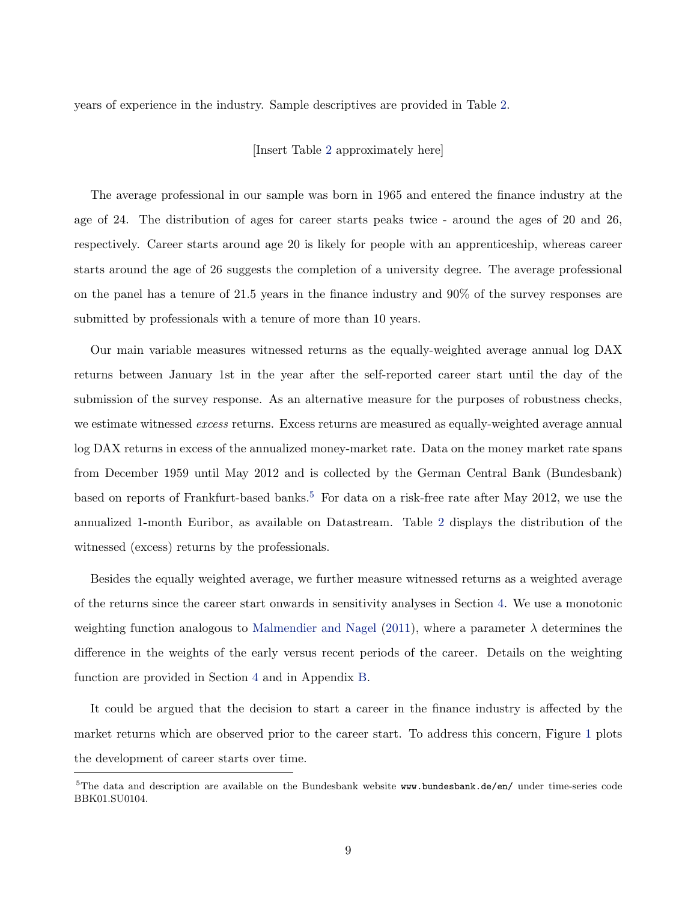years of experience in the industry. Sample descriptives are provided in Table [2.](#page-39-0)

[Insert Table [2](#page-39-0) approximately here]

The average professional in our sample was born in 1965 and entered the finance industry at the age of 24. The distribution of ages for career starts peaks twice - around the ages of 20 and 26, respectively. Career starts around age 20 is likely for people with an apprenticeship, whereas career starts around the age of 26 suggests the completion of a university degree. The average professional on the panel has a tenure of 21.5 years in the finance industry and 90% of the survey responses are submitted by professionals with a tenure of more than 10 years.

Our main variable measures witnessed returns as the equally-weighted average annual log DAX returns between January 1st in the year after the self-reported career start until the day of the submission of the survey response. As an alternative measure for the purposes of robustness checks, we estimate witnessed excess returns. Excess returns are measured as equally-weighted average annual log DAX returns in excess of the annualized money-market rate. Data on the money market rate spans from December 1959 until May 2012 and is collected by the German Central Bank (Bundesbank) based on reports of Frankfurt-based banks.<sup>[5](#page-0-0)</sup> For data on a risk-free rate after May 2012, we use the annualized 1-month Euribor, as available on Datastream. Table [2](#page-39-0) displays the distribution of the witnessed (excess) returns by the professionals.

Besides the equally weighted average, we further measure witnessed returns as a weighted average of the returns since the career start onwards in sensitivity analyses in Section [4.](#page-17-0) We use a monotonic weighting function analogous to [Malmendier and Nagel](#page-30-7) [\(2011\)](#page-30-7), where a parameter  $\lambda$  determines the difference in the weights of the early versus recent periods of the career. Details on the weighting function are provided in Section [4](#page-17-0) and in Appendix [B.](#page-48-0)

It could be argued that the decision to start a career in the finance industry is affected by the market returns which are observed prior to the career start. To address this concern, Figure [1](#page-32-0) plots the development of career starts over time.

 $5$ The data and description are available on the Bundesbank website <www.bundesbank.de/en/> under time-series code BBK01.SU0104.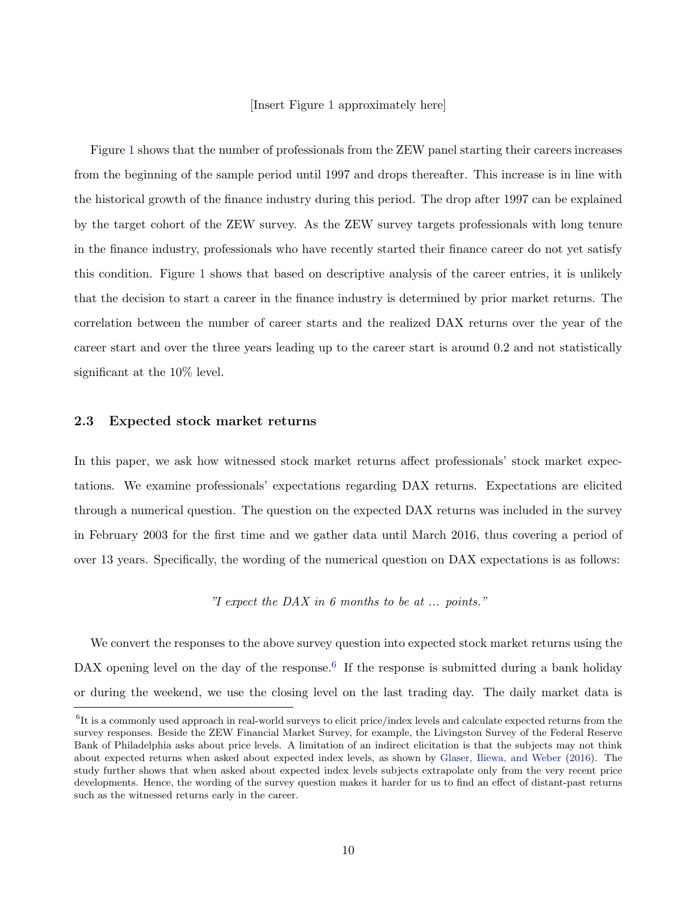### [Insert Figure [1](#page-32-0) approximately here]

Figure [1](#page-32-0) shows that the number of professionals from the ZEW panel starting their careers increases from the beginning of the sample period until 1997 and drops thereafter. This increase is in line with the historical growth of the finance industry during this period. The drop after 1997 can be explained by the target cohort of the ZEW survey. As the ZEW survey targets professionals with long tenure in the finance industry, professionals who have recently started their finance career do not yet satisfy this condition. Figure [1](#page-32-0) shows that based on descriptive analysis of the career entries, it is unlikely that the decision to start a career in the finance industry is determined by prior market returns. The correlation between the number of career starts and the realized DAX returns over the year of the career start and over the three years leading up to the career start is around 0.2 and not statistically significant at the 10% level.

### 2.3 Expected stock market returns

In this paper, we ask how witnessed stock market returns affect professionals' stock market expectations. We examine professionals' expectations regarding DAX returns. Expectations are elicited through a numerical question. The question on the expected DAX returns was included in the survey in February 2003 for the first time and we gather data until March 2016, thus covering a period of over 13 years. Specifically, the wording of the numerical question on DAX expectations is as follows:

"I expect the DAX in  $6$  months to be at ... points."

We convert the responses to the above survey question into expected stock market returns using the DAX opening level on the day of the response.<sup>[6](#page-0-0)</sup> If the response is submitted during a bank holiday or during the weekend, we use the closing level on the last trading day. The daily market data is

<sup>&</sup>lt;sup>6</sup>It is a commonly used approach in real-world surveys to elicit price/index levels and calculate expected returns from the survey responses. Beside the ZEW Financial Market Survey, for example, the Livingston Survey of the Federal Reserve Bank of Philadelphia asks about price levels. A limitation of an indirect elicitation is that the subjects may not think about expected returns when asked about expected index levels, as shown by [Glaser, Iliewa, and Weber](#page-29-8) [\(2016\)](#page-29-8). The study further shows that when asked about expected index levels subjects extrapolate only from the very recent price developments. Hence, the wording of the survey question makes it harder for us to find an effect of distant-past returns such as the witnessed returns early in the career.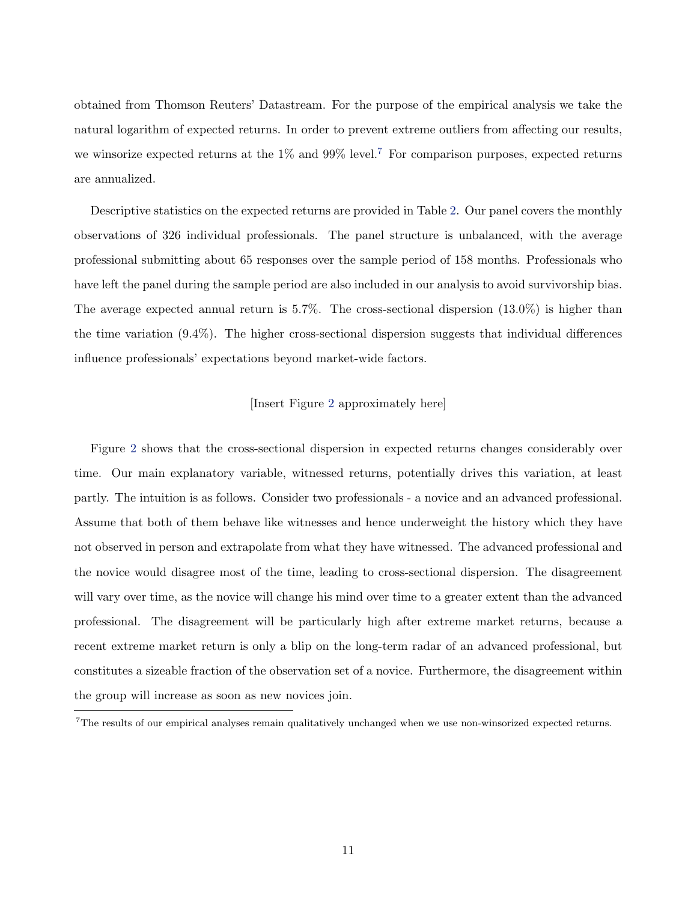obtained from Thomson Reuters' Datastream. For the purpose of the empirical analysis we take the natural logarithm of expected returns. In order to prevent extreme outliers from affecting our results, we winsorize expected returns at the  $1\%$  and  $99\%$  level.<sup>[7](#page-0-0)</sup> For comparison purposes, expected returns are annualized.

Descriptive statistics on the expected returns are provided in Table [2.](#page-39-0) Our panel covers the monthly observations of 326 individual professionals. The panel structure is unbalanced, with the average professional submitting about 65 responses over the sample period of 158 months. Professionals who have left the panel during the sample period are also included in our analysis to avoid survivorship bias. The average expected annual return is  $5.7\%$ . The cross-sectional dispersion  $(13.0\%)$  is higher than the time variation (9.4%). The higher cross-sectional dispersion suggests that individual differences influence professionals' expectations beyond market-wide factors.

### [Insert Figure [2](#page-33-0) approximately here]

Figure [2](#page-33-0) shows that the cross-sectional dispersion in expected returns changes considerably over time. Our main explanatory variable, witnessed returns, potentially drives this variation, at least partly. The intuition is as follows. Consider two professionals - a novice and an advanced professional. Assume that both of them behave like witnesses and hence underweight the history which they have not observed in person and extrapolate from what they have witnessed. The advanced professional and the novice would disagree most of the time, leading to cross-sectional dispersion. The disagreement will vary over time, as the novice will change his mind over time to a greater extent than the advanced professional. The disagreement will be particularly high after extreme market returns, because a recent extreme market return is only a blip on the long-term radar of an advanced professional, but constitutes a sizeable fraction of the observation set of a novice. Furthermore, the disagreement within the group will increase as soon as new novices join.

<sup>7</sup>The results of our empirical analyses remain qualitatively unchanged when we use non-winsorized expected returns.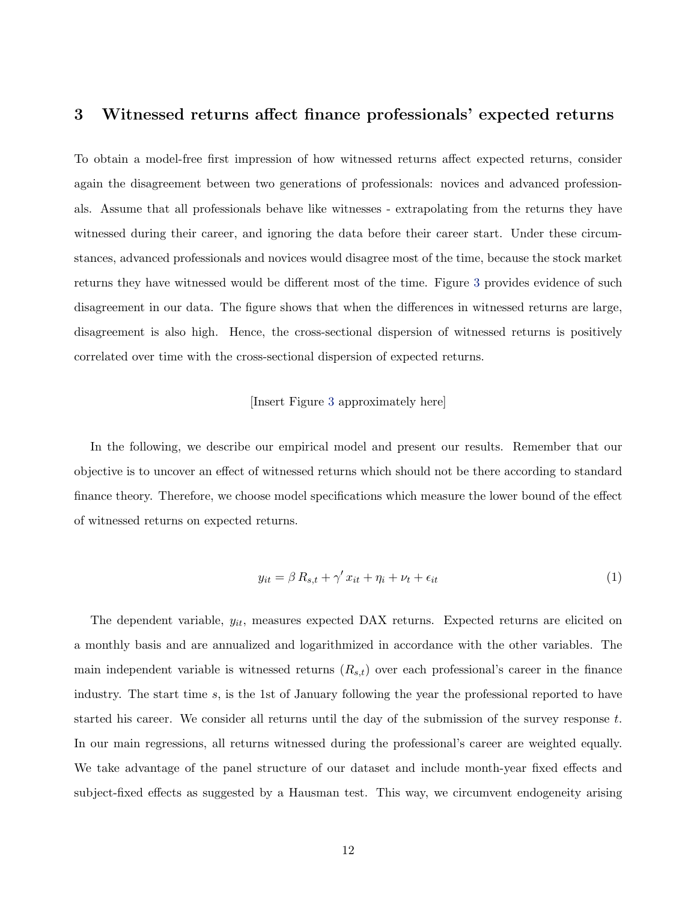## <span id="page-13-0"></span>3 Witnessed returns affect finance professionals' expected returns

To obtain a model-free first impression of how witnessed returns affect expected returns, consider again the disagreement between two generations of professionals: novices and advanced professionals. Assume that all professionals behave like witnesses - extrapolating from the returns they have witnessed during their career, and ignoring the data before their career start. Under these circumstances, advanced professionals and novices would disagree most of the time, because the stock market returns they have witnessed would be different most of the time. Figure [3](#page-33-1) provides evidence of such disagreement in our data. The figure shows that when the differences in witnessed returns are large, disagreement is also high. Hence, the cross-sectional dispersion of witnessed returns is positively correlated over time with the cross-sectional dispersion of expected returns.

### [Insert Figure [3](#page-33-1) approximately here]

In the following, we describe our empirical model and present our results. Remember that our objective is to uncover an effect of witnessed returns which should not be there according to standard finance theory. Therefore, we choose model specifications which measure the lower bound of the effect of witnessed returns on expected returns.

$$
y_{it} = \beta R_{s,t} + \gamma' x_{it} + \eta_i + \nu_t + \epsilon_{it}
$$
\n<sup>(1)</sup>

The dependent variable,  $y_{it}$ , measures expected DAX returns. Expected returns are elicited on a monthly basis and are annualized and logarithmized in accordance with the other variables. The main independent variable is witnessed returns  $(R_{s,t})$  over each professional's career in the finance industry. The start time s, is the 1st of January following the year the professional reported to have started his career. We consider all returns until the day of the submission of the survey response  $t$ . In our main regressions, all returns witnessed during the professional's career are weighted equally. We take advantage of the panel structure of our dataset and include month-year fixed effects and subject-fixed effects as suggested by a Hausman test. This way, we circumvent endogeneity arising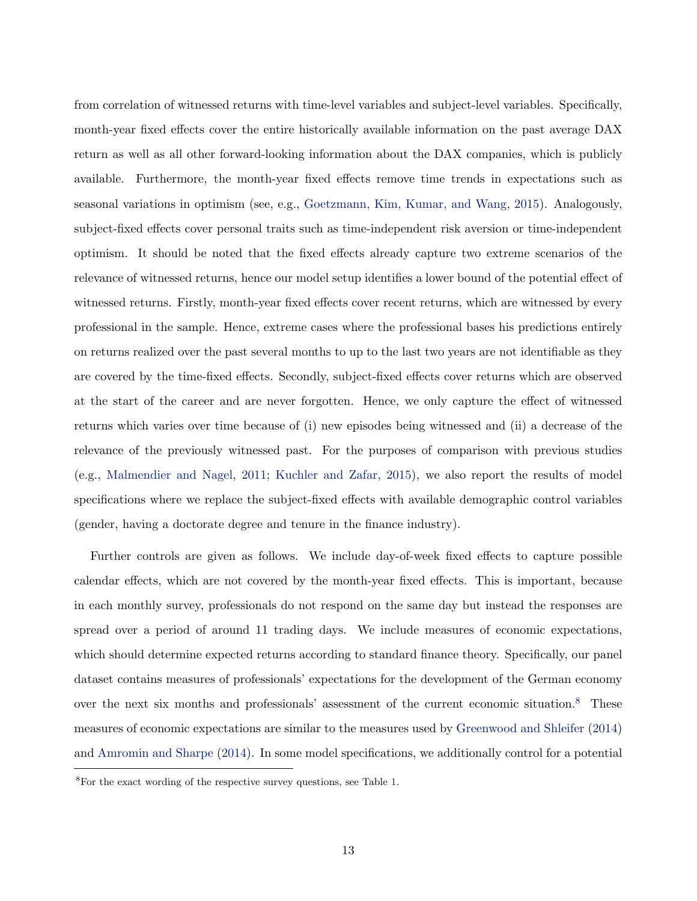from correlation of witnessed returns with time-level variables and subject-level variables. Specifically, month-year fixed effects cover the entire historically available information on the past average DAX return as well as all other forward-looking information about the DAX companies, which is publicly available. Furthermore, the month-year fixed effects remove time trends in expectations such as seasonal variations in optimism (see, e.g., [Goetzmann, Kim, Kumar, and Wang,](#page-29-9) [2015\)](#page-29-9). Analogously, subject-fixed effects cover personal traits such as time-independent risk aversion or time-independent optimism. It should be noted that the fixed effects already capture two extreme scenarios of the relevance of witnessed returns, hence our model setup identifies a lower bound of the potential effect of witnessed returns. Firstly, month-year fixed effects cover recent returns, which are witnessed by every professional in the sample. Hence, extreme cases where the professional bases his predictions entirely on returns realized over the past several months to up to the last two years are not identifiable as they are covered by the time-fixed effects. Secondly, subject-fixed effects cover returns which are observed at the start of the career and are never forgotten. Hence, we only capture the effect of witnessed returns which varies over time because of (i) new episodes being witnessed and (ii) a decrease of the relevance of the previously witnessed past. For the purposes of comparison with previous studies (e.g., [Malmendier and Nagel,](#page-30-7) [2011;](#page-30-7) [Kuchler and Zafar,](#page-30-9) [2015\)](#page-30-9), we also report the results of model specifications where we replace the subject-fixed effects with available demographic control variables (gender, having a doctorate degree and tenure in the finance industry).

Further controls are given as follows. We include day-of-week fixed effects to capture possible calendar effects, which are not covered by the month-year fixed effects. This is important, because in each monthly survey, professionals do not respond on the same day but instead the responses are spread over a period of around 11 trading days. We include measures of economic expectations, which should determine expected returns according to standard finance theory. Specifically, our panel dataset contains measures of professionals' expectations for the development of the German economy over the next six months and professionals' assessment of the current economic situation.[8](#page-0-0) These measures of economic expectations are similar to the measures used by [Greenwood and Shleifer](#page-29-5) [\(2014\)](#page-29-5) and [Amromin and Sharpe](#page-29-10) [\(2014\)](#page-29-10). In some model specifications, we additionally control for a potential

<sup>8</sup>For the exact wording of the respective survey questions, see Table [1.](#page-38-0)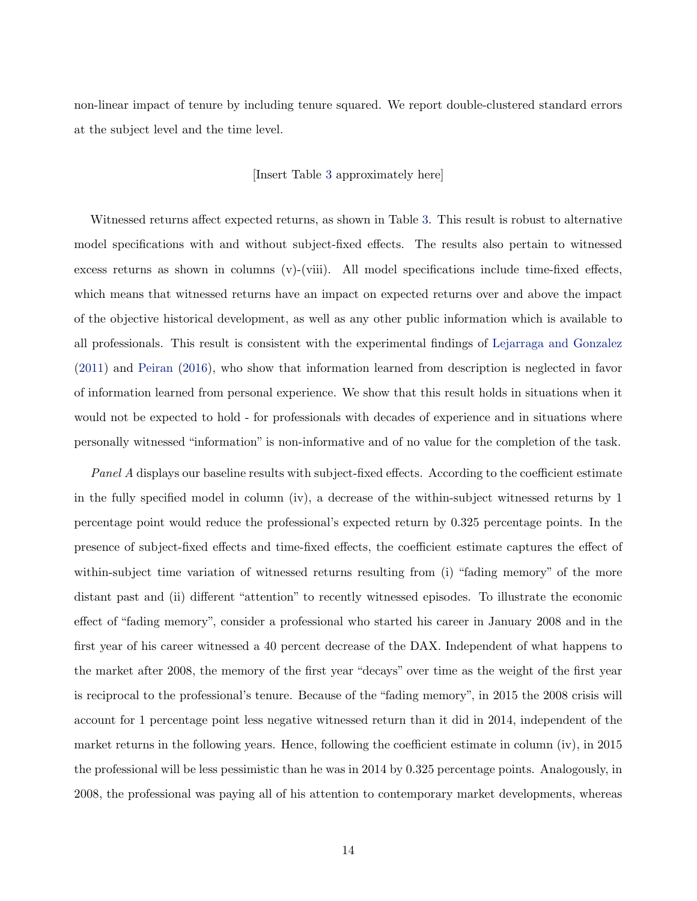non-linear impact of tenure by including tenure squared. We report double-clustered standard errors at the subject level and the time level.

### [Insert Table [3](#page-40-0) approximately here]

Witnessed returns affect expected returns, as shown in Table [3.](#page-40-0) This result is robust to alternative model specifications with and without subject-fixed effects. The results also pertain to witnessed excess returns as shown in columns (v)-(viii). All model specifications include time-fixed effects, which means that witnessed returns have an impact on expected returns over and above the impact of the objective historical development, as well as any other public information which is available to all professionals. This result is consistent with the experimental findings of [Lejarraga and Gonzalez](#page-30-3) [\(2011\)](#page-30-3) and [Peiran](#page-31-4) [\(2016\)](#page-31-4), who show that information learned from description is neglected in favor of information learned from personal experience. We show that this result holds in situations when it would not be expected to hold - for professionals with decades of experience and in situations where personally witnessed "information" is non-informative and of no value for the completion of the task.

Panel A displays our baseline results with subject-fixed effects. According to the coefficient estimate in the fully specified model in column (iv), a decrease of the within-subject witnessed returns by 1 percentage point would reduce the professional's expected return by 0.325 percentage points. In the presence of subject-fixed effects and time-fixed effects, the coefficient estimate captures the effect of within-subject time variation of witnessed returns resulting from (i) "fading memory" of the more distant past and (ii) different "attention" to recently witnessed episodes. To illustrate the economic effect of "fading memory", consider a professional who started his career in January 2008 and in the first year of his career witnessed a 40 percent decrease of the DAX. Independent of what happens to the market after 2008, the memory of the first year "decays" over time as the weight of the first year is reciprocal to the professional's tenure. Because of the "fading memory", in 2015 the 2008 crisis will account for 1 percentage point less negative witnessed return than it did in 2014, independent of the market returns in the following years. Hence, following the coefficient estimate in column (iv), in 2015 the professional will be less pessimistic than he was in 2014 by 0.325 percentage points. Analogously, in 2008, the professional was paying all of his attention to contemporary market developments, whereas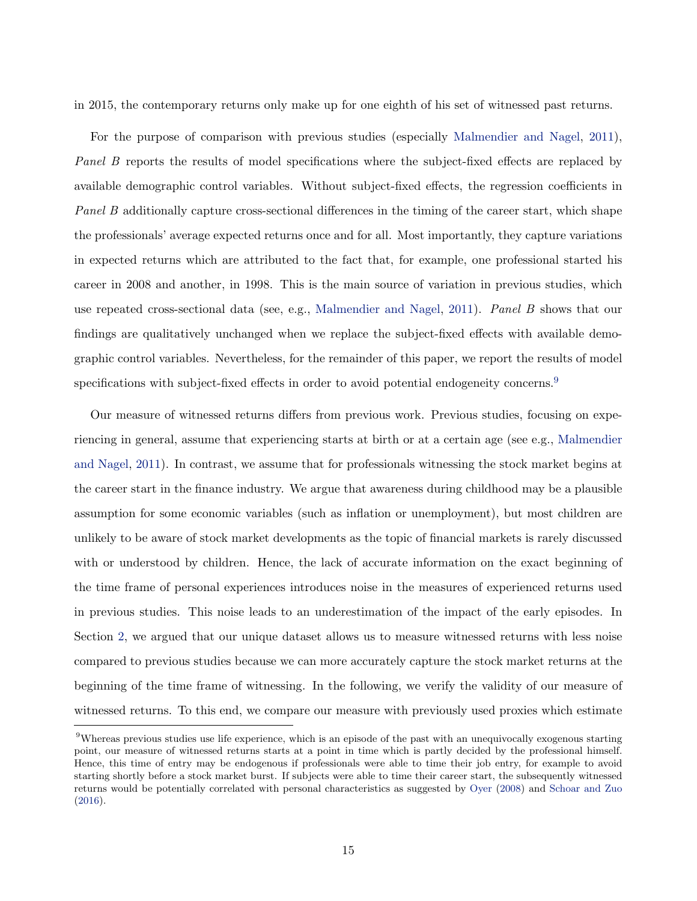in 2015, the contemporary returns only make up for one eighth of his set of witnessed past returns.

For the purpose of comparison with previous studies (especially [Malmendier and Nagel,](#page-30-7) [2011\)](#page-30-7), Panel B reports the results of model specifications where the subject-fixed effects are replaced by available demographic control variables. Without subject-fixed effects, the regression coefficients in Panel B additionally capture cross-sectional differences in the timing of the career start, which shape the professionals' average expected returns once and for all. Most importantly, they capture variations in expected returns which are attributed to the fact that, for example, one professional started his career in 2008 and another, in 1998. This is the main source of variation in previous studies, which use repeated cross-sectional data (see, e.g., [Malmendier and Nagel,](#page-30-7) [2011\)](#page-30-7). Panel B shows that our findings are qualitatively unchanged when we replace the subject-fixed effects with available demographic control variables. Nevertheless, for the remainder of this paper, we report the results of model specifications with subject-fixed effects in order to avoid potential endogeneity concerns.<sup>[9](#page-0-0)</sup>

Our measure of witnessed returns differs from previous work. Previous studies, focusing on experiencing in general, assume that experiencing starts at birth or at a certain age (see e.g., [Malmendier](#page-30-7) [and Nagel,](#page-30-7) [2011\)](#page-30-7). In contrast, we assume that for professionals witnessing the stock market begins at the career start in the finance industry. We argue that awareness during childhood may be a plausible assumption for some economic variables (such as inflation or unemployment), but most children are unlikely to be aware of stock market developments as the topic of financial markets is rarely discussed with or understood by children. Hence, the lack of accurate information on the exact beginning of the time frame of personal experiences introduces noise in the measures of experienced returns used in previous studies. This noise leads to an underestimation of the impact of the early episodes. In Section [2,](#page-7-0) we argued that our unique dataset allows us to measure witnessed returns with less noise compared to previous studies because we can more accurately capture the stock market returns at the beginning of the time frame of witnessing. In the following, we verify the validity of our measure of witnessed returns. To this end, we compare our measure with previously used proxies which estimate

<sup>&</sup>lt;sup>9</sup>Whereas previous studies use life experience, which is an episode of the past with an unequivocally exogenous starting point, our measure of witnessed returns starts at a point in time which is partly decided by the professional himself. Hence, this time of entry may be endogenous if professionals were able to time their job entry, for example to avoid starting shortly before a stock market burst. If subjects were able to time their career start, the subsequently witnessed returns would be potentially correlated with personal characteristics as suggested by [Oyer](#page-31-6) [\(2008\)](#page-31-6) and [Schoar and Zuo](#page-31-3) [\(2016\)](#page-31-3).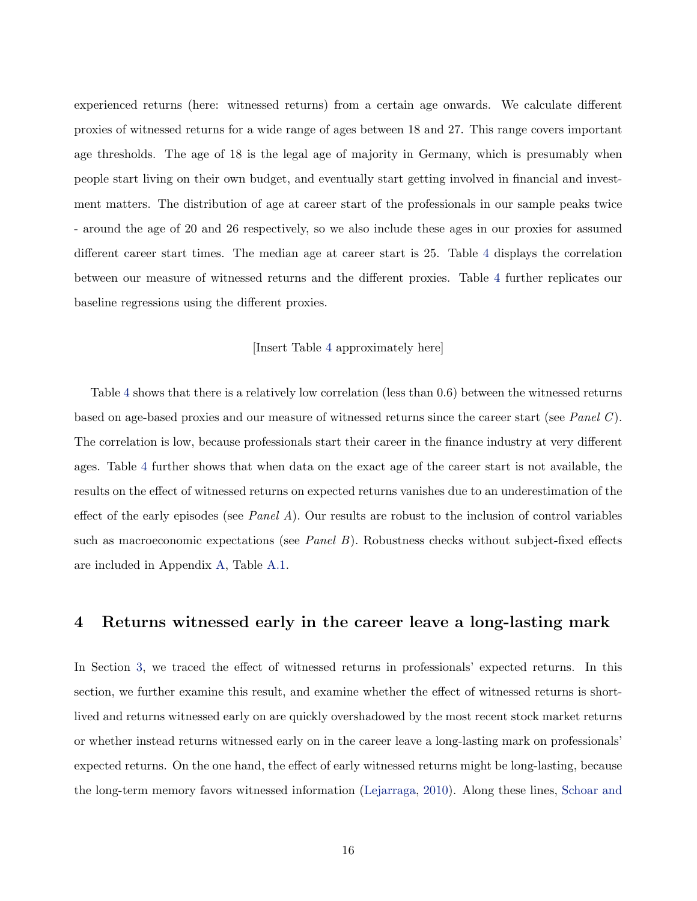experienced returns (here: witnessed returns) from a certain age onwards. We calculate different proxies of witnessed returns for a wide range of ages between 18 and 27. This range covers important age thresholds. The age of 18 is the legal age of majority in Germany, which is presumably when people start living on their own budget, and eventually start getting involved in financial and investment matters. The distribution of age at career start of the professionals in our sample peaks twice - around the age of 20 and 26 respectively, so we also include these ages in our proxies for assumed different career start times. The median age at career start is 25. Table [4](#page-41-0) displays the correlation between our measure of witnessed returns and the different proxies. Table [4](#page-41-0) further replicates our baseline regressions using the different proxies.

#### [Insert Table [4](#page-41-0) approximately here]

Table [4](#page-41-0) shows that there is a relatively low correlation (less than 0.6) between the witnessed returns based on age-based proxies and our measure of witnessed returns since the career start (see Panel C). The correlation is low, because professionals start their career in the finance industry at very different ages. Table [4](#page-41-0) further shows that when data on the exact age of the career start is not available, the results on the effect of witnessed returns on expected returns vanishes due to an underestimation of the effect of the early episodes (see *Panel A*). Our results are robust to the inclusion of control variables such as macroeconomic expectations (see *Panel B*). Robustness checks without subject-fixed effects are included in Appendix [A,](#page-45-0) Table [A.1.](#page-45-1)

## <span id="page-17-0"></span>4 Returns witnessed early in the career leave a long-lasting mark

In Section [3,](#page-13-0) we traced the effect of witnessed returns in professionals' expected returns. In this section, we further examine this result, and examine whether the effect of witnessed returns is shortlived and returns witnessed early on are quickly overshadowed by the most recent stock market returns or whether instead returns witnessed early on in the career leave a long-lasting mark on professionals' expected returns. On the one hand, the effect of early witnessed returns might be long-lasting, because the long-term memory favors witnessed information [\(Lejarraga,](#page-30-5) [2010\)](#page-30-5). Along these lines, [Schoar and](#page-31-3)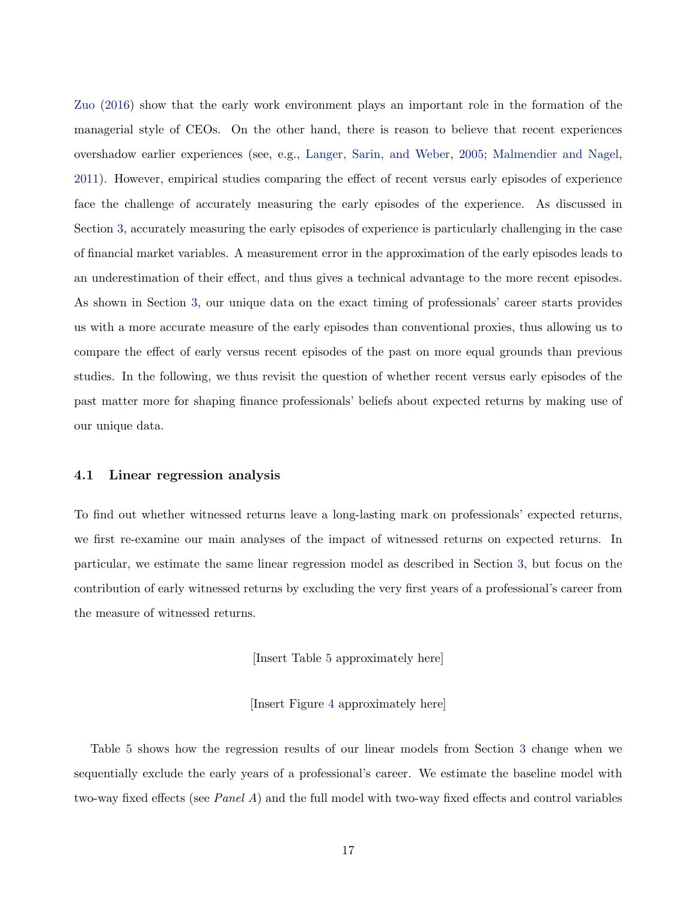[Zuo](#page-31-3) [\(2016\)](#page-31-3) show that the early work environment plays an important role in the formation of the managerial style of CEOs. On the other hand, there is reason to believe that recent experiences overshadow earlier experiences (see, e.g., [Langer, Sarin, and Weber,](#page-30-6) [2005;](#page-30-6) [Malmendier and Nagel,](#page-30-7) [2011\)](#page-30-7). However, empirical studies comparing the effect of recent versus early episodes of experience face the challenge of accurately measuring the early episodes of the experience. As discussed in Section [3,](#page-13-0) accurately measuring the early episodes of experience is particularly challenging in the case of financial market variables. A measurement error in the approximation of the early episodes leads to an underestimation of their effect, and thus gives a technical advantage to the more recent episodes. As shown in Section [3,](#page-13-0) our unique data on the exact timing of professionals' career starts provides us with a more accurate measure of the early episodes than conventional proxies, thus allowing us to compare the effect of early versus recent episodes of the past on more equal grounds than previous studies. In the following, we thus revisit the question of whether recent versus early episodes of the past matter more for shaping finance professionals' beliefs about expected returns by making use of our unique data.

### 4.1 Linear regression analysis

To find out whether witnessed returns leave a long-lasting mark on professionals' expected returns, we first re-examine our main analyses of the impact of witnessed returns on expected returns. In particular, we estimate the same linear regression model as described in Section [3,](#page-13-0) but focus on the contribution of early witnessed returns by excluding the very first years of a professional's career from the measure of witnessed returns.

[Insert Table [5](#page-42-0) approximately here]

[Insert Figure [4](#page-34-0) approximately here]

Table [5](#page-42-0) shows how the regression results of our linear models from Section [3](#page-13-0) change when we sequentially exclude the early years of a professional's career. We estimate the baseline model with two-way fixed effects (see Panel A) and the full model with two-way fixed effects and control variables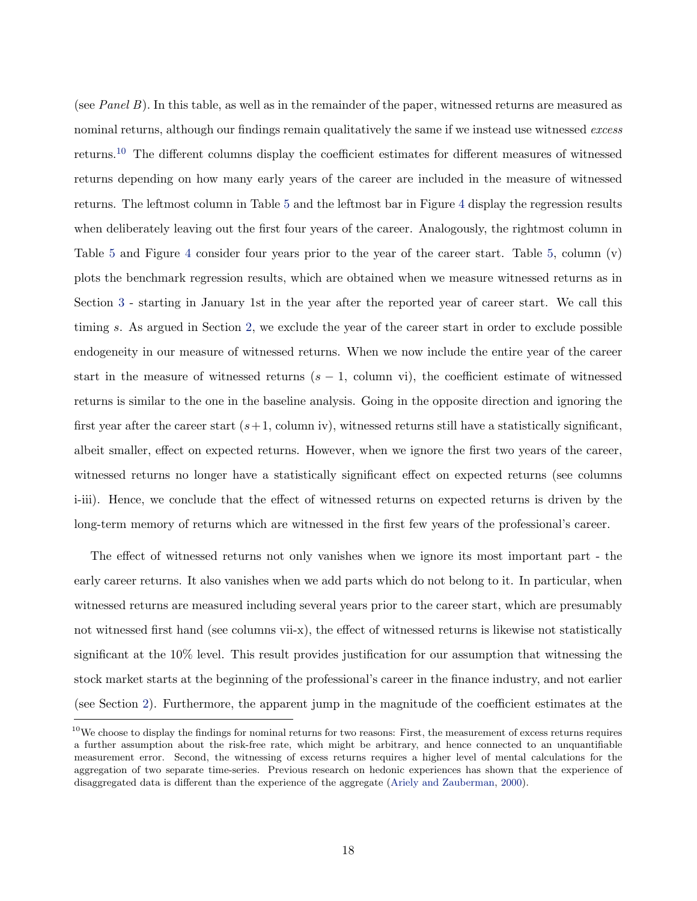(see Panel B). In this table, as well as in the remainder of the paper, witnessed returns are measured as nominal returns, although our findings remain qualitatively the same if we instead use witnessed excess returns.[10](#page-0-0) The different columns display the coefficient estimates for different measures of witnessed returns depending on how many early years of the career are included in the measure of witnessed returns. The leftmost column in Table [5](#page-42-0) and the leftmost bar in Figure [4](#page-34-0) display the regression results when deliberately leaving out the first four years of the career. Analogously, the rightmost column in Table [5](#page-42-0) and Figure [4](#page-34-0) consider four years prior to the year of the career start. Table [5,](#page-42-0) column (v) plots the benchmark regression results, which are obtained when we measure witnessed returns as in Section [3](#page-13-0) - starting in January 1st in the year after the reported year of career start. We call this timing s. As argued in Section [2,](#page-7-0) we exclude the year of the career start in order to exclude possible endogeneity in our measure of witnessed returns. When we now include the entire year of the career start in the measure of witnessed returns  $(s - 1, \text{ column vi})$ , the coefficient estimate of witnessed returns is similar to the one in the baseline analysis. Going in the opposite direction and ignoring the first year after the career start  $(s+1, \text{column iv})$ , witnessed returns still have a statistically significant, albeit smaller, effect on expected returns. However, when we ignore the first two years of the career, witnessed returns no longer have a statistically significant effect on expected returns (see columns i-iii). Hence, we conclude that the effect of witnessed returns on expected returns is driven by the long-term memory of returns which are witnessed in the first few years of the professional's career.

The effect of witnessed returns not only vanishes when we ignore its most important part - the early career returns. It also vanishes when we add parts which do not belong to it. In particular, when witnessed returns are measured including several years prior to the career start, which are presumably not witnessed first hand (see columns vii-x), the effect of witnessed returns is likewise not statistically significant at the 10% level. This result provides justification for our assumption that witnessing the stock market starts at the beginning of the professional's career in the finance industry, and not earlier (see Section [2\)](#page-7-0). Furthermore, the apparent jump in the magnitude of the coefficient estimates at the

 $10$ We choose to display the findings for nominal returns for two reasons: First, the measurement of excess returns requires a further assumption about the risk-free rate, which might be arbitrary, and hence connected to an unquantifiable measurement error. Second, the witnessing of excess returns requires a higher level of mental calculations for the aggregation of two separate time-series. Previous research on hedonic experiences has shown that the experience of disaggregated data is different than the experience of the aggregate [\(Ariely and Zauberman,](#page-29-11) [2000\)](#page-29-11).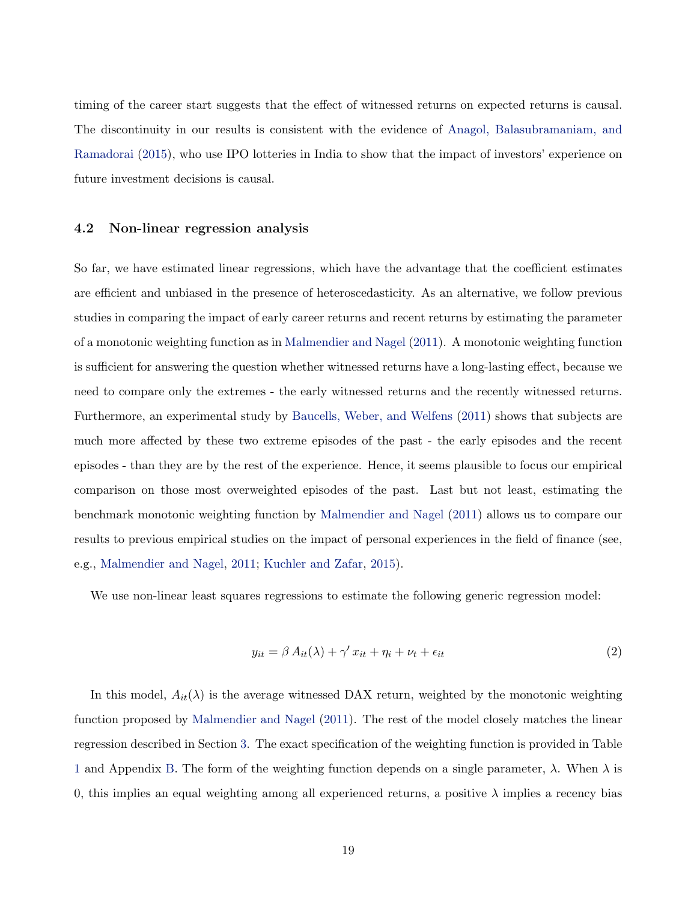timing of the career start suggests that the effect of witnessed returns on expected returns is causal. The discontinuity in our results is consistent with the evidence of [Anagol, Balasubramaniam, and](#page-29-12) [Ramadorai](#page-29-12) [\(2015\)](#page-29-12), who use IPO lotteries in India to show that the impact of investors' experience on future investment decisions is causal.

#### 4.2 Non-linear regression analysis

So far, we have estimated linear regressions, which have the advantage that the coefficient estimates are efficient and unbiased in the presence of heteroscedasticity. As an alternative, we follow previous studies in comparing the impact of early career returns and recent returns by estimating the parameter of a monotonic weighting function as in [Malmendier and Nagel](#page-30-7) [\(2011\)](#page-30-7). A monotonic weighting function is sufficient for answering the question whether witnessed returns have a long-lasting effect, because we need to compare only the extremes - the early witnessed returns and the recently witnessed returns. Furthermore, an experimental study by [Baucells, Weber, and Welfens](#page-29-13) [\(2011\)](#page-29-13) shows that subjects are much more affected by these two extreme episodes of the past - the early episodes and the recent episodes - than they are by the rest of the experience. Hence, it seems plausible to focus our empirical comparison on those most overweighted episodes of the past. Last but not least, estimating the benchmark monotonic weighting function by [Malmendier and Nagel](#page-30-7) [\(2011\)](#page-30-7) allows us to compare our results to previous empirical studies on the impact of personal experiences in the field of finance (see, e.g., [Malmendier and Nagel,](#page-30-7) [2011;](#page-30-7) [Kuchler and Zafar,](#page-30-9) [2015\)](#page-30-9).

We use non-linear least squares regressions to estimate the following generic regression model:

$$
y_{it} = \beta A_{it}(\lambda) + \gamma' x_{it} + \eta_i + \nu_t + \epsilon_{it}
$$
\n<sup>(2)</sup>

In this model,  $A_{it}(\lambda)$  is the average witnessed DAX return, weighted by the monotonic weighting function proposed by [Malmendier and Nagel](#page-30-7) [\(2011\)](#page-30-7). The rest of the model closely matches the linear regression described in Section [3.](#page-13-0) The exact specification of the weighting function is provided in Table [1](#page-38-0) and Appendix [B.](#page-48-0) The form of the weighting function depends on a single parameter,  $\lambda$ . When  $\lambda$  is 0, this implies an equal weighting among all experienced returns, a positive  $\lambda$  implies a recency bias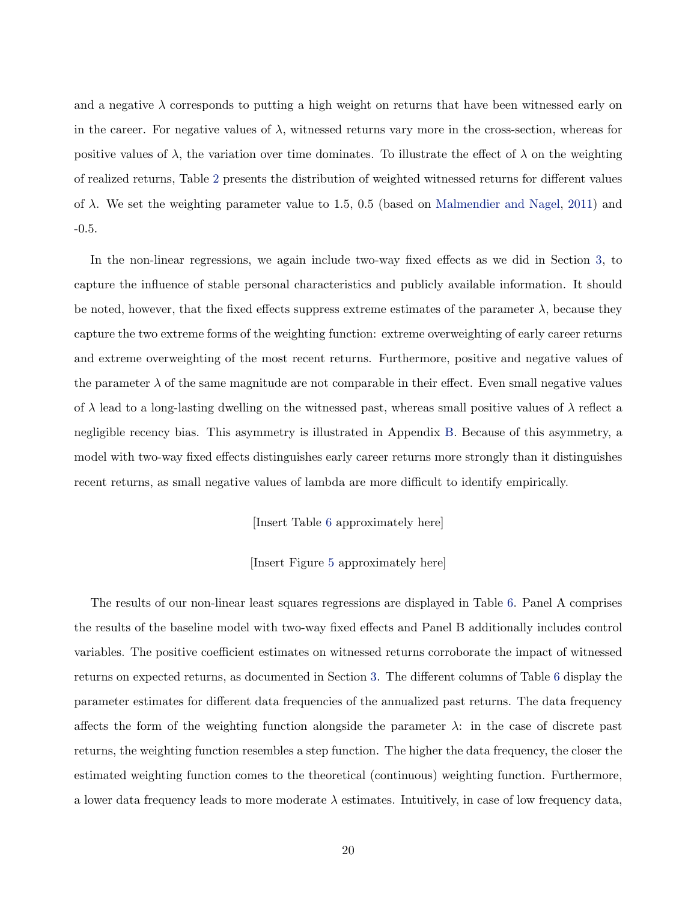and a negative  $\lambda$  corresponds to putting a high weight on returns that have been witnessed early on in the career. For negative values of  $\lambda$ , witnessed returns vary more in the cross-section, whereas for positive values of  $\lambda$ , the variation over time dominates. To illustrate the effect of  $\lambda$  on the weighting of realized returns, Table [2](#page-39-0) presents the distribution of weighted witnessed returns for different values of  $\lambda$ . We set the weighting parameter value to 1.5, 0.5 (based on [Malmendier and Nagel,](#page-30-7) [2011\)](#page-30-7) and -0.5.

In the non-linear regressions, we again include two-way fixed effects as we did in Section [3,](#page-13-0) to capture the influence of stable personal characteristics and publicly available information. It should be noted, however, that the fixed effects suppress extreme estimates of the parameter  $\lambda$ , because they capture the two extreme forms of the weighting function: extreme overweighting of early career returns and extreme overweighting of the most recent returns. Furthermore, positive and negative values of the parameter  $\lambda$  of the same magnitude are not comparable in their effect. Even small negative values of  $\lambda$  lead to a long-lasting dwelling on the witnessed past, whereas small positive values of  $\lambda$  reflect a negligible recency bias. This asymmetry is illustrated in Appendix [B.](#page-48-0) Because of this asymmetry, a model with two-way fixed effects distinguishes early career returns more strongly than it distinguishes recent returns, as small negative values of lambda are more difficult to identify empirically.

[Insert Table [6](#page-43-0) approximately here]

[Insert Figure [5](#page-35-0) approximately here]

The results of our non-linear least squares regressions are displayed in Table [6.](#page-43-0) Panel A comprises the results of the baseline model with two-way fixed effects and Panel B additionally includes control variables. The positive coefficient estimates on witnessed returns corroborate the impact of witnessed returns on expected returns, as documented in Section [3.](#page-13-0) The different columns of Table [6](#page-43-0) display the parameter estimates for different data frequencies of the annualized past returns. The data frequency affects the form of the weighting function alongside the parameter  $\lambda$ : in the case of discrete past returns, the weighting function resembles a step function. The higher the data frequency, the closer the estimated weighting function comes to the theoretical (continuous) weighting function. Furthermore, a lower data frequency leads to more moderate  $\lambda$  estimates. Intuitively, in case of low frequency data,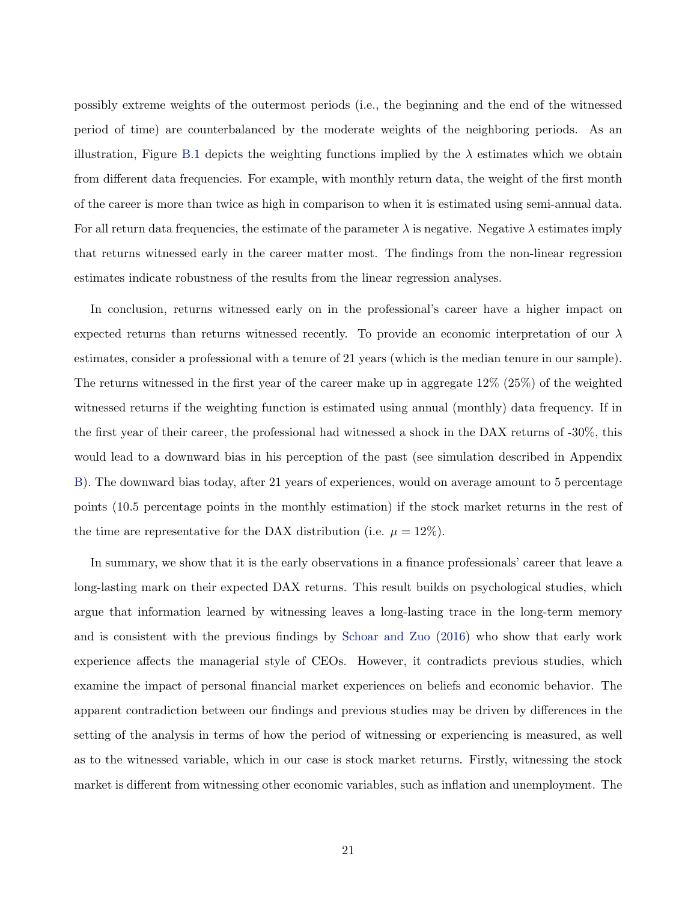possibly extreme weights of the outermost periods (i.e., the beginning and the end of the witnessed period of time) are counterbalanced by the moderate weights of the neighboring periods. As an illustration, Figure [B.1](#page-49-0) depicts the weighting functions implied by the  $\lambda$  estimates which we obtain from different data frequencies. For example, with monthly return data, the weight of the first month of the career is more than twice as high in comparison to when it is estimated using semi-annual data. For all return data frequencies, the estimate of the parameter  $\lambda$  is negative. Negative  $\lambda$  estimates imply that returns witnessed early in the career matter most. The findings from the non-linear regression estimates indicate robustness of the results from the linear regression analyses.

In conclusion, returns witnessed early on in the professional's career have a higher impact on expected returns than returns witnessed recently. To provide an economic interpretation of our  $\lambda$ estimates, consider a professional with a tenure of 21 years (which is the median tenure in our sample). The returns witnessed in the first year of the career make up in aggregate 12% (25%) of the weighted witnessed returns if the weighting function is estimated using annual (monthly) data frequency. If in the first year of their career, the professional had witnessed a shock in the DAX returns of -30%, this would lead to a downward bias in his perception of the past (see simulation described in Appendix [B\)](#page-48-0). The downward bias today, after 21 years of experiences, would on average amount to 5 percentage points (10.5 percentage points in the monthly estimation) if the stock market returns in the rest of the time are representative for the DAX distribution (i.e.  $\mu = 12\%$ ).

In summary, we show that it is the early observations in a finance professionals' career that leave a long-lasting mark on their expected DAX returns. This result builds on psychological studies, which argue that information learned by witnessing leaves a long-lasting trace in the long-term memory and is consistent with the previous findings by [Schoar and Zuo](#page-31-3) [\(2016\)](#page-31-3) who show that early work experience affects the managerial style of CEOs. However, it contradicts previous studies, which examine the impact of personal financial market experiences on beliefs and economic behavior. The apparent contradiction between our findings and previous studies may be driven by differences in the setting of the analysis in terms of how the period of witnessing or experiencing is measured, as well as to the witnessed variable, which in our case is stock market returns. Firstly, witnessing the stock market is different from witnessing other economic variables, such as inflation and unemployment. The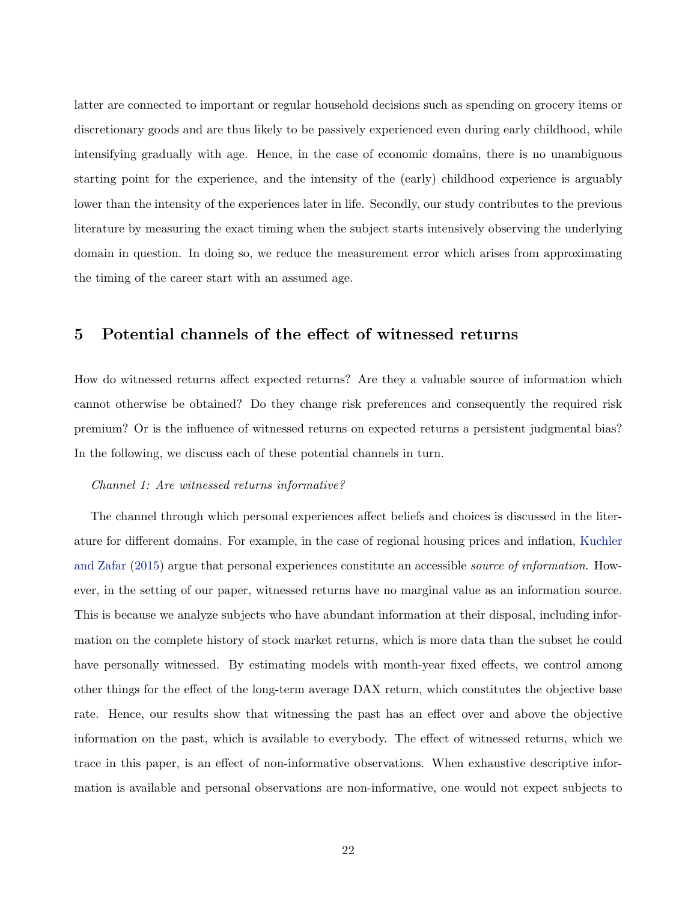latter are connected to important or regular household decisions such as spending on grocery items or discretionary goods and are thus likely to be passively experienced even during early childhood, while intensifying gradually with age. Hence, in the case of economic domains, there is no unambiguous starting point for the experience, and the intensity of the (early) childhood experience is arguably lower than the intensity of the experiences later in life. Secondly, our study contributes to the previous literature by measuring the exact timing when the subject starts intensively observing the underlying domain in question. In doing so, we reduce the measurement error which arises from approximating the timing of the career start with an assumed age.

## <span id="page-23-0"></span>5 Potential channels of the effect of witnessed returns

How do witnessed returns affect expected returns? Are they a valuable source of information which cannot otherwise be obtained? Do they change risk preferences and consequently the required risk premium? Or is the influence of witnessed returns on expected returns a persistent judgmental bias? In the following, we discuss each of these potential channels in turn.

### Channel 1: Are witnessed returns informative?

The channel through which personal experiences affect beliefs and choices is discussed in the literature for different domains. For example, in the case of regional housing prices and inflation, [Kuchler](#page-30-9) [and Zafar](#page-30-9) [\(2015\)](#page-30-9) argue that personal experiences constitute an accessible source of information. However, in the setting of our paper, witnessed returns have no marginal value as an information source. This is because we analyze subjects who have abundant information at their disposal, including information on the complete history of stock market returns, which is more data than the subset he could have personally witnessed. By estimating models with month-year fixed effects, we control among other things for the effect of the long-term average DAX return, which constitutes the objective base rate. Hence, our results show that witnessing the past has an effect over and above the objective information on the past, which is available to everybody. The effect of witnessed returns, which we trace in this paper, is an effect of non-informative observations. When exhaustive descriptive information is available and personal observations are non-informative, one would not expect subjects to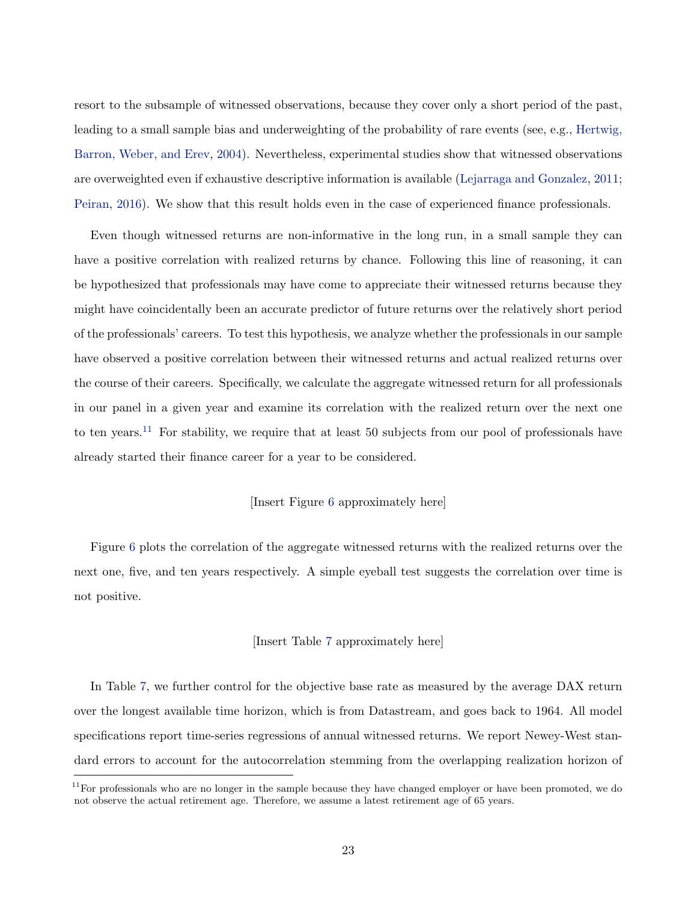resort to the subsample of witnessed observations, because they cover only a short period of the past, leading to a small sample bias and underweighting of the probability of rare events (see, e.g., [Hertwig,](#page-29-0) [Barron, Weber, and Erev,](#page-29-0) [2004\)](#page-29-0). Nevertheless, experimental studies show that witnessed observations are overweighted even if exhaustive descriptive information is available [\(Lejarraga and Gonzalez,](#page-30-3) [2011;](#page-30-3) [Peiran,](#page-31-4) [2016\)](#page-31-4). We show that this result holds even in the case of experienced finance professionals.

Even though witnessed returns are non-informative in the long run, in a small sample they can have a positive correlation with realized returns by chance. Following this line of reasoning, it can be hypothesized that professionals may have come to appreciate their witnessed returns because they might have coincidentally been an accurate predictor of future returns over the relatively short period of the professionals' careers. To test this hypothesis, we analyze whether the professionals in our sample have observed a positive correlation between their witnessed returns and actual realized returns over the course of their careers. Specifically, we calculate the aggregate witnessed return for all professionals in our panel in a given year and examine its correlation with the realized return over the next one to ten years.<sup>[11](#page-0-0)</sup> For stability, we require that at least 50 subjects from our pool of professionals have already started their finance career for a year to be considered.

### [Insert Figure [6](#page-36-0) approximately here]

Figure [6](#page-36-0) plots the correlation of the aggregate witnessed returns with the realized returns over the next one, five, and ten years respectively. A simple eyeball test suggests the correlation over time is not positive.

#### [Insert Table [7](#page-44-0) approximately here]

In Table [7,](#page-44-0) we further control for the objective base rate as measured by the average DAX return over the longest available time horizon, which is from Datastream, and goes back to 1964. All model specifications report time-series regressions of annual witnessed returns. We report Newey-West standard errors to account for the autocorrelation stemming from the overlapping realization horizon of

 $11$  For professionals who are no longer in the sample because they have changed employer or have been promoted, we do not observe the actual retirement age. Therefore, we assume a latest retirement age of 65 years.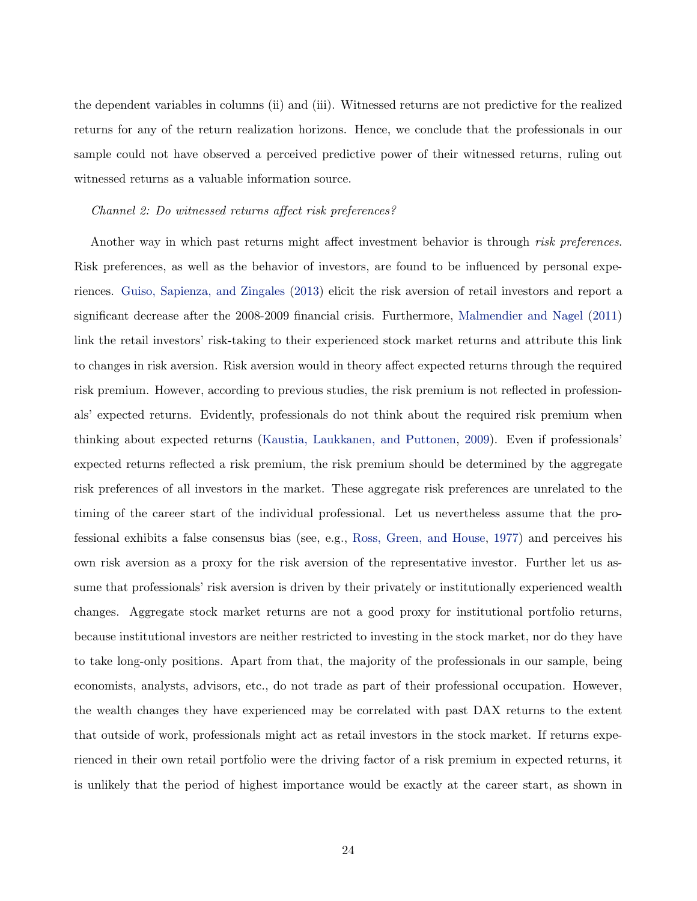the dependent variables in columns (ii) and (iii). Witnessed returns are not predictive for the realized returns for any of the return realization horizons. Hence, we conclude that the professionals in our sample could not have observed a perceived predictive power of their witnessed returns, ruling out witnessed returns as a valuable information source.

#### Channel 2: Do witnessed returns affect risk preferences?

Another way in which past returns might affect investment behavior is through risk preferences. Risk preferences, as well as the behavior of investors, are found to be influenced by personal experiences. [Guiso, Sapienza, and Zingales](#page-29-6) [\(2013\)](#page-29-6) elicit the risk aversion of retail investors and report a significant decrease after the 2008-2009 financial crisis. Furthermore, [Malmendier and Nagel](#page-30-7) [\(2011\)](#page-30-7) link the retail investors' risk-taking to their experienced stock market returns and attribute this link to changes in risk aversion. Risk aversion would in theory affect expected returns through the required risk premium. However, according to previous studies, the risk premium is not reflected in professionals' expected returns. Evidently, professionals do not think about the required risk premium when thinking about expected returns [\(Kaustia, Laukkanen, and Puttonen,](#page-30-13) [2009\)](#page-30-13). Even if professionals' expected returns reflected a risk premium, the risk premium should be determined by the aggregate risk preferences of all investors in the market. These aggregate risk preferences are unrelated to the timing of the career start of the individual professional. Let us nevertheless assume that the professional exhibits a false consensus bias (see, e.g., [Ross, Green, and House,](#page-31-7) [1977\)](#page-31-7) and perceives his own risk aversion as a proxy for the risk aversion of the representative investor. Further let us assume that professionals' risk aversion is driven by their privately or institutionally experienced wealth changes. Aggregate stock market returns are not a good proxy for institutional portfolio returns, because institutional investors are neither restricted to investing in the stock market, nor do they have to take long-only positions. Apart from that, the majority of the professionals in our sample, being economists, analysts, advisors, etc., do not trade as part of their professional occupation. However, the wealth changes they have experienced may be correlated with past DAX returns to the extent that outside of work, professionals might act as retail investors in the stock market. If returns experienced in their own retail portfolio were the driving factor of a risk premium in expected returns, it is unlikely that the period of highest importance would be exactly at the career start, as shown in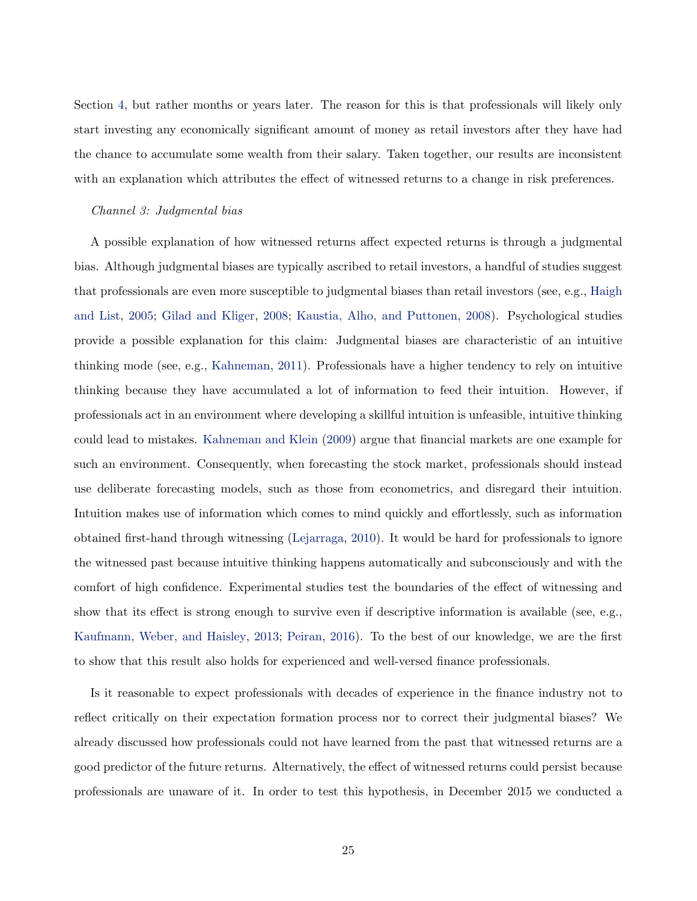Section [4,](#page-17-0) but rather months or years later. The reason for this is that professionals will likely only start investing any economically significant amount of money as retail investors after they have had the chance to accumulate some wealth from their salary. Taken together, our results are inconsistent with an explanation which attributes the effect of witnessed returns to a change in risk preferences.

#### Channel 3: Judgmental bias

A possible explanation of how witnessed returns affect expected returns is through a judgmental bias. Although judgmental biases are typically ascribed to retail investors, a handful of studies suggest that professionals are even more susceptible to judgmental biases than retail investors (see, e.g., [Haigh](#page-29-14) [and List,](#page-29-14) [2005;](#page-29-14) [Gilad and Kliger,](#page-29-15) [2008;](#page-29-15) [Kaustia, Alho, and Puttonen,](#page-30-14) [2008\)](#page-30-14). Psychological studies provide a possible explanation for this claim: Judgmental biases are characteristic of an intuitive thinking mode (see, e.g., [Kahneman,](#page-30-15) [2011\)](#page-30-15). Professionals have a higher tendency to rely on intuitive thinking because they have accumulated a lot of information to feed their intuition. However, if professionals act in an environment where developing a skillful intuition is unfeasible, intuitive thinking could lead to mistakes. [Kahneman and Klein](#page-30-16) [\(2009\)](#page-30-16) argue that financial markets are one example for such an environment. Consequently, when forecasting the stock market, professionals should instead use deliberate forecasting models, such as those from econometrics, and disregard their intuition. Intuition makes use of information which comes to mind quickly and effortlessly, such as information obtained first-hand through witnessing [\(Lejarraga,](#page-30-5) [2010\)](#page-30-5). It would be hard for professionals to ignore the witnessed past because intuitive thinking happens automatically and subconsciously and with the comfort of high confidence. Experimental studies test the boundaries of the effect of witnessing and show that its effect is strong enough to survive even if descriptive information is available (see, e.g., [Kaufmann, Weber, and Haisley,](#page-30-4) [2013;](#page-30-4) [Peiran,](#page-31-4) [2016\)](#page-31-4). To the best of our knowledge, we are the first to show that this result also holds for experienced and well-versed finance professionals.

Is it reasonable to expect professionals with decades of experience in the finance industry not to reflect critically on their expectation formation process nor to correct their judgmental biases? We already discussed how professionals could not have learned from the past that witnessed returns are a good predictor of the future returns. Alternatively, the effect of witnessed returns could persist because professionals are unaware of it. In order to test this hypothesis, in December 2015 we conducted a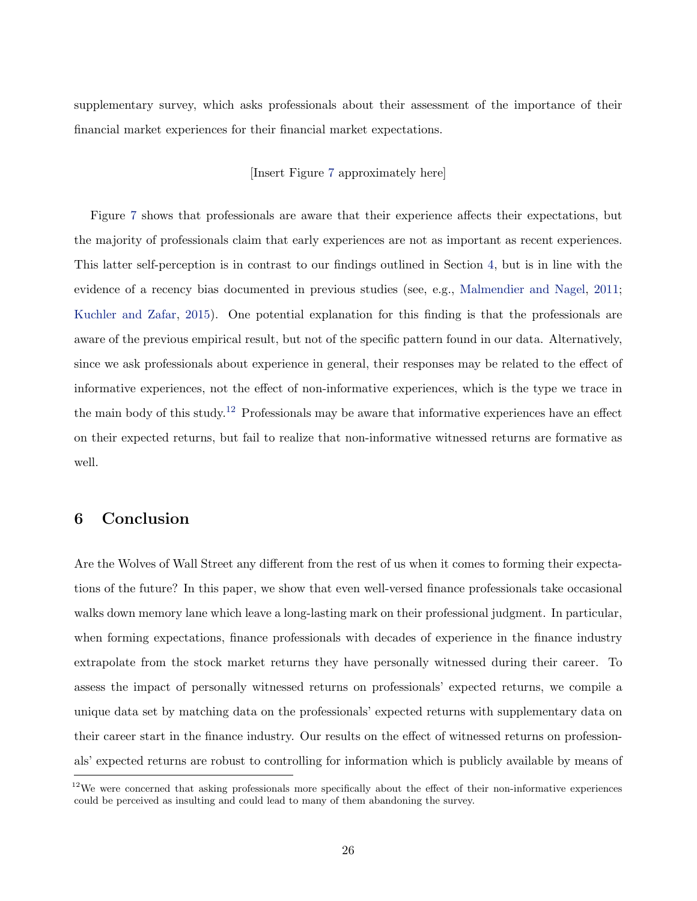supplementary survey, which asks professionals about their assessment of the importance of their financial market experiences for their financial market expectations.

### [Insert Figure [7](#page-37-0) approximately here]

Figure [7](#page-37-0) shows that professionals are aware that their experience affects their expectations, but the majority of professionals claim that early experiences are not as important as recent experiences. This latter self-perception is in contrast to our findings outlined in Section [4,](#page-17-0) but is in line with the evidence of a recency bias documented in previous studies (see, e.g., [Malmendier and Nagel,](#page-30-7) [2011;](#page-30-7) [Kuchler and Zafar,](#page-30-9) [2015\)](#page-30-9). One potential explanation for this finding is that the professionals are aware of the previous empirical result, but not of the specific pattern found in our data. Alternatively, since we ask professionals about experience in general, their responses may be related to the effect of informative experiences, not the effect of non-informative experiences, which is the type we trace in the main body of this study.<sup>[12](#page-0-0)</sup> Professionals may be aware that informative experiences have an effect on their expected returns, but fail to realize that non-informative witnessed returns are formative as well.

## <span id="page-27-0"></span>6 Conclusion

Are the Wolves of Wall Street any different from the rest of us when it comes to forming their expectations of the future? In this paper, we show that even well-versed finance professionals take occasional walks down memory lane which leave a long-lasting mark on their professional judgment. In particular, when forming expectations, finance professionals with decades of experience in the finance industry extrapolate from the stock market returns they have personally witnessed during their career. To assess the impact of personally witnessed returns on professionals' expected returns, we compile a unique data set by matching data on the professionals' expected returns with supplementary data on their career start in the finance industry. Our results on the effect of witnessed returns on professionals' expected returns are robust to controlling for information which is publicly available by means of

 $12$ We were concerned that asking professionals more specifically about the effect of their non-informative experiences could be perceived as insulting and could lead to many of them abandoning the survey.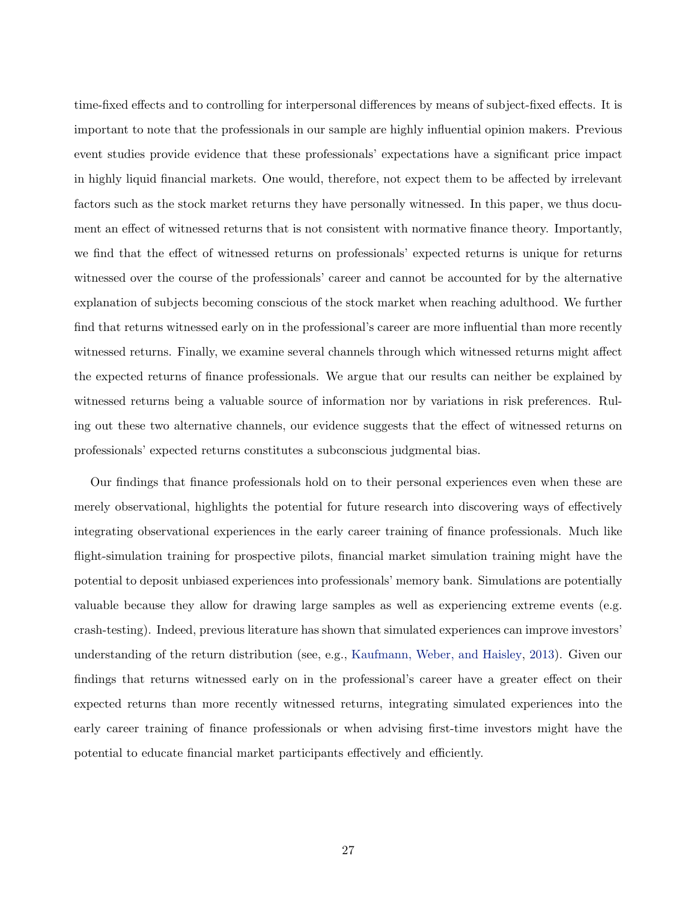time-fixed effects and to controlling for interpersonal differences by means of subject-fixed effects. It is important to note that the professionals in our sample are highly influential opinion makers. Previous event studies provide evidence that these professionals' expectations have a significant price impact in highly liquid financial markets. One would, therefore, not expect them to be affected by irrelevant factors such as the stock market returns they have personally witnessed. In this paper, we thus document an effect of witnessed returns that is not consistent with normative finance theory. Importantly, we find that the effect of witnessed returns on professionals' expected returns is unique for returns witnessed over the course of the professionals' career and cannot be accounted for by the alternative explanation of subjects becoming conscious of the stock market when reaching adulthood. We further find that returns witnessed early on in the professional's career are more influential than more recently witnessed returns. Finally, we examine several channels through which witnessed returns might affect the expected returns of finance professionals. We argue that our results can neither be explained by witnessed returns being a valuable source of information nor by variations in risk preferences. Ruling out these two alternative channels, our evidence suggests that the effect of witnessed returns on professionals' expected returns constitutes a subconscious judgmental bias.

Our findings that finance professionals hold on to their personal experiences even when these are merely observational, highlights the potential for future research into discovering ways of effectively integrating observational experiences in the early career training of finance professionals. Much like flight-simulation training for prospective pilots, financial market simulation training might have the potential to deposit unbiased experiences into professionals' memory bank. Simulations are potentially valuable because they allow for drawing large samples as well as experiencing extreme events (e.g. crash-testing). Indeed, previous literature has shown that simulated experiences can improve investors' understanding of the return distribution (see, e.g., [Kaufmann, Weber, and Haisley,](#page-30-4) [2013\)](#page-30-4). Given our findings that returns witnessed early on in the professional's career have a greater effect on their expected returns than more recently witnessed returns, integrating simulated experiences into the early career training of finance professionals or when advising first-time investors might have the potential to educate financial market participants effectively and efficiently.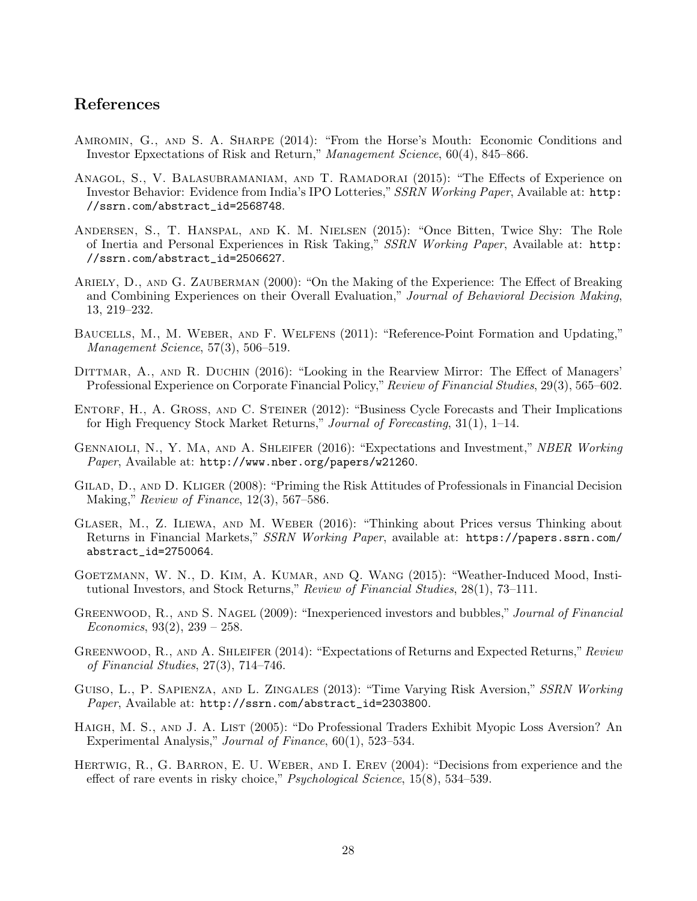## References

- <span id="page-29-10"></span>AMROMIN, G., AND S. A. SHARPE (2014): "From the Horse's Mouth: Economic Conditions and Investor Epxectations of Risk and Return," Management Science, 60(4), 845–866.
- <span id="page-29-12"></span>Anagol, S., V. Balasubramaniam, and T. Ramadorai (2015): "The Effects of Experience on Investor Behavior: Evidence from India's IPO Lotteries," SSRN Working Paper, Available at: [http:](http://ssrn.com/abstract_id=2568748) [//ssrn.com/abstract\\_id=2568748](http://ssrn.com/abstract_id=2568748).
- <span id="page-29-7"></span>Andersen, S., T. Hanspal, and K. M. Nielsen (2015): "Once Bitten, Twice Shy: The Role of Inertia and Personal Experiences in Risk Taking," SSRN Working Paper, Available at: [http:](http://ssrn.com/abstract_id=2506627) [//ssrn.com/abstract\\_id=2506627](http://ssrn.com/abstract_id=2506627).
- <span id="page-29-11"></span>Ariely, D., and G. Zauberman (2000): "On the Making of the Experience: The Effect of Breaking and Combining Experiences on their Overall Evaluation," Journal of Behavioral Decision Making, 13, 219–232.
- <span id="page-29-13"></span>Baucells, M., M. Weber, and F. Welfens (2011): "Reference-Point Formation and Updating," Management Science, 57(3), 506–519.
- <span id="page-29-3"></span>DITTMAR, A., AND R. DUCHIN (2016): "Looking in the Rearview Mirror: The Effect of Managers' Professional Experience on Corporate Financial Policy," Review of Financial Studies, 29(3), 565–602.
- <span id="page-29-2"></span>ENTORF, H., A. GROSS, AND C. STEINER (2012): "Business Cycle Forecasts and Their Implications for High Frequency Stock Market Returns," Journal of Forecasting, 31(1), 1–14.
- <span id="page-29-1"></span>GENNAIOLI, N., Y. MA, AND A. SHLEIFER (2016): "Expectations and Investment," NBER Working Paper, Available at: <http://www.nber.org/papers/w21260>.
- <span id="page-29-15"></span>Gilad, D., and D. Kliger (2008): "Priming the Risk Attitudes of Professionals in Financial Decision Making," Review of Finance, 12(3), 567–586.
- <span id="page-29-8"></span>Glaser, M., Z. Iliewa, and M. Weber (2016): "Thinking about Prices versus Thinking about Returns in Financial Markets," SSRN Working Paper, available at: [https://papers.ssrn.com/](https://papers.ssrn.com/abstract_id=2750064) [abstract\\_id=2750064](https://papers.ssrn.com/abstract_id=2750064).
- <span id="page-29-9"></span>Goetzmann, W. N., D. Kim, A. Kumar, and Q. Wang (2015): "Weather-Induced Mood, Institutional Investors, and Stock Returns," Review of Financial Studies, 28(1), 73–111.
- <span id="page-29-4"></span>GREENWOOD, R., AND S. NAGEL (2009): "Inexperienced investors and bubbles," Journal of Financial Economics,  $93(2)$ ,  $239 - 258$ .
- <span id="page-29-5"></span>GREENWOOD, R., AND A. SHLEIFER (2014): "Expectations of Returns and Expected Returns," Review of Financial Studies, 27(3), 714–746.
- <span id="page-29-6"></span>GUISO, L., P. SAPIENZA, AND L. ZINGALES (2013): "Time Varying Risk Aversion," SSRN Working Paper, Available at: [http://ssrn.com/abstract\\_id=2303800](http://ssrn.com/abstract_id=2303800).
- <span id="page-29-14"></span>HAIGH, M. S., AND J. A. LIST (2005): "Do Professional Traders Exhibit Myopic Loss Aversion? An Experimental Analysis," Journal of Finance, 60(1), 523–534.
- <span id="page-29-0"></span>Hertwig, R., G. Barron, E. U. Weber, and I. Erev (2004): "Decisions from experience and the effect of rare events in risky choice," Psychological Science, 15(8), 534–539.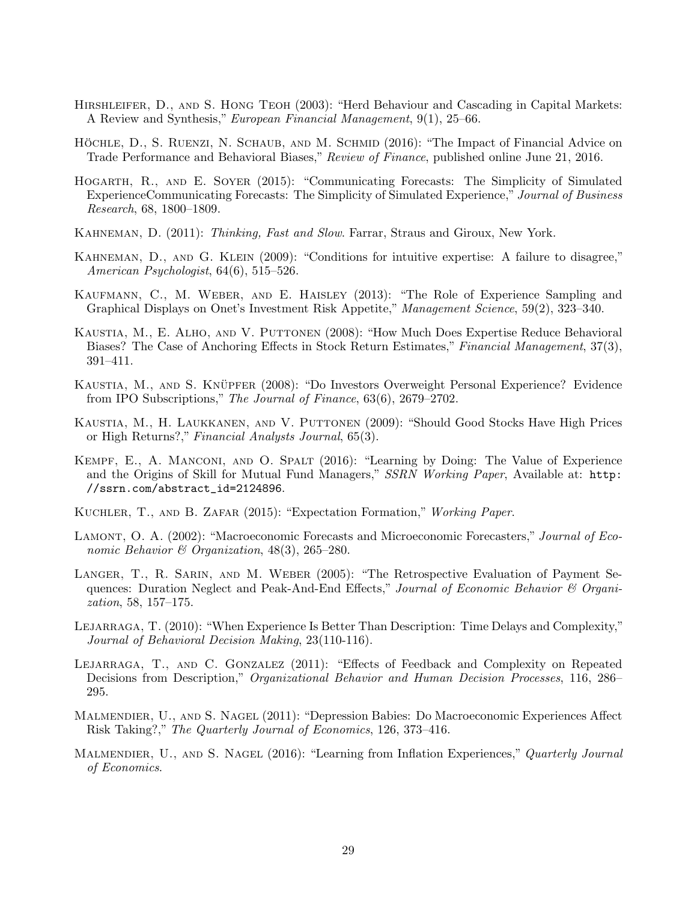- <span id="page-30-12"></span>HIRSHLEIFER, D., AND S. HONG TEOH (2003): "Herd Behaviour and Cascading in Capital Markets: A Review and Synthesis," European Financial Management, 9(1), 25–66.
- <span id="page-30-1"></span>HÖCHLE, D., S. RUENZI, N. SCHAUB, AND M. SCHMID (2016): "The Impact of Financial Advice on Trade Performance and Behavioral Biases," Review of Finance, published online June 21, 2016.
- <span id="page-30-0"></span>Hogarth, R., and E. Soyer (2015): "Communicating Forecasts: The Simplicity of Simulated ExperienceCommunicating Forecasts: The Simplicity of Simulated Experience," Journal of Business Research, 68, 1800–1809.
- <span id="page-30-15"></span>KAHNEMAN, D. (2011): *Thinking, Fast and Slow.* Farrar, Straus and Giroux, New York.
- <span id="page-30-16"></span>Kahneman, D., and G. Klein (2009): "Conditions for intuitive expertise: A failure to disagree," American Psychologist, 64(6), 515–526.
- <span id="page-30-4"></span>Kaufmann, C., M. Weber, and E. Haisley (2013): "The Role of Experience Sampling and Graphical Displays on Onet's Investment Risk Appetite," Management Science, 59(2), 323–340.
- <span id="page-30-14"></span>Kaustia, M., E. Alho, and V. Puttonen (2008): "How Much Does Expertise Reduce Behavioral Biases? The Case of Anchoring Effects in Stock Return Estimates," Financial Management, 37(3), 391–411.
- <span id="page-30-10"></span>KAUSTIA, M., AND S. KNÜPFER (2008): "Do Investors Overweight Personal Experience? Evidence from IPO Subscriptions," The Journal of Finance, 63(6), 2679–2702.
- <span id="page-30-13"></span>Kaustia, M., H. Laukkanen, and V. Puttonen (2009): "Should Good Stocks Have High Prices or High Returns?," Financial Analysts Journal, 65(3).
- <span id="page-30-2"></span>Kempf, E., A. Manconi, and O. Spalt (2016): "Learning by Doing: The Value of Experience and the Origins of Skill for Mutual Fund Managers," SSRN Working Paper, Available at: [http:](http://ssrn.com/abstract_id=2124896) [//ssrn.com/abstract\\_id=2124896](http://ssrn.com/abstract_id=2124896).
- <span id="page-30-9"></span>Kuchler, T., and B. Zafar (2015): "Expectation Formation," Working Paper.
- <span id="page-30-11"></span>LAMONT, O. A. (2002): "Macroeconomic Forecasts and Microeconomic Forecasters," Journal of Economic Behavior & Organization,  $48(3)$ ,  $265-280$ .
- <span id="page-30-6"></span>LANGER, T., R. SARIN, AND M. WEBER (2005): "The Retrospective Evaluation of Payment Sequences: Duration Neglect and Peak-And-End Effects," Journal of Economic Behavior  $\mathcal C$  Organization, 58, 157–175.
- <span id="page-30-5"></span>LEJARRAGA, T. (2010): "When Experience Is Better Than Description: Time Delays and Complexity," Journal of Behavioral Decision Making, 23(110-116).
- <span id="page-30-3"></span>LEJARRAGA, T., AND C. GONZALEZ (2011): "Effects of Feedback and Complexity on Repeated Decisions from Description," Organizational Behavior and Human Decision Processes, 116, 286– 295.
- <span id="page-30-7"></span>Malmendier, U., and S. Nagel (2011): "Depression Babies: Do Macroeconomic Experiences Affect Risk Taking?," The Quarterly Journal of Economics, 126, 373–416.
- <span id="page-30-8"></span>MALMENDIER, U., AND S. NAGEL (2016): "Learning from Inflation Experiences," Quarterly Journal of Economics.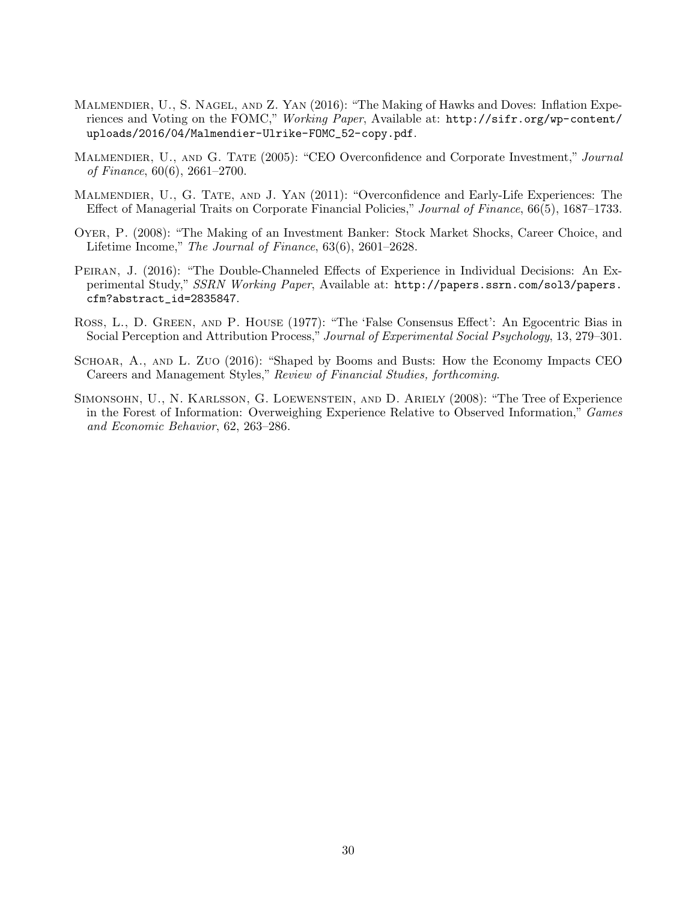- <span id="page-31-2"></span>Malmendier, U., S. Nagel, and Z. Yan (2016): "The Making of Hawks and Doves: Inflation Experiences and Voting on the FOMC," Working Paper, Available at: [http://sifr.org/wp-content/](http://sifr.org/wp-content/uploads/2016/04/Malmendier-Ulrike-FOMC_52-copy.pdf) [uploads/2016/04/Malmendier-Ulrike-FOMC\\_52-copy.pdf](http://sifr.org/wp-content/uploads/2016/04/Malmendier-Ulrike-FOMC_52-copy.pdf).
- <span id="page-31-0"></span>MALMENDIER, U., AND G. TATE (2005): "CEO Overconfidence and Corporate Investment," Journal of Finance, 60(6), 2661–2700.
- <span id="page-31-1"></span>Malmendier, U., G. Tate, and J. Yan (2011): "Overconfidence and Early-Life Experiences: The Effect of Managerial Traits on Corporate Financial Policies," Journal of Finance, 66(5), 1687–1733.
- <span id="page-31-6"></span>Oyer, P. (2008): "The Making of an Investment Banker: Stock Market Shocks, Career Choice, and Lifetime Income," The Journal of Finance, 63(6), 2601–2628.
- <span id="page-31-4"></span>Peiran, J. (2016): "The Double-Channeled Effects of Experience in Individual Decisions: An Experimental Study," SSRN Working Paper, Available at: [http://papers.ssrn.com/sol3/papers.](http://papers.ssrn.com/sol3/papers.cfm?abstract_id=2835847) [cfm?abstract\\_id=2835847](http://papers.ssrn.com/sol3/papers.cfm?abstract_id=2835847).
- <span id="page-31-7"></span>Ross, L., D. Green, and P. House (1977): "The 'False Consensus Effect': An Egocentric Bias in Social Perception and Attribution Process," Journal of Experimental Social Psychology, 13, 279–301.
- <span id="page-31-3"></span>Schoar, A., and L. Zuo (2016): "Shaped by Booms and Busts: How the Economy Impacts CEO Careers and Management Styles," Review of Financial Studies, forthcoming.
- <span id="page-31-5"></span>Simonsohn, U., N. Karlsson, G. Loewenstein, and D. Ariely (2008): "The Tree of Experience in the Forest of Information: Overweighing Experience Relative to Observed Information," Games and Economic Behavior, 62, 263–286.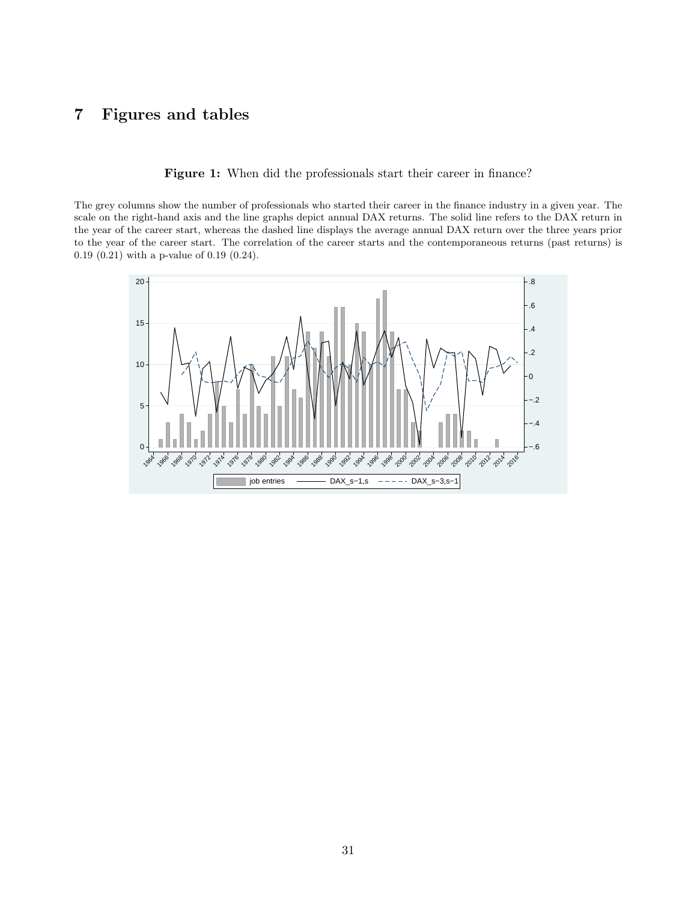## <span id="page-32-0"></span>Figures and tables

Figure 1: When did the professionals start their career in finance?

The grey columns show the number of professionals who started their career in the finance industry in a given year. The scale on the right-hand axis and the line graphs depict annual DAX returns. The solid line refers to the DAX return in the year of the career start, whereas the dashed line displays the average annual DAX return over the three years prior to the year of the career start. The correlation of the career starts and the contemporaneous returns (past returns) is 0.19 (0.21) with a p-value of 0.19 (0.24).

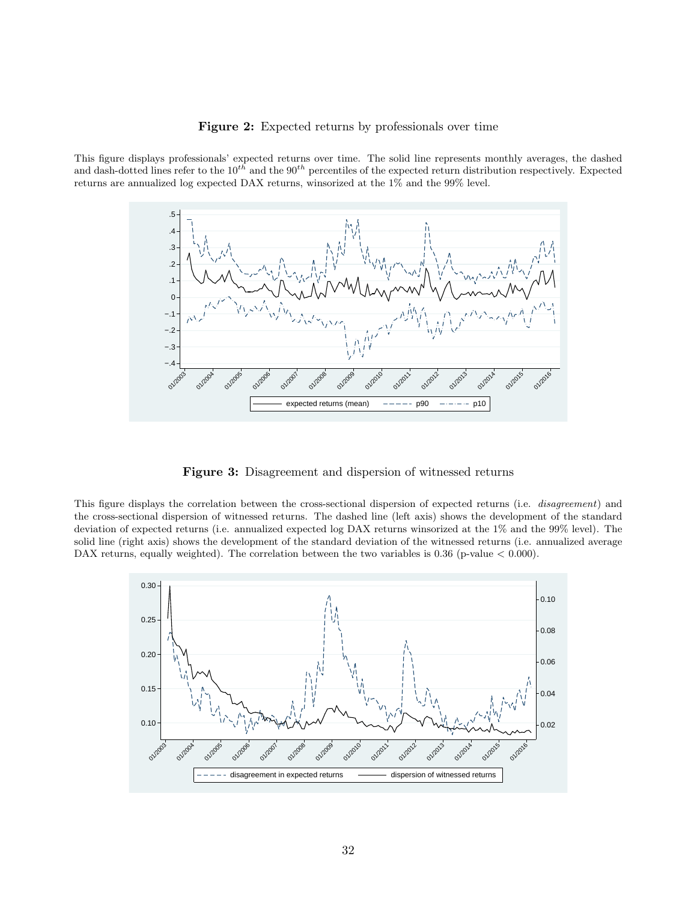#### Figure 2: Expected returns by professionals over time

<span id="page-33-0"></span>This figure displays professionals' expected returns over time. The solid line represents monthly averages, the dashed and dash-dotted lines refer to the  $10^{th}$  and the  $90^{th}$  percentiles of the expected return distribution respectively. Expected returns are annualized log expected DAX returns, winsorized at the 1% and the 99% level.



Figure 3: Disagreement and dispersion of witnessed returns

<span id="page-33-1"></span>This figure displays the correlation between the cross-sectional dispersion of expected returns (i.e. *disagreement*) and the cross-sectional dispersion of witnessed returns. The dashed line (left axis) shows the development of the standard deviation of expected returns (i.e. annualized expected log DAX returns winsorized at the 1% and the 99% level). The solid line (right axis) shows the development of the standard deviation of the witnessed returns (i.e. annualized average DAX returns, equally weighted). The correlation between the two variables is 0.36 (p-value  $< 0.000$ ).

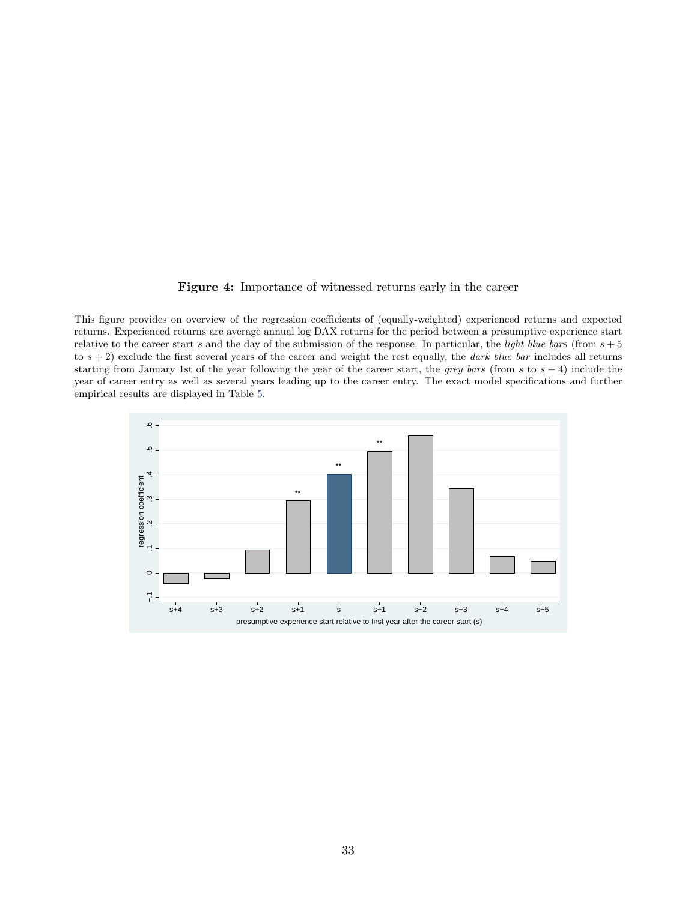#### Figure 4: Importance of witnessed returns early in the career

<span id="page-34-0"></span>This figure provides on overview of the regression coefficients of (equally-weighted) experienced returns and expected returns. Experienced returns are average annual log DAX returns for the period between a presumptive experience start relative to the career start s and the day of the submission of the response. In particular, the *light blue bars* (from  $s + 5$ to  $s + 2$ ) exclude the first several years of the career and weight the rest equally, the *dark blue bar* includes all returns starting from January 1st of the year following the year of the career start, the grey bars (from s to  $s - 4$ ) include the year of career entry as well as several years leading up to the career entry. The exact model specifications and further empirical results are displayed in Table [5.](#page-42-0)

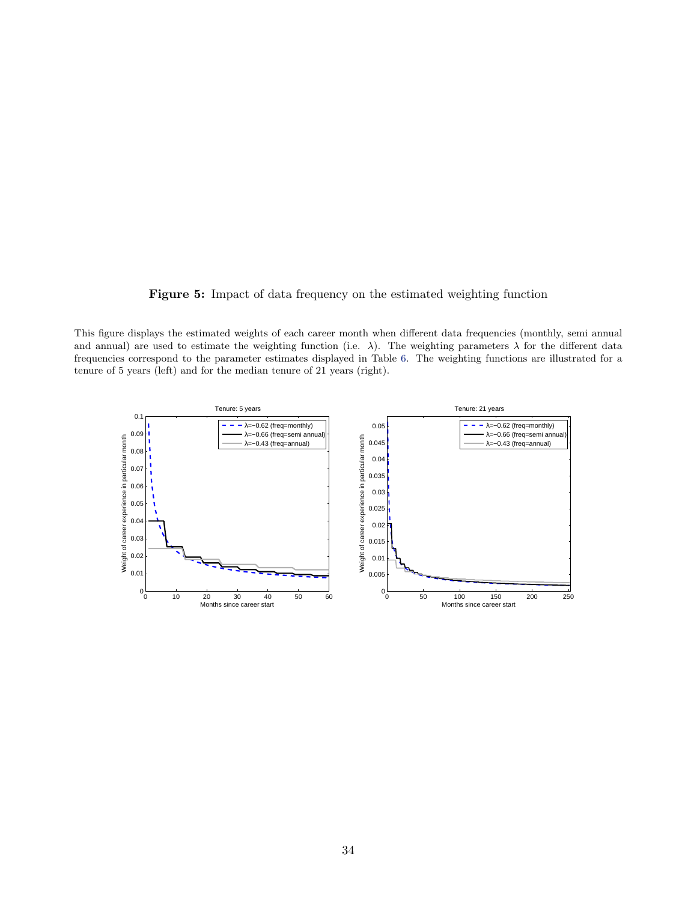Figure 5: Impact of data frequency on the estimated weighting function

<span id="page-35-0"></span>This figure displays the estimated weights of each career month when different data frequencies (monthly, semi annual and annual) are used to estimate the weighting function (i.e.  $\lambda$ ). The weighting parameters  $\lambda$  for the different data frequencies correspond to the parameter estimates displayed in Table [6.](#page-43-0) The weighting functions are illustrated for a tenure of 5 years (left) and for the median tenure of 21 years (right).

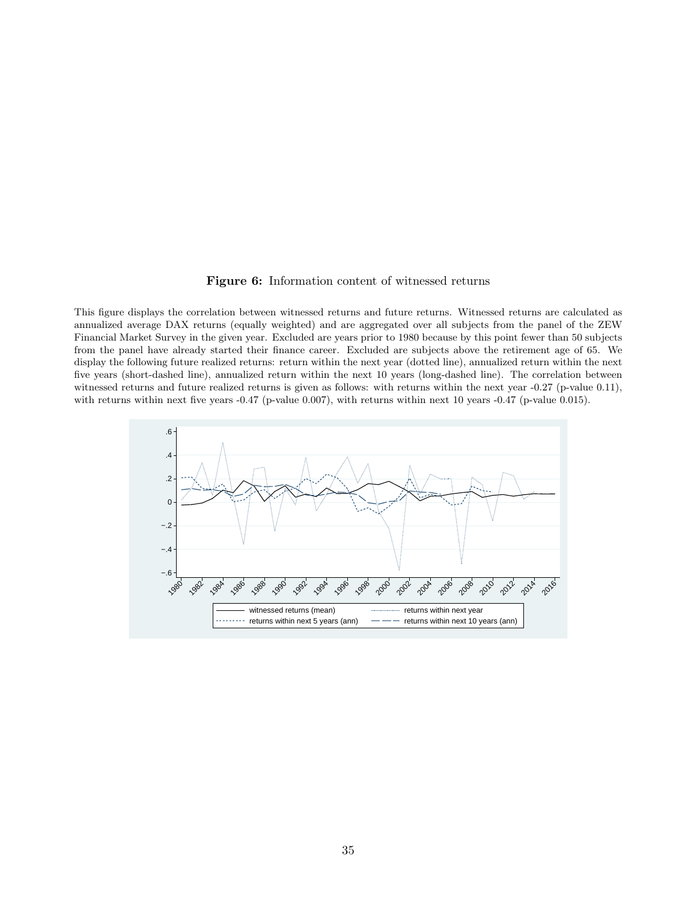#### Figure 6: Information content of witnessed returns

<span id="page-36-0"></span>This figure displays the correlation between witnessed returns and future returns. Witnessed returns are calculated as annualized average DAX returns (equally weighted) and are aggregated over all subjects from the panel of the ZEW Financial Market Survey in the given year. Excluded are years prior to 1980 because by this point fewer than 50 subjects from the panel have already started their finance career. Excluded are subjects above the retirement age of 65. We display the following future realized returns: return within the next year (dotted line), annualized return within the next five years (short-dashed line), annualized return within the next 10 years (long-dashed line). The correlation between witnessed returns and future realized returns is given as follows: with returns within the next year -0.27 (p-value 0.11), with returns within next five years -0.47 (p-value 0.007), with returns within next 10 years -0.47 (p-value 0.015).

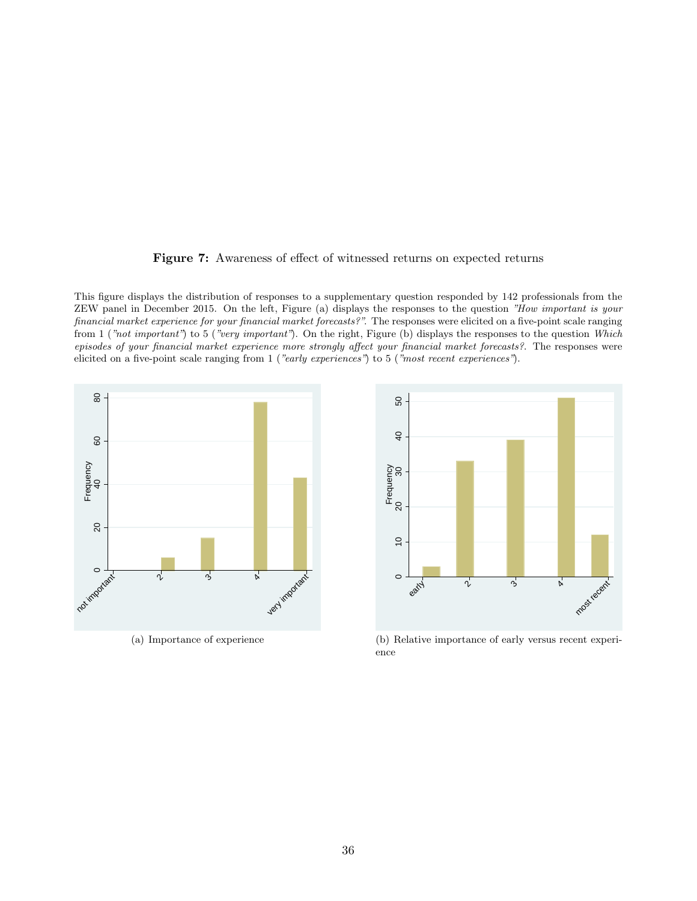

<span id="page-37-0"></span>This figure displays the distribution of responses to a supplementary question responded by 142 professionals from the ZEW panel in December 2015. On the left, Figure (a) displays the responses to the question "How important is your financial market experience for your financial market forecasts?". The responses were elicited on a five-point scale ranging from 1 ("not important") to 5 ("very important"). On the right, Figure (b) displays the responses to the question Which episodes of your financial market experience more strongly affect your financial market forecasts?. The responses were elicited on a five-point scale ranging from 1 ("early experiences") to 5 ("most recent experiences").



(a) Importance of experience



(b) Relative importance of early versus recent experience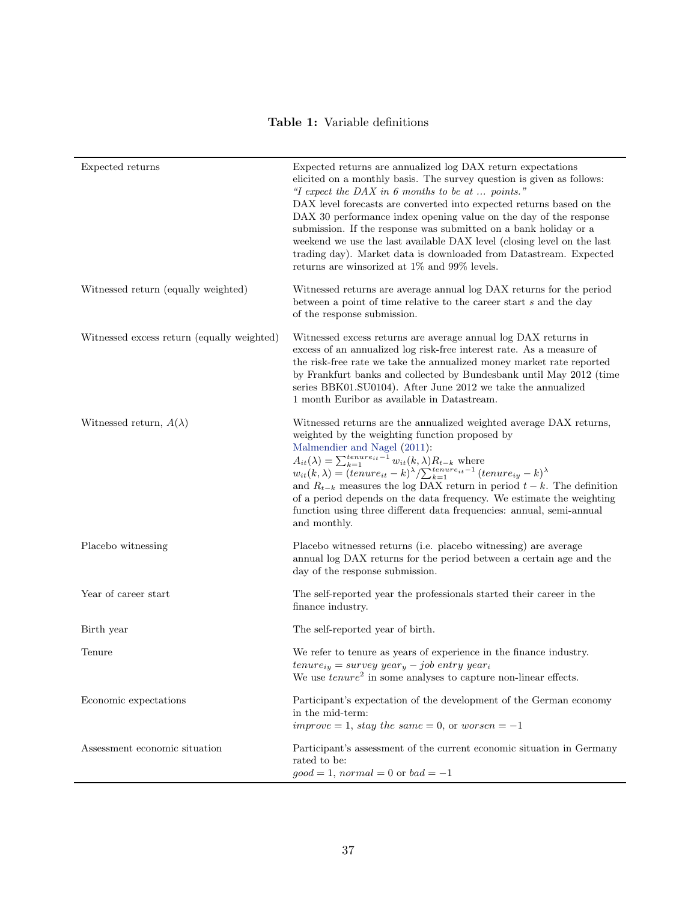## Table 1: Variable definitions

<span id="page-38-0"></span>

| Expected returns                           | Expected returns are annualized log DAX return expectations<br>elicited on a monthly basis. The survey question is given as follows:<br>"I expect the DAX in 6 months to be at  points."<br>DAX level forecasts are converted into expected returns based on the<br>DAX 30 performance index opening value on the day of the response<br>submission. If the response was submitted on a bank holiday or a<br>weekend we use the last available DAX level (closing level on the last<br>trading day). Market data is downloaded from Datastream. Expected<br>returns are winsorized at $1\%$ and $99\%$ levels.                             |
|--------------------------------------------|--------------------------------------------------------------------------------------------------------------------------------------------------------------------------------------------------------------------------------------------------------------------------------------------------------------------------------------------------------------------------------------------------------------------------------------------------------------------------------------------------------------------------------------------------------------------------------------------------------------------------------------------|
| Witnessed return (equally weighted)        | Witnessed returns are average annual log DAX returns for the period<br>between a point of time relative to the career start s and the day<br>of the response submission.                                                                                                                                                                                                                                                                                                                                                                                                                                                                   |
| Witnessed excess return (equally weighted) | Witnessed excess returns are average annual log DAX returns in<br>excess of an annualized log risk-free interest rate. As a measure of<br>the risk-free rate we take the annualized money market rate reported<br>by Frankfurt banks and collected by Bundesbank until May 2012 (time<br>series BBK01.SU0104). After June 2012 we take the annualized<br>1 month Euribor as available in Datastream.                                                                                                                                                                                                                                       |
| Witnessed return, $A(\lambda)$             | Witnessed returns are the annualized weighted average DAX returns,<br>weighted by the weighting function proposed by<br>Malmendier and Nagel (2011):<br>$\begin{array}{l} A_{it}(\lambda)=\sum_{k=1}^{tenure_{it}-1}w_{it}(k,\lambda)R_{t-k} \mbox{ where } \\ w_{it}(k,\lambda)= (tenure_{it}-k)^{\lambda}/\underset{k=1}{\sum_{k=1}^{tenure_{it}-1}}(tenure_{iy}-k)^{\lambda} \end{array}$<br>and $R_{t-k}$ measures the log DAX return in period $t-k$ . The definition<br>of a period depends on the data frequency. We estimate the weighting<br>function using three different data frequencies: annual, semi-annual<br>and monthly. |
| Placebo witnessing                         | Placebo witnessed returns (i.e. placebo witnessing) are average<br>annual log DAX returns for the period between a certain age and the<br>day of the response submission.                                                                                                                                                                                                                                                                                                                                                                                                                                                                  |
| Year of career start                       | The self-reported year the professionals started their career in the<br>finance industry.                                                                                                                                                                                                                                                                                                                                                                                                                                                                                                                                                  |
| Birth year                                 | The self-reported year of birth.                                                                                                                                                                                                                                                                                                                                                                                                                                                                                                                                                                                                           |
| Tenure                                     | We refer to tenure as years of experience in the finance industry.<br>$tenure_{iy} = survey\ year_y - job\ entry\ year_i$<br>We use $tenure^2$ in some analyses to capture non-linear effects.                                                                                                                                                                                                                                                                                                                                                                                                                                             |
| Economic expectations                      | Participant's expectation of the development of the German economy<br>in the mid-term:<br>$improve = 1$ , stay the same = 0, or worsen = -1                                                                                                                                                                                                                                                                                                                                                                                                                                                                                                |
| Assessment economic situation              | Participant's assessment of the current economic situation in Germany<br>rated to be:<br>$good = 1, normal = 0$ or $bad = -1$                                                                                                                                                                                                                                                                                                                                                                                                                                                                                                              |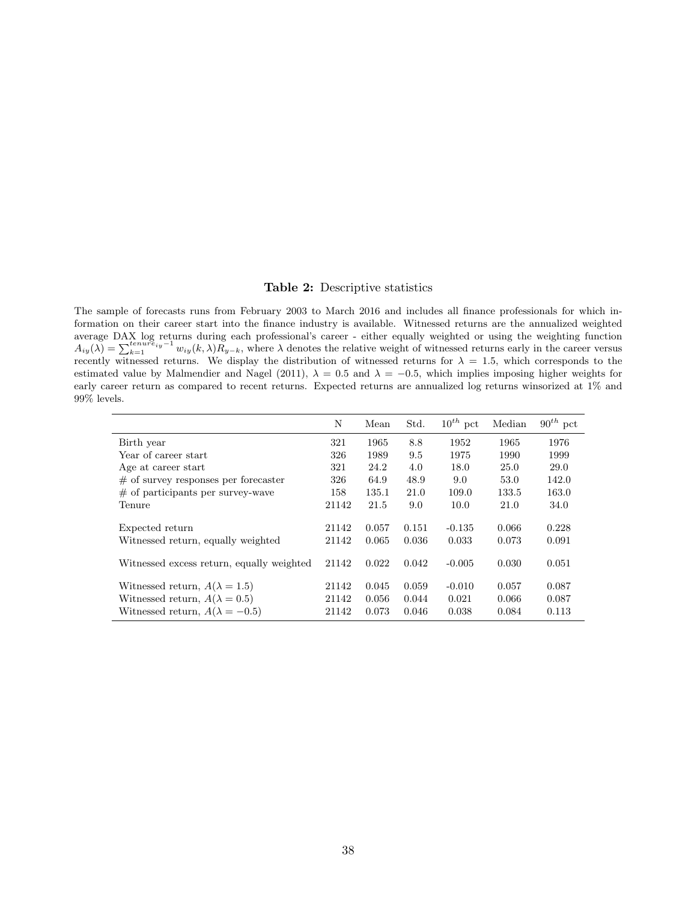#### Table 2: Descriptive statistics

<span id="page-39-0"></span>The sample of forecasts runs from February 2003 to March 2016 and includes all finance professionals for which information on their career start into the finance industry is available. Witnessed returns are the annualized weighted average DAX log returns during each professional's career - either equally weighted or using the weighting function  $A_{iy}(\lambda) = \sum_{k=1}^{t_{enure}} w_{iy}(k, \lambda) R_{y-k}$ , where  $\lambda$  denotes the relative weight of witnessed returns early recently witnessed returns. We display the distribution of witnessed returns for  $\lambda = 1.5$ , which corresponds to the estimated value by Malmendier and Nagel (2011),  $\lambda = 0.5$  and  $\lambda = -0.5$ , which implies imposing higher weights for early career return as compared to recent returns. Expected returns are annualized log returns winsorized at 1% and 99% levels.

|                                                                                                                       | N                       | Mean                    | Std.                    | $10^{th}$ pct              | Median                  | $90^{th}$ pct           |
|-----------------------------------------------------------------------------------------------------------------------|-------------------------|-------------------------|-------------------------|----------------------------|-------------------------|-------------------------|
| Birth year                                                                                                            | 321                     | 1965                    | 8.8                     | 1952                       | 1965                    | 1976                    |
| Year of career start                                                                                                  | 326                     | 1989                    | 9.5                     | 1975                       | 1990                    | 1999                    |
| Age at career start                                                                                                   | 321                     | 24.2                    | 4.0                     | 18.0                       | 25.0                    | 29.0                    |
| $\#$ of survey responses per forecaster                                                                               | 326                     | 64.9                    | 48.9                    | 9.0                        | 53.0                    | 142.0                   |
| $\#$ of participants per survey-wave                                                                                  | 158                     | 135.1                   | 21.0                    | 109.0                      | 133.5                   | 163.0                   |
| Tenure                                                                                                                | 21142                   | 21.5                    | 9.0                     | 10.0                       | 21.0                    | 34.0                    |
| Expected return<br>Witnessed return, equally weighted                                                                 | 21142<br>21142          | 0.057<br>0.065          | 0.151<br>0.036          | $-0.135$<br>0.033          | 0.066<br>0.073          | 0.228<br>0.091          |
| Witnessed excess return, equally weighted                                                                             | 21142                   | 0.022                   | 0.042                   | $-0.005$                   | 0.030                   | 0.051                   |
| Witnessed return, $A(\lambda = 1.5)$<br>Witnessed return, $A(\lambda = 0.5)$<br>Witnessed return, $A(\lambda = -0.5)$ | 21142<br>21142<br>21142 | 0.045<br>0.056<br>0.073 | 0.059<br>0.044<br>0.046 | $-0.010$<br>0.021<br>0.038 | 0.057<br>0.066<br>0.084 | 0.087<br>0.087<br>0.113 |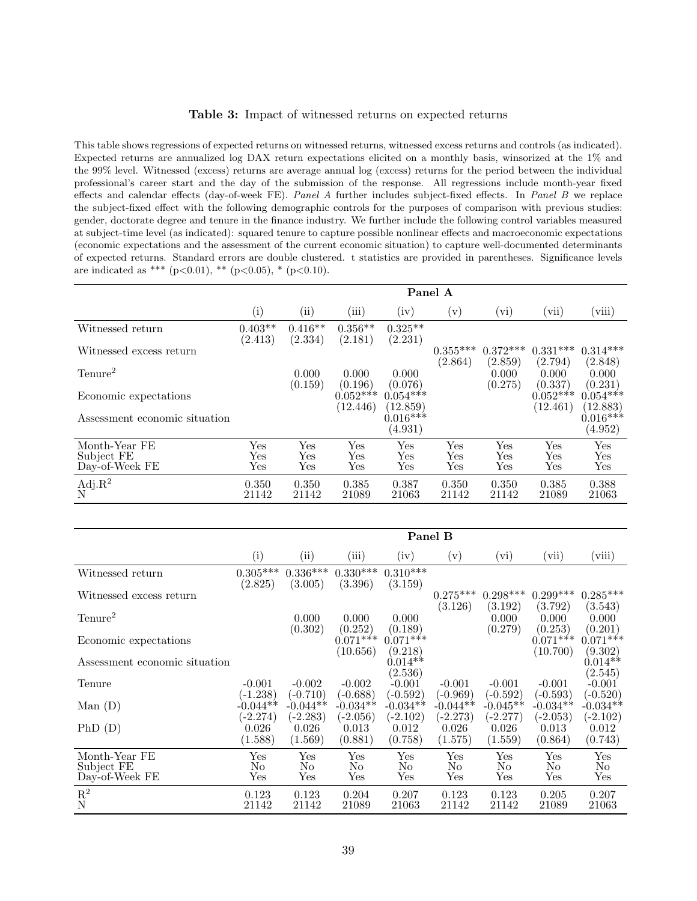#### Table 3: Impact of witnessed returns on expected returns

<span id="page-40-0"></span>This table shows regressions of expected returns on witnessed returns, witnessed excess returns and controls (as indicated). Expected returns are annualized log DAX return expectations elicited on a monthly basis, winsorized at the 1% and the 99% level. Witnessed (excess) returns are average annual log (excess) returns for the period between the individual professional's career start and the day of the submission of the response. All regressions include month-year fixed effects and calendar effects (day-of-week FE). Panel A further includes subject-fixed effects. In Panel B we replace the subject-fixed effect with the following demographic controls for the purposes of comparison with previous studies: gender, doctorate degree and tenure in the finance industry. We further include the following control variables measured at subject-time level (as indicated): squared tenure to capture possible nonlinear effects and macroeconomic expectations (economic expectations and the assessment of the current economic situation) to capture well-documented determinants of expected returns. Standard errors are double clustered. t statistics are provided in parentheses. Significance levels are indicated as \*\*\* (p<0.01), \*\* (p<0.05), \* (p<0.10).

|                               |                             |                      |                             |                        | Panel A               |                       |                        |                        |
|-------------------------------|-----------------------------|----------------------|-----------------------------|------------------------|-----------------------|-----------------------|------------------------|------------------------|
|                               | $\rm(i)$                    | (ii)                 | (iii)                       | (iv)                   | $(\rm v)$             | $\rm(vi)$             | (vii)                  | (viii)                 |
| Witnessed return              | $0.403**$<br>(2.413)        | $0.416**$<br>(2.334) | $0.356**$<br>(2.181)        | $0.325**$<br>(2.231)   |                       |                       |                        |                        |
| Witnessed excess return       |                             |                      |                             |                        | $0.355***$<br>(2.864) | $0.372***$<br>(2.859) | $0.331***$<br>(2.794)  | $0.314***$<br>(2.848)  |
| Tenure <sup>2</sup>           |                             | 0.000<br>(0.159)     | 0.000<br>(0.196)            | 0.000<br>(0.076)       |                       | 0.000<br>(0.275)      | 0.000<br>(0.337)       | 0.000<br>(0.231)       |
| Economic expectations         |                             |                      | $0.052***$<br>(12.446)      | $0.054***$<br>(12.859) |                       |                       | $0.052***$<br>(12.461) | $0.054***$<br>(12.883) |
| Assessment economic situation |                             |                      |                             | $0.016***$<br>(4.931)  |                       |                       |                        | $0.016***$<br>(4.952)  |
| Month-Year FE                 | Yes                         | Yes                  | Yes                         | Yes                    | Yes                   | Yes                   | Yes                    | Yes                    |
| Subject FE<br>Day-of-Week FE  | Yes<br>$\operatorname{Yes}$ | Yes<br>Yes           | Yes<br>$\operatorname{Yes}$ | Yes<br>Yes             | Yes<br>Yes            | Yes<br>Yes            | Yes<br>Yes             | Yes<br>$_{\rm Yes}$    |
| $_{\rm N}^{\rm Adj.R^2}$      | 0.350<br>21142              | 0.350<br>21142       | 0.385<br>21089              | 0.387<br>21063         | 0.350<br>21142        | 0.350<br>21142        | 0.385<br>21089         | 0.388<br>21063         |

|                                               |                           |                                    |                                    |                                    | Panel B                  |                              |                              |                          |
|-----------------------------------------------|---------------------------|------------------------------------|------------------------------------|------------------------------------|--------------------------|------------------------------|------------------------------|--------------------------|
|                                               | (i)                       | $\rm (ii)$                         | (iii)                              | (iv)                               | $(\rm v)$                | (vi)                         | (vii)                        | (viii)                   |
| Witnessed return                              | $0.305^{***}\;$           | $0.336***$                         | $0.330***$                         | $0.310***$                         |                          |                              |                              |                          |
| Witnessed excess return                       | (2.825)                   | (3.005)                            | (3.396)                            | (3.159)                            | $0.275***$               | $0.298***$                   | $0.299***$                   | $0.285***$               |
| Tenure <sup>2</sup>                           |                           | 0.000                              | 0.000                              | 0.000                              | (3.126)                  | (3.192)<br>0.000             | (3.792)<br>0.000             | (3.543)<br>0.000         |
| Economic expectations                         |                           | (0.302)                            | (0.252)<br>$0.071***$              | (0.189)<br>$0.071***$              |                          | (0.279)                      | (0.253)<br>$0.071***$        | (0.201)<br>$0.071***$    |
| Assessment economic situation                 |                           |                                    | (10.656)                           | (9.218)<br>$0.014**$               |                          |                              | (10.700)                     | (9.302)<br>$0.014**$     |
| Tenure                                        | $-0.001$                  | $-0.002$                           | $-0.002$                           | (2.536)<br>$-0.001$                | $-0.001$                 | $-0.001$                     | $-0.001$                     | (2.545)<br>$-0.001$      |
| Man(D)                                        | $(-1.238)$<br>$-0.044**$  | $(-0.710)$<br>$-0.044**$           | $(-0.688)$<br>$-0.034**$           | $(-0.592)$<br>$-0.034**$           | $(-0.969)$<br>$-0.044**$ | $(-0.592)$<br>$-0.045**$     | $(-0.593)$<br>$-0.034**$     | $(-0.520)$<br>$-0.034**$ |
|                                               | $(-2.274)$                | $(-2.283)$                         | $(-2.056)$                         | $(-2.102)$                         | $(-2.273)$               | $(-2.277)$                   | $(-2.053)$                   | $(-2.102)$               |
| PhD(D)                                        | 0.026<br>(1.588)          | 0.026<br>(1.569)                   | 0.013<br>(0.881)                   | 0.012<br>(0.758)                   | 0.026<br>(1.575)         | 0.026<br>(1.559)             | 0.013<br>(0.864)             | 0.012<br>(0.743)         |
| Month-Year FE<br>Subject FE<br>Day-of-Week FE | Yes<br>No<br>$_{\rm Yes}$ | $_{\rm Yes}$<br>No<br>$_{\rm Yes}$ | $_{\rm Yes}$<br>No<br>$_{\rm Yes}$ | $_{\rm Yes}$<br>No<br>$_{\rm Yes}$ | Yes<br>No<br>Yes         | Yes<br>N <sub>o</sub><br>Yes | Yes<br>N <sub>o</sub><br>Yes | Yes<br>No<br>Yes         |
| $\mathbf{R}^2$<br>$\mathbf N$                 | 0.123<br>21142            | 0.123<br>21142                     | 0.204<br>21089                     | 0.207<br>21063                     | 0.123<br>21142           | 0.123<br>21142               | 0.205<br>21089               | 0.207<br>21063           |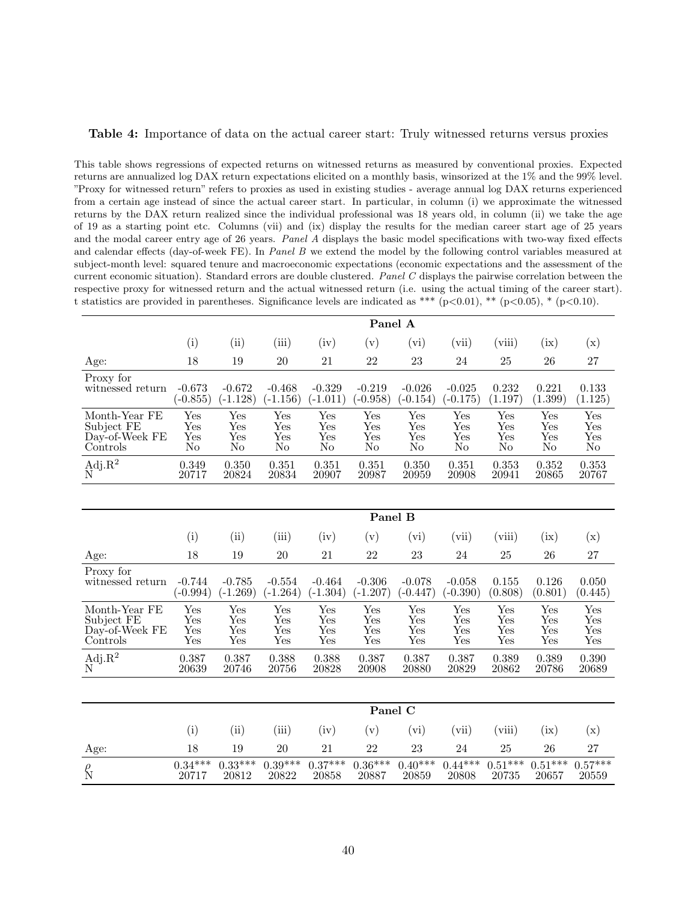#### <span id="page-41-0"></span>Table 4: Importance of data on the actual career start: Truly witnessed returns versus proxies

This table shows regressions of expected returns on witnessed returns as measured by conventional proxies. Expected returns are annualized log DAX return expectations elicited on a monthly basis, winsorized at the 1% and the 99% level. "Proxy for witnessed return" refers to proxies as used in existing studies - average annual log DAX returns experienced from a certain age instead of since the actual career start. In particular, in column (i) we approximate the witnessed returns by the DAX return realized since the individual professional was 18 years old, in column (ii) we take the age of 19 as a starting point etc. Columns (vii) and (ix) display the results for the median career start age of 25 years and the modal career entry age of 26 years. Panel A displays the basic model specifications with two-way fixed effects and calendar effects (day-of-week FE). In Panel B we extend the model by the following control variables measured at subject-month level: squared tenure and macroeconomic expectations (economic expectations and the assessment of the current economic situation). Standard errors are double clustered. Panel C displays the pairwise correlation between the respective proxy for witnessed return and the actual witnessed return (i.e. using the actual timing of the career start). t statistics are provided in parentheses. Significance levels are indicated as \*\*\* (p<0.01), \*\* (p<0.05), \* (p<0.10).

|                                                           |                                            |                          |                          |                                     | Panel A                  |                          |                          |                                   |                                   |                          |
|-----------------------------------------------------------|--------------------------------------------|--------------------------|--------------------------|-------------------------------------|--------------------------|--------------------------|--------------------------|-----------------------------------|-----------------------------------|--------------------------|
|                                                           | (i)                                        | (ii)                     | (iii)                    | (iv)                                | (v)                      | (vi)                     | (vii)                    | (viii)                            | (ix)                              | (x)                      |
| Age:                                                      | 18                                         | 19                       | 20                       | 21                                  | 22                       | 23                       | 24                       | 25                                | 26                                | 27                       |
| Proxy for<br>witnessed return                             | $-0.673$<br>$(-0.855)$                     | $-0.672$<br>$(-1.128)$   | $-0.468$<br>$(-1.156)$   | $-0.329$<br>$(-1.011)$              | $-0.219$<br>$(-0.958)$   | $-0.026$<br>$(-0.154)$   | $-0.025$<br>$(-0.175)$   | 0.232<br>(1.197)                  | 0.221<br>(1.399)                  | 0.133<br>(1.125)         |
| Month-Year FE<br>Subject FE<br>Day-of-Week FE<br>Controls | Yes<br>Yes<br>$_{\rm Yes}$<br>No           | Yes<br>Yes<br>Yes<br>No  | Yes<br>Yes<br>Yes<br>No  | Yes<br>Yes<br>Yes<br>N <sub>o</sub> | Yes<br>Yes<br>Yes<br>No  | Yes<br>Yes<br>Yes<br>No  | Yes<br>Yes<br>Yes<br>No  | Yes<br>Yes<br>Yes<br>No           | Yes<br>Yes<br>Yes<br>No           | Yes<br>Yes<br>Yes<br>No  |
| $Adj.R^2$<br>N                                            | 0.349<br>20717                             | 0.350<br>20824           | 0.351<br>20834           | 0.351<br>20907                      | 0.351<br>20987           | 0.350<br>20959           | 0.351<br>20908           | 0.353<br>20941                    | 0.352<br>20865                    | 0.353<br>20767           |
|                                                           |                                            |                          |                          |                                     |                          |                          |                          |                                   |                                   |                          |
|                                                           |                                            |                          |                          |                                     | Panel B                  |                          |                          |                                   |                                   |                          |
|                                                           | (i)                                        | (ii)                     | (iii)                    | (iv)                                | (v)                      | (vi)                     | (vii)                    | (viii)                            | (ix)                              | (x)                      |
| Age:                                                      | 18                                         | 19                       | 20                       | 21                                  | 22                       | 23                       | 24                       | 25                                | 26                                | 27                       |
| Proxy for<br>witnessed return                             | $-0.744$<br>$(-0.994)$                     | $-0.785$<br>$(-1.269)$   | $-0.554$<br>$(-1.264)$   | $-0.464$<br>$(-1.304)$              | $-0.306$<br>$(-1.207)$   | $-0.078$<br>$(-0.447)$   | $-0.058$<br>$(-0.390)$   | 0.155<br>(0.808)                  | 0.126<br>(0.801)                  | 0.050<br>(0.445)         |
| Month-Year FE<br>Subject FE<br>Day-of-Week FE<br>Controls | Yes<br>Yes<br>$_{\rm Yes}$<br>$_{\rm Yes}$ | Yes<br>Yes<br>Yes<br>Yes | Yes<br>Yes<br>Yes<br>Yes | Yes<br>Yes<br>Yes<br>Yes            | Yes<br>Yes<br>Yes<br>Yes | Yes<br>Yes<br>Yes<br>Yes | Yes<br>Yes<br>Yes<br>Yes | Yes<br>Yes<br>Yes<br>$_{\rm Yes}$ | Yes<br>Yes<br>Yes<br>$_{\rm Yes}$ | Yes<br>Yes<br>Yes<br>Yes |
| $Adj.R^2$<br>N                                            | 0.387<br>20639                             | 0.387<br>20746           | 0.388<br>20756           | 0.388<br>20828                      | 0.387<br>20908           | 0.387<br>20880           | 0.387<br>20829           | 0.389<br>20862                    | 0.389<br>20786                    | 0.390<br>20689           |
|                                                           |                                            |                          |                          |                                     |                          |                          |                          |                                   |                                   |                          |
|                                                           |                                            |                          |                          |                                     | Panel C                  |                          |                          |                                   |                                   |                          |
|                                                           | (i)                                        | (ii)                     | (iii)                    | (iv)                                | (v)                      | (vi)                     | (vii)                    | (viii)                            | (ix)                              | (x)                      |
| Age:                                                      | 18                                         | 19                       | 20                       | 21                                  | 22                       | 23                       | 24                       | 25                                | 26                                | 27                       |
| $\rho$                                                    | $0.34***$                                  | $0.33***$                | $0.39***$                | $0.37***$                           | $0.36***$                | $0.40***$                | $0.44***$                | $0.51***$                         | $0.51***$                         | $0.57***$                |

N 20717 20812 20822 20858 20887 20859 20808 20735 20657 20559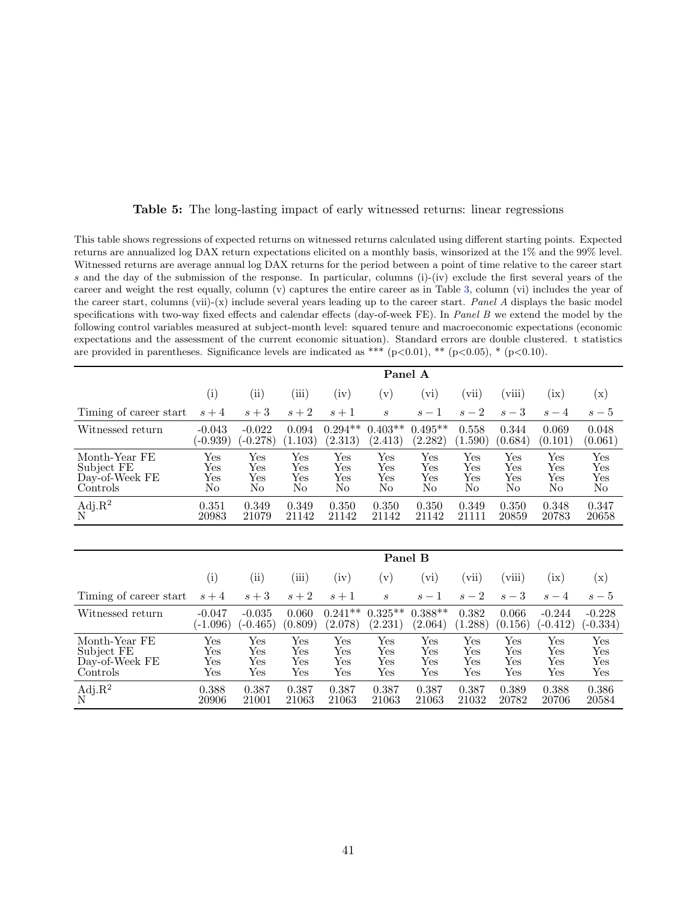<span id="page-42-0"></span>

| This table shows regressions of expected returns on witnessed returns calculated using different starting points. Expected |
|----------------------------------------------------------------------------------------------------------------------------|
| returns are annualized log DAX return expectations elicited on a monthly basis, winsorized at the 1% and the 99% level.    |
| Witnessed returns are average annual log DAX returns for the period between a point of time relative to the career start   |
| s and the day of the submission of the response. In particular, columns $(i)-(iv)$ exclude the first several years of the  |
| career and weight the rest equally, column (v) captures the entire career as in Table 3, column (vi) includes the year of  |
| the career start, columns (vii)-(x) include several years leading up to the career start. Panel A displays the basic model |
| specifications with two-way fixed effects and calendar effects (day-of-week FE). In Panel B we extend the model by the     |
| following control variables measured at subject-month level: squared tenure and macroeconomic expectations (economic       |
| expectations and the assessment of the current economic situation). Standard errors are double clustered. t statistics     |
| are provided in parentheses. Significance levels are indicated as *** $(p<0.01)$ , ** $(p<0.05)$ , * $(p<0.10)$ .          |
|                                                                                                                            |

|  |  |  |  |  |  |  |  |  |  |  |  | <b>Table 5:</b> The long-lasting impact of early witnessed returns: linear regressions |
|--|--|--|--|--|--|--|--|--|--|--|--|----------------------------------------------------------------------------------------|
|--|--|--|--|--|--|--|--|--|--|--|--|----------------------------------------------------------------------------------------|

|                        | Panel A    |                     |         |           |           |                     |         |         |         |                |
|------------------------|------------|---------------------|---------|-----------|-----------|---------------------|---------|---------|---------|----------------|
|                        | (i)        | $\left( ii \right)$ | (iii)   | (iv)      | $(\rm v)$ | $\rm\thinspace vi)$ | vii)    | (viii)  | (ix)    | $(\mathrm{x})$ |
| Timing of career start | $s+4$      | $s+3$               | $s+2$   | $s+1$     | S         | $s-1$               | $s-2$   | $s-3$   | $s-4$   | $s-5$          |
| Witnessed return       | $-0.043$   | $-0.022$            | 0.094   | $0.294**$ | $0.403**$ | $0.495**$           | 0.558   | 0.344   | 0.069   | 0.048          |
|                        | $(-0.939)$ | $(-0.278)$          | (1.103) | (2.313)   | (2.413)   | (2.282)             | (1.590) | (0.684) | (0.101) | (0.061)        |
| Month-Year FE          | Yes        | Yes                 | Yes     | Yes       | Yes       | Yes                 | Yes     | Yes     | Yes     | Yes            |
| Subject FE             | Yes        | Yes                 | Yes     | Yes       | Yes       | Yes                 | Yes     | Yes     | Yes     | Yes            |
| Day-of-Week FE         | Yes        | Yes                 | Yes     | Yes       | Yes       | Yes                 | Yes     | Yes     | Yes     | Yes            |
| Controls               | No         | No                  | No      | No        | No        | No                  | No      | No      | No      | No             |
| Adj. $R^2$<br>N        | 0.351      | 0.349               | 0.349   | 0.350     | 0.350     | 0.350               | 0.349   | 0.350   | 0.348   | 0.347          |
|                        | 20983      | 21079               | 21142   | 21142     | 21142     | 21142               | 21111   | 20859   | 20783   | 20658          |

|                        |            | Panel B    |         |           |                            |           |         |                      |                  |                      |  |
|------------------------|------------|------------|---------|-----------|----------------------------|-----------|---------|----------------------|------------------|----------------------|--|
|                        | $\rm(i)$   | $\rm(ii)$  | (iii)   | $\rm(iv)$ | $\left[ \mathrm{v}\right]$ | (vi)      | (vii)   | (viii)               | $\rm\acute{ax})$ | $(\mathrm{x})$       |  |
| Timing of career start | $s+4$      | $s+3$      | $s+2$   | $s+1$     | $\boldsymbol{s}$           | $s-1$     | $s-2$   | $s-3$                | $s-4$            | $s-5$                |  |
| Witnessed return       | $-0.047$   | $-0.035$   | 0.060   | $0.241**$ | $0.325**$                  | $0.388**$ | 0.382   | 0.066                | $-0.244$         | $-0.228$             |  |
|                        | $(-1.096)$ | $(-0.465)$ | (0.809) | (2.078)   | (2.231)                    | (2.064)   | (1.288) | (0.156)              | $(-0.412)$       | $(-0.334)$           |  |
| Month-Year FE          | Yes        | Yes        | Yes     | Yes       | Yes                        | Yes       | Yes     | Yes                  | Yes              | $\operatorname{Yes}$ |  |
| Subject FE             | Yes        | Yes        | Yes     | Yes       | Yes                        | Yes       | Yes     | $\operatorname{Yes}$ | Yes              | $\operatorname{Yes}$ |  |
| Day-of-Week FE         | Yes        | Yes        | Yes     | Yes       | Yes                        | Yes       | Yes     | $\operatorname{Yes}$ | Yes              | $\operatorname{Yes}$ |  |
| Controls               | Yes        | Yes        | Yes     | Yes       | Yes                        | Yes       | Yes     | Yes                  | Yes              | Yes                  |  |
| $\frac{Adj.R^2}{N}$    | 0.388      | 0.387      | 0.387   | 0.387     | 0.387                      | 0.387     | 0.387   | 0.389                | 0.388            | 0.386                |  |
|                        | 20906      | 21001      | 21063   | 21063     | 21063                      | 21063     | 21032   | 20782                | 20706            | 20584                |  |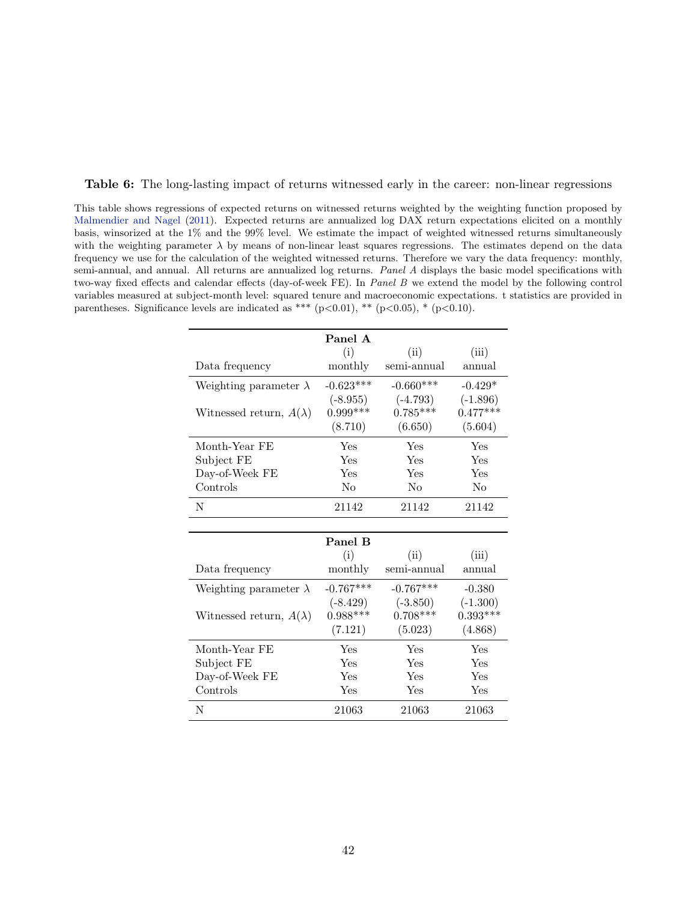<span id="page-43-0"></span>Table 6: The long-lasting impact of returns witnessed early in the career: non-linear regressions

This table shows regressions of expected returns on witnessed returns weighted by the weighting function proposed by [Malmendier and Nagel](#page-30-7) [\(2011\)](#page-30-7). Expected returns are annualized log DAX return expectations elicited on a monthly basis, winsorized at the 1% and the 99% level. We estimate the impact of weighted witnessed returns simultaneously with the weighting parameter  $\lambda$  by means of non-linear least squares regressions. The estimates depend on the data frequency we use for the calculation of the weighted witnessed returns. Therefore we vary the data frequency: monthly, semi-annual, and annual. All returns are annualized log returns. Panel A displays the basic model specifications with two-way fixed effects and calendar effects (day-of-week FE). In Panel B we extend the model by the following control variables measured at subject-month level: squared tenure and macroeconomic expectations. t statistics are provided in parentheses. Significance levels are indicated as \*\*\* (p $<0.01$ ), \*\* (p $<0.05$ ), \* (p $<0.10$ ).

|                                | Panel A     |             |                |
|--------------------------------|-------------|-------------|----------------|
|                                | (i)         | (ii)        | (iii)          |
| Data frequency                 | monthly     | semi-annual | annual         |
| Weighting parameter $\lambda$  | $-0.623***$ | $-0.660***$ | $-0.429*$      |
|                                | $(-8.955)$  | $(-4.793)$  | $(-1.896)$     |
| Witnessed return, $A(\lambda)$ | $0.999***$  | $0.785***$  | $0.477***$     |
|                                | (8.710)     | (6.650)     | (5.604)        |
| Month-Year FE                  | Yes         | Yes         | Yes            |
| Subject FE                     | Yes         | Yes         | Yes            |
| Day-of-Week FE                 | Yes         | Yes         | Yes            |
| Controls                       | No          | No          | N <sub>0</sub> |
| N                              | 21142       | 21142       | 21142          |
|                                |             |             |                |
|                                |             |             |                |
|                                | Panel B     |             |                |
|                                | (i)         | (ii)        | (iii)          |
| Data frequency                 | monthly     | semi-annual | annual         |
| Weighting parameter $\lambda$  | $-0.767***$ | $-0.767***$ | $-0.380$       |
|                                | $(-8.429)$  | $(-3.850)$  | $(-1.300)$     |
| Witnessed return, $A(\lambda)$ | $0.988***$  | $0.708***$  | $0.393***$     |
|                                | (7.121)     | (5.023)     | (4.868)        |
| Month-Year FE                  | Yes         | Yes         | Yes            |
| Subject FE                     | Yes         | Yes         | Yes            |
| Day-of-Week FE                 | Yes         | Yes         | Yes            |
| Controls                       | Yes         | Yes         | Yes            |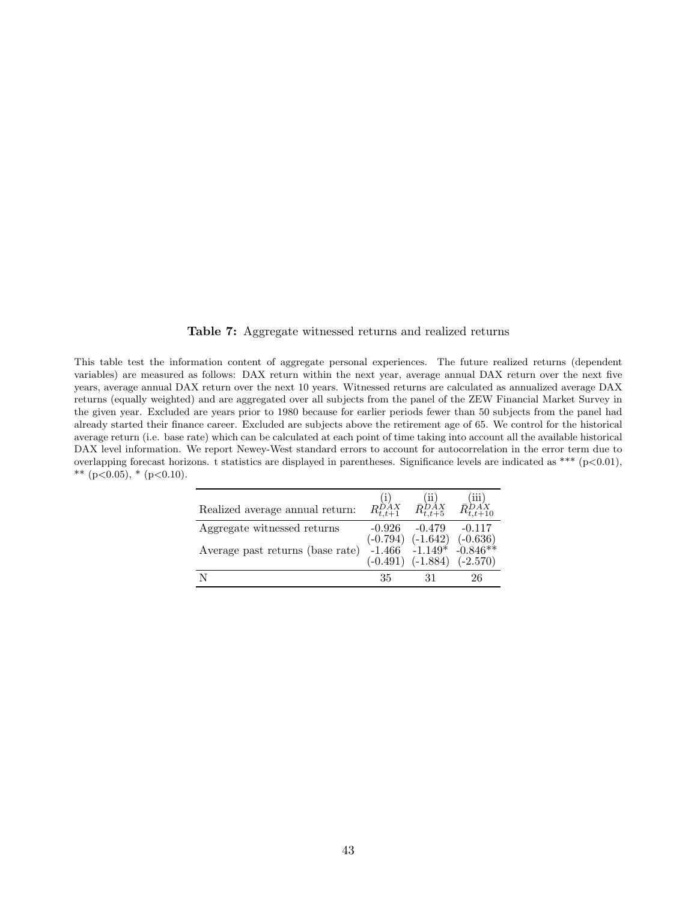#### Table 7: Aggregate witnessed returns and realized returns

<span id="page-44-0"></span>This table test the information content of aggregate personal experiences. The future realized returns (dependent variables) are measured as follows: DAX return within the next year, average annual DAX return over the next five years, average annual DAX return over the next 10 years. Witnessed returns are calculated as annualized average DAX returns (equally weighted) and are aggregated over all subjects from the panel of the ZEW Financial Market Survey in the given year. Excluded are years prior to 1980 because for earlier periods fewer than 50 subjects from the panel had already started their finance career. Excluded are subjects above the retirement age of 65. We control for the historical average return (i.e. base rate) which can be calculated at each point of time taking into account all the available historical DAX level information. We report Newey-West standard errors to account for autocorrelation in the error term due to overlapping forecast horizons. t statistics are displayed in parentheses. Significance levels are indicated as \*\*\* ( $p<0.01$ ), \*\* (p<0.05), \* (p<0.10).

| Realized average annual return:  | $R_{t,t+1}^{\sum\limits_{t=1}^{t}j}$ $\bar{R}_{t,t+5}^{DAX}$ |          | $\bar{R}_{t,t+10}^{DAX}$                                                                                                              |
|----------------------------------|--------------------------------------------------------------|----------|---------------------------------------------------------------------------------------------------------------------------------------|
| Aggregate witnessed returns      | $-0.926$                                                     | $-0.479$ | $-0.117$                                                                                                                              |
| Average past returns (base rate) |                                                              |          | $\begin{array}{cccc} (-0.794) & (-1.642) & (-0.636) \\ -1.466 & -1.149^* & -0.846^{**} \\ (-0.491) & (-1.884) & (-2.570) \end{array}$ |
|                                  | 35                                                           | 31       | 26                                                                                                                                    |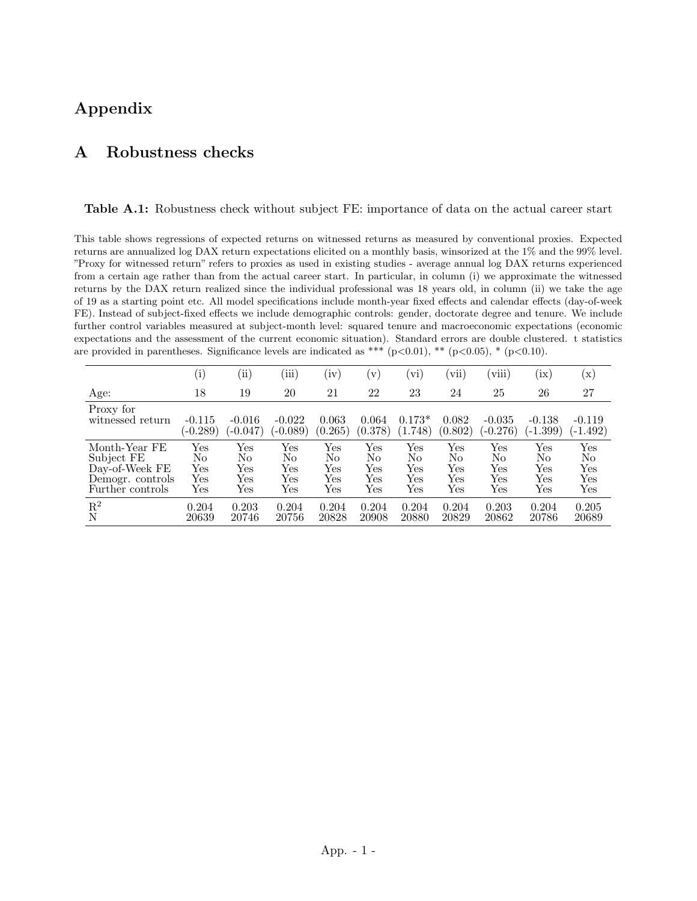# Appendix

## <span id="page-45-0"></span>A Robustness checks

<span id="page-45-1"></span>Table A.1: Robustness check without subject FE: importance of data on the actual career start

This table shows regressions of expected returns on witnessed returns as measured by conventional proxies. Expected returns are annualized log DAX return expectations elicited on a monthly basis, winsorized at the 1% and the 99% level. "Proxy for witnessed return" refers to proxies as used in existing studies - average annual log DAX returns experienced from a certain age rather than from the actual career start. In particular, in column (i) we approximate the witnessed returns by the DAX return realized since the individual professional was 18 years old, in column (ii) we take the age of 19 as a starting point etc. All model specifications include month-year fixed effects and calendar effects (day-of-week FE). Instead of subject-fixed effects we include demographic controls: gender, doctorate degree and tenure. We include further control variables measured at subject-month level: squared tenure and macroeconomic expectations (economic expectations and the assessment of the current economic situation). Standard errors are double clustered. t statistics are provided in parentheses. Significance levels are indicated as \*\*\* (p $<0.01$ ), \*\* (p $<0.05$ ), \* (p $<0.10$ ).

|                  | $\rm(i)$   | $\rm{ii)}$ | (iii)      | $\rm(iv)$ | $\mathbf{V}$ | (vi)     | vii)    | (viii)     | (ix)       | $(\mathrm{x})$ |
|------------------|------------|------------|------------|-----------|--------------|----------|---------|------------|------------|----------------|
| Age:             | 18         | 19         | 20         | 21        | 22           | 23       | 24      | 25         | 26         | 27             |
| Proxy for        | $-0.115$   | $-0.016$   | $-0.022$   | 0.063     | 0.064        | $0.173*$ | 0.082   | $-0.035$   | $-0.138$   | $-0.119$       |
| witnessed return | $(-0.289)$ | $(-0.047)$ | $(-0.089)$ | (0.265)   | (0.378)      | (1.748)  | (0.802) | $(-0.276)$ | $(-1.399)$ | $(-1.492)$     |
| Month-Year FE    | Yes        | Yes        | Yes        | Yes       | Yes          | Yes      | Yes     | Yes        | Yes        | Yes            |
| Subject FE       | No         | No         | No         | No        | No           | No       | No      | No         | No         | No             |
| Day-of-Week FE   | Yes        | Yes        | Yes        | Yes       | Yes          | Yes      | Yes     | Yes        | Yes        | Yes            |
| Demogr. controls | Yes        | Yes        | Yes        | Yes       | Yes          | Yes      | Yes     | Yes        | Yes        | Yes            |
| Further controls | Yes        | Yes        | Yes        | Yes       | Yes          | Yes      | Yes     | Yes        | Yes        | $_{\rm Yes}$   |
| $\mathbf{R}^2$   | 0.204      | 0.203      | 0.204      | 0.204     | 0.204        | 0.204    | 0.204   | 0.203      | 0.204      | 0.205          |
| N                | 20639      | 20746      | 20756      | 20828     | 20908        | 20880    | 20829   | 20862      | 20786      | 20689          |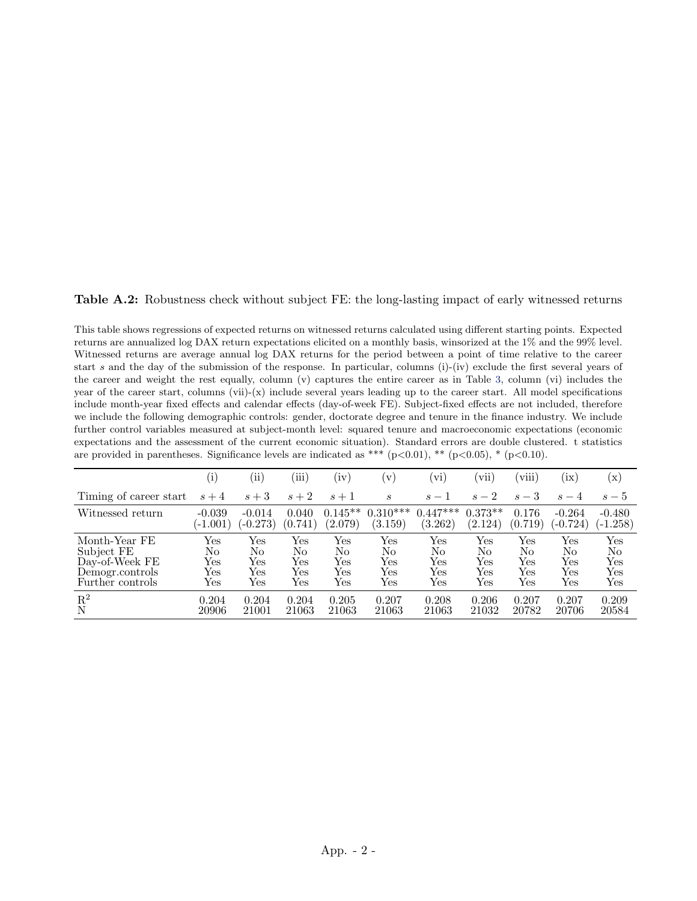Table A.2: Robustness check without subject FE: the long-lasting impact of early witnessed returns

This table shows regressions of expected returns on witnessed returns calculated using different starting points. Expected returns are annualized log DAX return expectations elicited on a monthly basis, winsorized at the 1% and the 99% level. Witnessed returns are average annual log DAX returns for the period between a point of time relative to the career start s and the day of the submission of the response. In particular, columns (i)-(iv) exclude the first several years of the career and weight the rest equally, column (v) captures the entire career as in Table [3,](#page-40-0) column (vi) includes the year of the career start, columns (vii)-(x) include several years leading up to the career start. All model specifications include month-year fixed effects and calendar effects (day-of-week FE). Subject-fixed effects are not included, therefore we include the following demographic controls: gender, doctorate degree and tenure in the finance industry. We include further control variables measured at subject-month level: squared tenure and macroeconomic expectations (economic expectations and the assessment of the current economic situation). Standard errors are double clustered. t statistics are provided in parentheses. Significance levels are indicated as \*\*\* (p $<0.01$ ), \*\* (p $<0.05$ ), \* (p $<0.10$ ).

|                                    | $_{(1)}$   | $\rm(ii)$  | (iii)                | (iv)      | $\rm (v)$            | (vi)       | vii.      | (viii)  | (ix)                 | $(\mathrm{x})$       |
|------------------------------------|------------|------------|----------------------|-----------|----------------------|------------|-----------|---------|----------------------|----------------------|
| Timing of career start             | $s+4$      | $s+3$      | $s+2$                | $s+1$     | S                    | $s-1$      | $s-2$     | $s-3$   | $s-4$                | $s-5$                |
| Witnessed return                   | $-0.039$   | $-0.014$   | 0.040                | $0.145**$ | $0.310***$           | $0.447***$ | $0.373**$ | 0.176   | $-0.264$             | $-0.480$             |
|                                    | $(-1.001)$ | $(-0.273)$ | (0.741)              | (2.079)   | (3.159)              | (3.262)    | (2.124)   | (0.719) | $-0.724)$            | $(-1.258)$           |
| Month-Year FE                      | Yes        | Yes        | Yes                  | Yes       | Yes                  | Yes        | Yes       | Yes     | Yes                  | $\operatorname{Yes}$ |
| Subject FE                         | No         | No         | No                   | No        | No                   | No         | No        | No      | No                   | No                   |
| Day-of-Week FE                     | Yes        | Yes        | Yes                  | Yes       | Yes                  | Yes        | Yes       | Yes     | Yes                  | Yes                  |
| Demogr.controls                    | Yes        | Yes        | $\operatorname{Yes}$ | Yes       | Yes                  | Yes        | Yes       | Yes     | Yes                  | Yes                  |
| Further controls                   | Yes        | Yes        | Yes                  | Yes       | $\operatorname{Yes}$ | Yes        | Yes       | Yes     | $\operatorname{Yes}$ | $_{\rm Yes}$         |
| $\mathop{\hbox{\rm R}}\nolimits^2$ | 0.204      | 0.204      | 0.204                | 0.205     | 0.207                | 0.208      | 0.206     | 0.207   | 0.207                | 0.209                |
|                                    | 20906      | 21001      | 21063                | 21063     | 21063                | 21063      | 21032     | 20782   | 20706                | 20584                |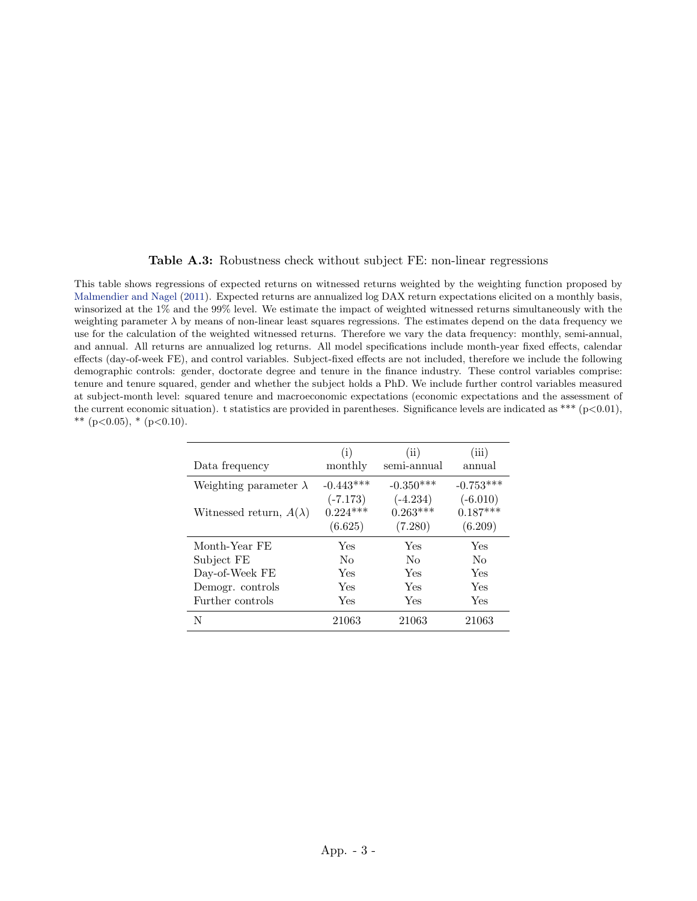#### Table A.3: Robustness check without subject FE: non-linear regressions

This table shows regressions of expected returns on witnessed returns weighted by the weighting function proposed by [Malmendier and Nagel](#page-30-7) [\(2011\)](#page-30-7). Expected returns are annualized log DAX return expectations elicited on a monthly basis, winsorized at the 1% and the 99% level. We estimate the impact of weighted witnessed returns simultaneously with the weighting parameter  $\lambda$  by means of non-linear least squares regressions. The estimates depend on the data frequency we use for the calculation of the weighted witnessed returns. Therefore we vary the data frequency: monthly, semi-annual, and annual. All returns are annualized log returns. All model specifications include month-year fixed effects, calendar effects (day-of-week FE), and control variables. Subject-fixed effects are not included, therefore we include the following demographic controls: gender, doctorate degree and tenure in the finance industry. These control variables comprise: tenure and tenure squared, gender and whether the subject holds a PhD. We include further control variables measured at subject-month level: squared tenure and macroeconomic expectations (economic expectations and the assessment of the current economic situation). t statistics are provided in parentheses. Significance levels are indicated as \*\*\* ( $p<0.01$ ), \*\* (p<0.05), \* (p<0.10).

|                                | (i)         | (ii)        | (iii)       |
|--------------------------------|-------------|-------------|-------------|
| Data frequency                 | monthly     | semi-annual | annual      |
| Weighting parameter $\lambda$  | $-0.443***$ | $-0.350***$ | $-0.753***$ |
|                                | $(-7.173)$  | $(-4.234)$  | $(-6.010)$  |
| Witnessed return, $A(\lambda)$ | $0.224***$  | $0.263***$  | $0.187***$  |
|                                | (6.625)     | (7.280)     | (6.209)     |
| Month-Year FE                  | Yes         | Yes         | Yes         |
| Subject FE                     | No          | No          | No          |
| Day-of-Week FE                 | Yes         | Yes         | Yes         |
| Demogr. controls               | Yes         | Yes         | Yes         |
| Further controls               | Yes         | Yes         | Yes         |
| N                              | 21063       | 21063       | 21063       |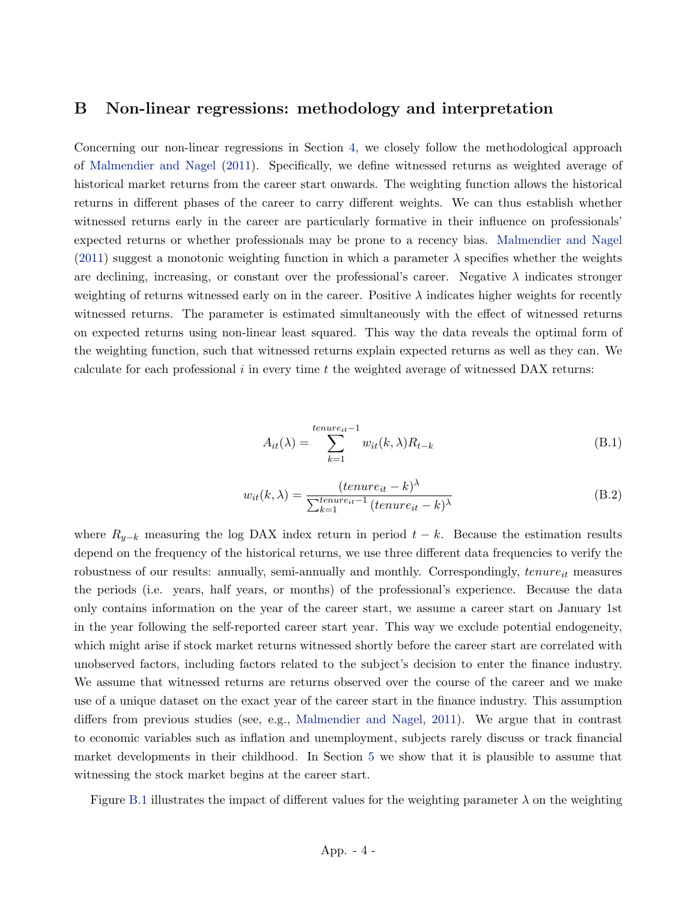## <span id="page-48-0"></span>B Non-linear regressions: methodology and interpretation

Concerning our non-linear regressions in Section [4,](#page-17-0) we closely follow the methodological approach of [Malmendier and Nagel](#page-30-7) [\(2011\)](#page-30-7). Specifically, we define witnessed returns as weighted average of historical market returns from the career start onwards. The weighting function allows the historical returns in different phases of the career to carry different weights. We can thus establish whether witnessed returns early in the career are particularly formative in their influence on professionals' expected returns or whether professionals may be prone to a recency bias. [Malmendier and Nagel](#page-30-7) [\(2011\)](#page-30-7) suggest a monotonic weighting function in which a parameter  $\lambda$  specifies whether the weights are declining, increasing, or constant over the professional's career. Negative  $\lambda$  indicates stronger weighting of returns witnessed early on in the career. Positive  $\lambda$  indicates higher weights for recently witnessed returns. The parameter is estimated simultaneously with the effect of witnessed returns on expected returns using non-linear least squared. This way the data reveals the optimal form of the weighting function, such that witnessed returns explain expected returns as well as they can. We calculate for each professional  $i$  in every time  $t$  the weighted average of witnessed DAX returns:

$$
A_{it}(\lambda) = \sum_{k=1}^{tenure_{it}-1} w_{it}(k,\lambda) R_{t-k}
$$
\n(B.1)

<span id="page-48-1"></span>
$$
w_{it}(k,\lambda) = \frac{(tenure_{it} - k)^{\lambda}}{\sum_{k=1}^{tenure_{it} - 1} (tenure_{it} - k)^{\lambda}}
$$
(B.2)

where  $R_{y-k}$  measuring the log DAX index return in period  $t-k$ . Because the estimation results depend on the frequency of the historical returns, we use three different data frequencies to verify the robustness of our results: annually, semi-annually and monthly. Correspondingly,  $tenure_{it}$  measures the periods (i.e. years, half years, or months) of the professional's experience. Because the data only contains information on the year of the career start, we assume a career start on January 1st in the year following the self-reported career start year. This way we exclude potential endogeneity, which might arise if stock market returns witnessed shortly before the career start are correlated with unobserved factors, including factors related to the subject's decision to enter the finance industry. We assume that witnessed returns are returns observed over the course of the career and we make use of a unique dataset on the exact year of the career start in the finance industry. This assumption differs from previous studies (see, e.g., [Malmendier and Nagel,](#page-30-7) [2011\)](#page-30-7). We argue that in contrast to economic variables such as inflation and unemployment, subjects rarely discuss or track financial market developments in their childhood. In Section [5](#page-23-0) we show that it is plausible to assume that witnessing the stock market begins at the career start.

Figure [B.1](#page-49-0) illustrates the impact of different values for the weighting parameter  $\lambda$  on the weighting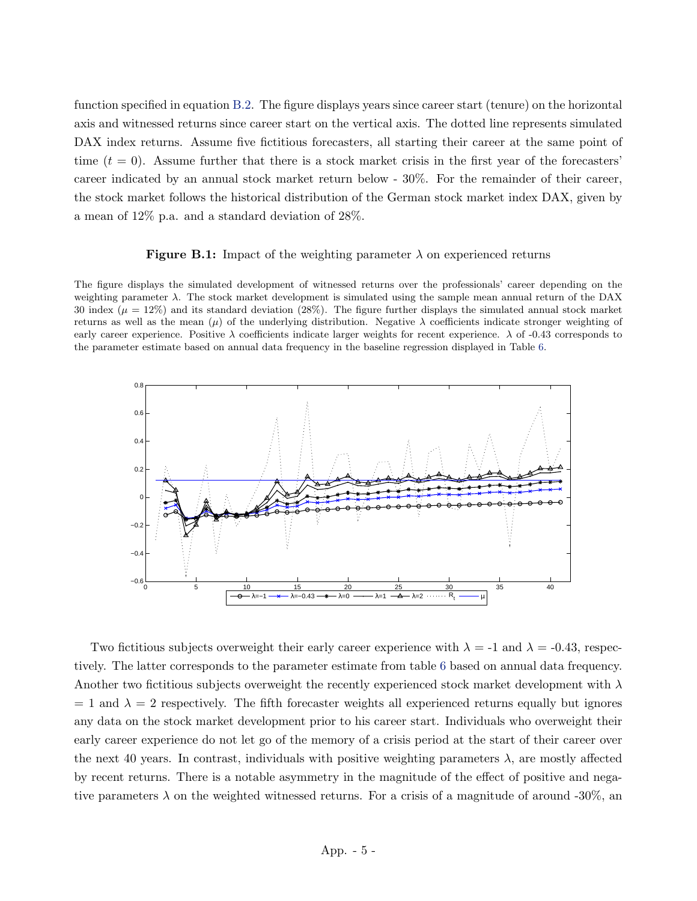function specified in equation [B.2.](#page-48-1) The figure displays years since career start (tenure) on the horizontal axis and witnessed returns since career start on the vertical axis. The dotted line represents simulated DAX index returns. Assume five fictitious forecasters, all starting their career at the same point of time  $(t = 0)$ . Assume further that there is a stock market crisis in the first year of the forecasters' career indicated by an annual stock market return below - 30%. For the remainder of their career, the stock market follows the historical distribution of the German stock market index DAX, given by a mean of 12% p.a. and a standard deviation of 28%.

#### **Figure B.1:** Impact of the weighting parameter  $\lambda$  on experienced returns

<span id="page-49-0"></span>The figure displays the simulated development of witnessed returns over the professionals' career depending on the weighting parameter  $\lambda$ . The stock market development is simulated using the sample mean annual return of the DAX 30 index ( $\mu = 12\%$ ) and its standard deviation (28%). The figure further displays the simulated annual stock market returns as well as the mean  $(\mu)$  of the underlying distribution. Negative  $\lambda$  coefficients indicate stronger weighting of early career experience. Positive  $\lambda$  coefficients indicate larger weights for recent experience.  $\lambda$  of -0.43 corresponds to the parameter estimate based on annual data frequency in the baseline regression displayed in Table [6.](#page-43-0)



Two fictitious subjects overweight their early career experience with  $\lambda = -1$  and  $\lambda = -0.43$ , respectively. The latter corresponds to the parameter estimate from table [6](#page-43-0) based on annual data frequency. Another two fictitious subjects overweight the recently experienced stock market development with  $\lambda$  $= 1$  and  $\lambda = 2$  respectively. The fifth forecaster weights all experienced returns equally but ignores any data on the stock market development prior to his career start. Individuals who overweight their early career experience do not let go of the memory of a crisis period at the start of their career over the next 40 years. In contrast, individuals with positive weighting parameters  $\lambda$ , are mostly affected by recent returns. There is a notable asymmetry in the magnitude of the effect of positive and negative parameters  $\lambda$  on the weighted witnessed returns. For a crisis of a magnitude of around -30%, and